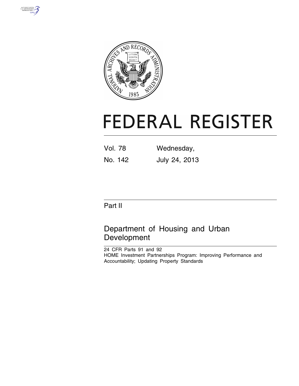



# **FEDERAL REGISTER**

| Vol. 78 | Wednesday,    |  |
|---------|---------------|--|
| No. 142 | July 24, 2013 |  |

## Part II

## Department of Housing and Urban Development

24 CFR Parts 91 and 92 HOME Investment Partnerships Program: Improving Performance and Accountability; Updating Property Standards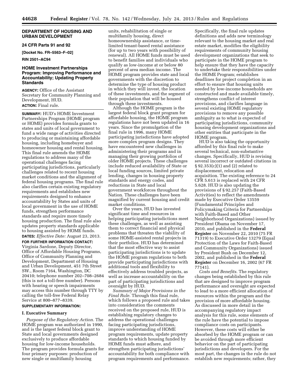#### **DEPARTMENT OF HOUSING AND URBAN DEVELOPMENT**

#### **24 CFR Parts 91 and 92**

**[Docket No. FR–5563–F–02]** 

#### **RIN 2501–AC94**

#### **HOME Investment Partnerships Program: Improving Performance and Accountability; Updating Property Standards**

**AGENCY:** Office of the Assistant Secretary for Community Planning and Development, HUD. **ACTION:** Final rule.

**SUMMARY:** HUD's HOME Investment Partnerships Program (HOME program or HOME) provides formula grants to states and units of local government to fund a wide range of activities directed to producing or maintaining affordable housing, including homebuyer and homeowner housing and rental housing. This final rule amends the HOME regulations to address many of the operational challenges facing participating jurisdictions, particularly challenges related to recent housing market conditions and the alignment of federal housing programs. The final rule also clarifies certain existing regulatory requirements and establishes new requirements designed to enhance accountability by States and units of local government in the use of HOME funds, strengthen performance standards and require more timely housing production. The final rule also updates property standards applicable to housing assisted by HOME funds. **DATES:** *Effective Date:* August 23, 2013.

**FOR FURTHER INFORMATION CONTACT:**  Virginia Sardone, Deputy Director, Office of Affordable Housing Programs, Office of Community Planning and Development, Department of Housing and Urban Development, 451 7th Street SW., Room 7164, Washington, DC 20410; telephone number 202–708–2684 (this is not a toll-free number). Persons with hearing or speech impairments may access this number through TTY by calling the toll-free Federal Relay Service at 800–877–8339.

#### **SUPPLEMENTARY INFORMATION:**

#### **I. Executive Summary**

*Purpose of the Regulatory Action.* The HOME program was authorized in 1990, and is the largest federal block grant to State and local governments designed exclusively to produce affordable housing for low-income households. The program provides formula grants for four primary purposes: production of new single or multifamily housing

units, rehabilitation of single or multifamily housing, direct homeownership assistance, or timelimited tenant-based rental assistance (for up to two years with possibility of renewal). All HOME funds must be used to benefit families and individuals who qualify as low-income at or below 80 percent of area median income. The HOME program provides state and local governments with the discretion to determine the type of housing product in which they will invest, the location of these investments, and the segment of their population that will be housed through these investments.

Although the HOME program is the largest federal block grant program for affordable housing, the HOME program regulations have not been updated in 16 years. Since the promulgation of the final rule in 1996, many HOME participating jurisdictions have adopted more complex program designs. They have encountered new challenges in administering their programs and in managing their growing portfolios of older HOME projects. These challenges include reduced availability of State or local funding sources, limited private lending, changes in housing property standards and energy codes, and reductions in State and local government workforces throughout the Nation. These challenges have been magnified by current housing and credit market conditions.

Over the years, HUD has invested significant time and resources in helping participating jurisdictions meet these challenges, as well as assisting them to correct financial and physical problems that threaten the viability of some HOME-assisted rental projects in their portfolios. HUD has determined that the most effective way to assist participating jurisdictions is to update the HOME program regulations to both provide participating jurisdictions with additional tools and flexibility to effectively address troubled projects, as well as increase accountability on the part of participating jurisdictions and oversight by HUD.

*Summary of Major Provisions in the Final Rule.* Through this final rule, which follows a proposed rule and takes into consideration the comments received on the proposed rule, HUD is establishing regulatory changes to address the operational challenges facing participating jurisdictions, improve understanding of HOME program requirements, update property standards to which housing funded by HOME funds must adhere, and strengthen participating jurisdictions' accountability for both compliance with program requirements and performance.

Specifically, the final rule updates definitions and adds new terminology relevant to the housing market and real estate market, modifies the eligibility requirements of community housing development organizations that seek to participate in the HOME program to help ensure that they have the capacity to undertake their responsibilities under the HOME Program; establishes deadlines for project completion in an effort to ensure that housing units needed by low-income households are constructed and made available timely, strengthens conflict of interest provisions, and clarifies language in several existing HOME regulatory provisions to remove any possible ambiguity as to what is expected of participating jurisdictions, community housing development organizations and other entities that participate in the HOME program.

HUD is also taking the opportunity afforded by this final rule to make several technical, non-substantive changes. Specifically, HUD is revising several incorrect or outdated citations in § 92.353(c)(1) and (2) related to displacement, relocation and acquisition. The existing reference to 24 CFR 5.613 is replaced with 24 CFR 5.628. HUD is also updating the provisions of § 92.257 (Faith-Based Activities) to reflect the amendments made by Executive Order 13559 (Fundamental Principles and Policymaking Criteria for Partnerships with Faith-Based and Other Neighborhood Organizations) issued by President Obama on November 17, 2010, and published in the **Federal Register** on November 22, 2010 (75 FR 71319) to Executive Order 13279 (Equal Protection of the Laws for Faith-Based and Community Organizations) issued by President Bush on December 12, 2002, and published in the **Federal Register** on December 16, 2002 (67 FR 77141).

*Costs and Benefits.* The regulatory changes being established by this rule that are designed to improve program performance and oversight are expected to lead to a more efficient allocation of resources within the program and the provision of more affordable housing. As discussed in more detail in the accompanying regulatory impact analysis for this rule, some elements of the rule have the potential to impose compliance costs on participants. However, these costs will either be absorbed by the HOME program or can be avoided through more efficient behavior on the part of participating jurisdictions and developers. For the most part, the changes in the rule do not establish new requirements; rather, they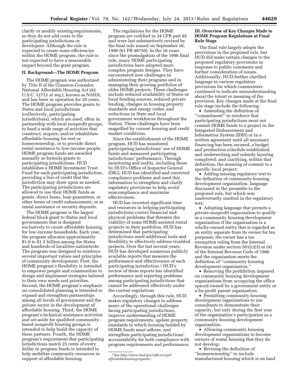clarify or modify existing requirements, so they do not add costs to the participating jurisdictions or developers. Although the rule is expected to create some efficiencies within the HOME program, the rule is not expected to have a measurable impact beyond the grant program.

#### **II. Background—The HOME Program**

The HOME program was authorized by Title II of the Cranston-Gonzalez National Affordable Housing Act (42 U.S.C. 12721 *et seq.*), known as NAHA, and has been in operation for 20 years. The HOME program provides grants to States and local jurisdictions (collectively, participating jurisdictions), which are used, often in partnership with local nonprofit groups, to fund a wide range of activities that construct, acquire, and/or rehabilitate affordable housing for rent or homeownership, or to provide direct rental assistance to low-income people. HOME program funds are awarded annually as formula grants to participating jurisdictions. HUD establishes a HOME Investment Trust Fund for each participating jurisdiction, providing a line of credit that the jurisdiction may draw upon as needed. The participating jurisdictions are allowed to use their HOME funds as grants, direct loans, loan guarantees, or other forms of credit enhancement, or as rental assistance or security deposits.

The HOME program is the largest federal block grant to States and local governments that is designed exclusively to create affordable housing for low-income households. Each year, the program allocates approximately \$1.0 to \$1.5 billion among the States and hundreds of localities nationwide. The program was designed to reinforce several important values and principles of community development. First, the HOME program's flexibility is intended to empower people and communities to design and implement strategies tailored to their own needs and priorities. Second, the HOME program's emphasis on consolidated planning is intended to expand and strengthen partnerships among all levels of government and the private sector in the development of affordable housing. Third, the HOME program's technical assistance activities and set-aside for qualified communitybased nonprofit housing groups is intended to help build the capacity of these partners. Fourth, the HOME program's requirement that participating jurisdictions match 25 cents of every dollar in program funds is intended to help mobilize community resources in support of affordable housing.

The regulations for the HOME program are codified in 24 CFR part 92 and were last substantively revised by the final rule issued on September 16, 1996 (61 FR 48750). In the 16 years since the promulgation of the 1996 final rule, many HOME participating jurisdictions have adopted more complex program designs. They have encountered new challenges in administering their programs and in managing their growing portfolios of older HOME projects. These challenges include reduced availability of States or local funding sources, reduced private lending, changes in housing property standards and energy codes, and reductions in State and local government workforces throughout the Nation. These challenges have been magnified by current housing and credit market conditions.

Since the establishment of the HOME program, HUD has monitored participating jurisdictions' use of HOME funds and measured participating jurisdictions' performance. Through monitoring and audits, including those by HUD's Office of Inspector General (OIG), HUD has identified and corrected compliance problems and used this information to strengthen and clarify regulatory provisions to help avoid noncompliance and maximize effectiveness.

HUD has invested significant time and resources in helping participating jurisdictions correct financial and physical problems that threaten the viability of some HOME-assisted rental projects in their portfolios. HUD has determined that participating jurisdictions need additional tools and flexibility to effectively address troubled projects. Over the last several years, HUD has developed numerous publicly available reports that measure the performance and effectiveness of each participating jurisdiction.1 HUD's review of these reports has identified performance and reporting problems among participating jurisdictions that cannot be addressed effectively under the current regulations.

Accordingly, through this rule, HUD makes regulatory changes to address many of the operational challenges facing participating jurisdictions, improve understanding of HOME program requirements, update property standards to which housing funded by HOME funds must adhere, and strengthen participating jurisdictions' accountability for both compliance with program requirements and performance.

#### **III. Overview of Key Changes Made to HOME Program Regulations at Final Rule Stage**

The final rule largely adopts the provisions in the proposed rule, but HUD did make certain changes to the proposed regulatory provisions in response to public comments and further consideration of issues. Additionally, HUD further clarified language in various regulatory provisions for which commenters continued to indicate misunderstanding about the intent or meaning of the provision. Key changes made at the final rule stage include the following:

• Amending the definition of ''commitment'' to reinforce that participating jurisdictions must not commit HOME funds to a project in the Integrated Disbursement and Information System (IDIS) or in a written agreement until all necessary financing has been secured, a budget and production schedule established, and underwriting and subsidy layering completed; and clarifying, within that definition, the meaning of commit to a specific local project;

• Adding missing regulatory text to the definition of community housing development organization, language discussed in the preamble to the proposed rule, but which was inadvertently omitted in the regulatory text;

• Adopting language that permits a private nonprofit organization to qualify as a community housing development organization if the organization is a wholly-owned entity that is regarded as an entity separate from its owner for tax purposes, the owner has a tax exemption ruling from the Internal Revenue under section 501(c)(3) or (4) of the Internal Revenue Code of 1986 and the organization meets the definition of ''community housing development organization.''

• Removing the prohibition imposed on community housing development organizations from occupying the office spaced owned by a government entity or a for-profit parent organization.

• Permitting community housing development organizations to use consultants to demonstrate their capacity, but only during the first year of the organization's participation as a community housing development organization;

• Allowing community housing development organizations to become owners of rental housing that they do not develop;

• Revising the definition of ''homeownership'' to include manufactured housing which is on land

<sup>1</sup>See *[http://www.hud.gov/offices/cpd/](http://www.hud.gov/offices/cpd/affordablehousing/reports/)  [affordablehousing/reports/.](http://www.hud.gov/offices/cpd/affordablehousing/reports/)*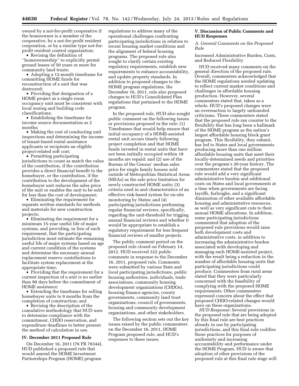owned by a not-for-profit cooperative if the homeowner is a member of the cooperative, by a not-for-profit resident corporation, or by a similar type not-forprofit resident control organization;

• Revising the definition of ''homeownership'' to explicitly permit ground leases of 50 years or more for community land trusts;

• Adopting a 12-month timeframe for committing HOME funds for reconstruction of a unit that was destroyed;

• Providing that designation of a HOME project as a single room occupancy unit must be consistent with local zoning and building code classifications;

• Establishing the timeframe for income source documentation as 2 months;

• Making the cost of conducting unit inspections and determining the income of tenant-based rental assistance applicants or recipients an eligible project-related soft cost;

• Permitting participating jurisdictions to count as match the value of the contribution, if the contribution provides a direct financial benefit to the homebuyer, or the contribution, if the contribution to the development of the homebuyer unit reduces the sales price of the unit or enables the unit to be sold for less than the cost of development;

• Eliminating the requirement for separate written standards for methods and materials for new construction projects;

• Eliminating the requirement for a minimum 15-year useful life of major systems, and providing, in lieu of such requirement, that the participating jurisdiction must estimate the remaining useful life of major systems based on age and current condition of the systems and determine the necessary annual replacement reserve contributions to facilitate system replacement at the appropriate time;

• Providing that the requirement for a current inspection of a unit is no earlier than 90 days before the commitment of HOME assistance;

• Extending the timeframe for selling homebuyer units to 9 months from the completion of construction; and

• Revising the description of the cumulative methodology that HUD uses to determine compliance with the commitment, CHDO reservation, and expenditure deadlines to better present the method of calculation in use.

#### **IV. December 2011 Proposed Rule**

On December 16, 2011 (76 FR 78344), HUD published a proposed rule that would amend the HOME Investment Partnerships Program (HOME) program

regulations to address many of the operational challenges confronting participating jurisdictions in relation to recent housing market conditions and the alignment of federal housing programs. The proposed rule also sought to clarify certain existing regulatory requirements, establish new requirements to enhance accountability, and update property standards. In addition to proposed changes to the HOME program regulations, the December 16, 2011, rule also proposed changes to HUD's Consolidated Plan regulations that pertained to the HOME program.

In the proposed rule, HUD also sought public comment on the following issues or provisions proposed in the rule: (1) Timeframes that would help ensure that initial occupancy of a HOME-assisted rental unit occurs timely following project completion and that HOME funds invested in rental units that have not been initially occupied within 18 months are repaid; and (2) use of the Bureau of the Census' median sales price for single family houses sold outside of Metropolitan Statistical Areas (MSAs) as the sale price limitation for newly constructed HOME units; (3) criteria used in and characteristics of an effective risk-based system for on-site monitoring by States; and (4) participating jurisdictions performing regular financial reviews, specifically, regarding the unit-threshold for trigging annual financial reviews and whether it would be appropriate to establish a regulatory requirement for less frequent financial reviews of smaller projects.

The public comment period on the proposed rule closed on February 14, 2012. HUD received 322 public comments in response to the December 16, 2011, proposed rule. Comments were submitted by various State and local participating jurisdictions, public housing authorities, individuals, trade associations, community housing development organizations (CHDOs), housing finance agencies, county governments, community land trust organizations, council of governments, housing and community development organizations, and other stakeholders.

The following section sets out the key issues raised by the public commenters on the December 16, 2011, HOME Program proposed rule, and HUD's responses to these issues.

#### **V. Discussion of Public Comments and HUD Responses**

*A. General Comments on the Proposed Rule* 

Increased Administrative Burden, Costs, and Reduced Flexibility

HUD received many comments on the general direction of the proposed rule. Overall, commenters acknowledged that the HOME regulations needed updating to reflect current market conditions and challenges in affordable housing production. However, several commenters stated that, taken as a whole, HUD's proposed changes were an overreaction to largely unfounded criticisms. These commenters stated that the proposed rule ran counter to the flexibility that has long been a hallmark of the HOME program as the nation's largest affordable housing block grant program. This flexibility, they submit, has led to States and local governments producing more than one million affordable housing units that meet their locally-determined needs and priorities over the program's 20-year history. The commenters stated that the proposed rule would add a very significant administrative burden and additional costs on States and local governments at a time when governments are facing layoffs, furloughs, and a significant diminution of other available affordable housing and administrative resources, as well as very significant cuts to their annual HOME allocations. In addition, some participating jurisdictions commented that adoption of the proposed rule provisions would raise both development costs and administrative costs, in addition to increasing the administrative burden associated with developing and managing each HOME-assisted project, with the result being a reduction in the number of affordable housing units that participating jurisdictions could produce. Commenters from rural areas stated that they were particularly concerned with the feasibility of complying with the proposed HOME requirements. Other commenters expressed concern about the effect that proposed CHDO-related changes would have on these organizations.

*HUD Response:* Several provisions in the proposed rule that are being adopted by this final rule are best practices already in use by participating jurisdictions, and this final rule codifies those practices for purposes of uniformity and increasing accountability and performance under the HOME Program. HUD is aware that adoption of other provisions of the proposed rule at this final rule stage will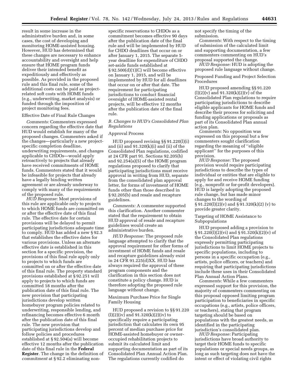result in some increase in the administrative burden and, in some cases, the cost of developing and monitoring HOME-assisted housing. However, HUD has determined that these changes are necessary to enhance accountability and oversight and help ensure that HOME program funds deliver their intended benefit as expeditiously and effectively as possible. As provided in the proposed rule and this final rule, some of the additional costs can be paid as projectrelated soft costs with HOME funds (e.g., underwriting, market analysis) or funded through the imposition of project monitoring fees.

#### Effective Date of Final Rule Changes

*Comments:* Commenters expressed concern regarding the effective date that HUD would establish for many of the proposed changes. Commenters asked if the changes—particularly a new projectspecific completion deadline, underwriting requirements, and changes applicable to CHDOs—would apply retroactively to projects that already have received commitments of HOME funds. Commenters stated that it would be infeasible for projects that already have a legally binding written agreement or are already underway to comply with many of the requirements of the proposed rule.

*HUD Response:* Most provisions of this rule are applicable only to projects to which HOME funds are committed on or after the effective date of this final rule. The effective date for certain provisions will be delayed to permit participating jurisdictions adequate time to comply. HUD has added a new § 92.3 that establishes the effective dates for various provisions. Unless an alternate effective date is established in this section for a specific provision, the provisions of this final rule apply only to projects to which funds are committed on or after the effective date of this final rule. The property standard provisions established at § 92.251 will apply to projects to which funds are committed 18 months after the publication date of this final rule. The new provision that participating jurisdictions develop written homebuyer program policies related to underwriting, responsible lending, and refinancing becomes effective 6 month after the publication date of this final rule. The new provision that participating jurisdictions develop and follow policies and procedures established at § 92.504(a) will become effective 12 months after the publication date of this final rule in the **Federal Register**. The change in the definition of *commitment* at § 92.2 eliminating non-

specific reservations to CHDOs as a commitment becomes effective 90 days after the publication date of the final rule and will be implemented by HUD for CHDO deadlines that occur on or after January 1, 2015. The separate 5 year deadline for expenditure of CHDO set-aside funds established at § 92.500(d)(1)(C) will become effective on January 1, 2015, and will be implemented by HUD for all deadlines that occur on or after that date. The requirement for participating jurisdictions to conduct financial oversight of HOME-assisted rental projects, will be effective 12 months after the publication date of the final rule.

#### *B. Changes to HUD's Consolidated Plan Regulations*

#### Approval Process

HUD proposed revising §§ 91.220(l)(i) and (ii) and 91.320(k)(i) and (ii) of the Consolidated Plan regulations, codified at 24 CFR part 91. Sections 92.205(b) and 92.254(a)(5) of the HOME program regulations proposed to clarify that participating jurisdictions must receive approval in writing from HUD, separate from the consolidated plan approval letter, for forms of investment of HOME funds other than those described in § 92.205(b) and resale and recapture guidelines.

*Comments:* A commenter supported this clarification. Another commenter stated that the requirement to obtain HUD approval of resale and recapture guidelines would create an administrative burden.

*HUD Response:* The proposed rule language attempted to clarify that the approval requirement for other forms of investment of HOME funds and resale and recapture guidelines already exist in 24 CFR 91.225(d)XX. HUD has always required the approval of these program components and the clarification in this section does not constitute a policy change. HUD is therefore adopting the proposed rule language without change.

Maximum Purchase Price for Single Family Housing

HUD proposed a revision to §§ 91.220  $(l)(2)(iv)$  and  $91.320(k)(2)(iv)$  to specifically require a participating jurisdiction that calculates its own 95 percent of median purchase price for HOME-assisted homebuyer or owneroccupied rehabilitation projects to submit its calculated limit and supporting documentation as part of its Consolidated Plan Annual Action Plan. The regulations currently codified do

not specify the timing of the submission.

*Comments:* With respect to the timing of submission of the calculated limit and supporting documentation, a few commenters commenting on HUD's proposal supported the change.

*HUD Response:* HUD is adopting the proposed rule language without change.

Proposed Funding and Project Selection Procedures

HUD proposed amending §§ 91.220  $(l)(2)(v)$  and  $91.320(k)(2)(v)$  of the Consolidated Plan regulations to require participating jurisdictions to describe eligible applicants for HOME funds and describe their process for soliciting and funding applications or proposals as part of its Consolidated Plan annual action plan.

*Comments:* No opposition was expressed on this proposal but a few commenters sought clarification regarding the meaning of ''eligible applicant'' for the purposes of this provision.

*HUD Response:* The proposed provision would require participating jurisdictions to describe the types of individual or entities that are eligible to apply for and receive HOME funding (e.g., nonprofit or for-profit developers). HUD is largely adopting the proposed rule change, but has made minor changes to the wording of  $\S 91.220(l)(2)(v)$  and  $\S 91.320(k)(2)(v)$  to provide greater clarity.

Targeting of HOME Assistance to Subpopulations

HUD proposed adding a provision to § 91.220(l)(2)(vi) and § 91.320(k)(2)(v) of the Consolidated Plan regulations expressly permitting participating jurisdictions to limit HOME projects to specific populations, including to persons in a specific occupation (e.g., artists, police officers, or teachers) and requiring that participating jurisdictions include these uses in their Consolidated Plan Annual Action Plans.

*Comments:* While a few commenters expressed support for this provision, the majority of commenters commenting on this proposal opposed limiting program participation to beneficiaries in specific occupations (e.g., artists, police officers, or teachers), stating that program targeting should be based on populations with the greatest needs, as identified in the participating jurisdiction's consolidated plan.

*HUD Response:* Participating jurisdictions have broad authority to target their HOME funds to specific populations or special needs groups, as long as such targeting does not have the intent or effect of violating civil rights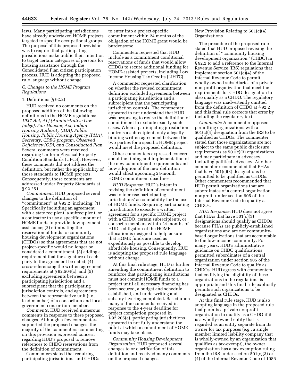laws. Many participating jurisdictions have already undertaken HOME projects targeted to specific occupational groups. The purpose of this proposed provision was to require that participating jurisdictions make public their intention to target certain categories of persons for housing assistance through the Consolidated Plan citizen participation process. HUD is adopting the proposed rule language without change.

#### *C. Changes to the HOME Program Regulations*

#### 1. Definitions (§ 92.2)

HUD received no comments on the proposed addition of the following definitions to the HOME regulations: *1937 Act, ALJ (Administrative Law Judge), Fair Housing Act, Indian Housing Authority (IHA), Public Housing, Public Housing Agency (PHA), Secretary, CDBG program, Observed Deficiency (OD), and Consolidated Plan.*  Several comments were received regarding Uniform Physical Property Condition Standards (UPCS). However, these comments did not address the definition, but rather the applicability of those standards to HOME projects. Consequently, those comments are addressed under Property Standards at § 92.251.

*Commitment.* HUD proposed several changes to the definition of ''commitment'' at § 92.2, including: (1) Specifically including an agreement with a state recipient, a subrecipient, or a contractor to use a specific amount of HOME funds to provide downpayment assistance; (2) eliminating the reservation of funds to community housing development organizations (CHDOs) so that agreements that are not project-specific would no longer be considered a commitment; (3) adding a requirement that the signature of each party to the agreement be dated; (4) cross-referencing the written agreement requirements at  $\S 92.504(c)$ ; and  $(5)$ excluding agreements between a participating jurisdiction and a subrecipient that the participating jurisdiction controls, and agreements between the representative unit (i.e., lead member) of a consortium and local government consortium member.

*Comments:* HUD received numerous comments in response to these proposed changes. Although a few commenters supported the proposed changes, the majority of the commenters commenting on this provision expressed concern regarding HUD's proposal to remove references to CHDO reservations from the definition of commitment.

Commenters stated that requiring participating jurisdictions and CHDOs

to enter into a project-specific commitment within 24 months of the obligation of the HOME grant would be burdensome.

Commenters requested that HUD include as a commitment conditional reservations of funds that would allow CHDOs to secure additional funding for HOME-assisted projects, including Low Income Housing Tax Credits (LIHTC).

A commenter requested clarification on whether the revised commitment definition excluded agreements between a participating jurisdiction and a subrecipient that the participating jurisdiction controls. The commenter appeared to not understand that HUD was proposing to revise the definition of commitment to exclude exactly such cases. When a participating jurisdiction controls a subrecipient, only a legally binding written agreement between the two parties for a specific HOME project would meet the proposed definition.

Other commenters expressed concern about the timing and implementation of the new commitment requirements and how adoption of the new definition would affect upcoming 24-month HOME commitment deadlines.

*HUD Response:* HUD's intent in revising the definition of commitment was to increase participating jurisdictions' accountability for the use of HOME funds. Requiring participating jurisdictions to execute a written agreement for a specific HOME project with a CHDO, certain subrecipients, or consortia members within 24 months of HUD's obligation of the HOME allocation is designed to help ensure that HOME funds are used as expeditiously as possible to develop affordable housing. Consequently, HUD is adopting the proposed rule language without change.

At this final rule stage, HUD is further amending the commitment definition to reinforce that participating jurisdictions must not commit HOME funds to a project until all necessary financing has been secured, a budget and schedule established, and underwriting and subsidy layering completed. Based upon many of the comments received in response to the 4-year deadline for project completion proposed in § 92.205(e), participating jurisdictions appeared to not fully understand the point at which a commitment of HOME funds may take place.

*Community Housing Development Organization.* HUD proposed several changes to or clarification of this definition and received many comments on the proposed changes.

New Provision Relating to 501(c)(4) Organizations

The preamble of the proposed rule stated that HUD proposed revising the definition of ''community housing development organization'' (CHDO) in § 92.2 to add a reference to the Internal Revenue Service (IRS) regulations that implement section 501(c)(4) of the Internal Revenue Code to permit wholly-owned subsidiaries of a private non-profit organization that meet the requirements for CHDO designation to also qualify as a CHDO. The regulatory language was inadvertently omitted from the definition of CHDO at § 92.2 and this final rule corrects that error by including the regulatory text.

*Comments:* A commenter opposed permitting organizations with a 501(c)(4) designation from the IRS to be qualified as CHDOs. The commenter stated that those organizations are not subject to the same public disclosure requirements as 501(c)(3) organizations and may participate in advocacy, including political advocacy. Another commenter recommended that PHAs that have  $501(c)(3)$  designations be permitted to be qualified as CHDOs. Other commenters recommended that HUD permit organizations that are subordinates of a central organization nonprofit under section 905 of the Internal Revenue Code to qualify as CHDOs.

*HUD Response:* HUD does not agree that PHAs that have 501(c)(3) designations should qualify as CHDOs because PHAs are publicly-established organizations and are not communitybased organizations that are accountable to the low-income community. For many years, HUD's administrative guidance on CHDO qualifications permitted subordinates of a central organization under section 905 of the Internal Revenue Code to qualify as CHDOs. HUD agrees with commenters that codifying the eligibility of these organizations in the regulations is appropriate and this final rule explicitly permits such organizations to be designated as CHDOs.

At this final rule stage, HUD is also adopting language in the proposed rule that permits a private nonprofit organization to qualify as a CHDO if it is a wholly-owned entity that is regarded as an entity separate from its owner for tax purposes (e.g., a single member limited liability company that is wholly-owned by an organization that qualifies as tax-exempt), the owner organization has a tax exemption ruling from the IRS under section 501(c)(3) or (4) of the Internal Revenue Code of 1986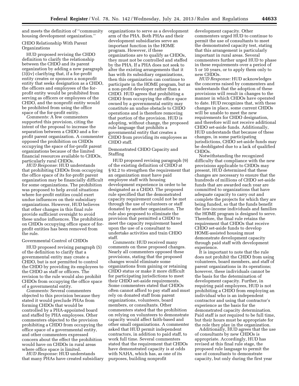and meets the definition of ''community housing development organization.''

CHDO Relationship With Parent Organizations

HUD proposed revising the CHDO definition to clarify the relationship between the CHDO and its parent organization by adding a new paragraph (3)(iv) clarifying that, if a for-profit entity creates or sponsors a nonprofit entity that seeks designation as a CHDO, the officers and employees of the forprofit entity would be prohibited from serving as officers or employees of the CHDO, and the nonprofit entity would be prohibited from using the office space of the for-profit entity.

*Comments:* A few commenters supported this provision, citing the intent of the proposal to increase the separation between a CHDO and a forprofit parent organization. A commenter opposed the prohibition on CHDOs occupying the space of for-profit parent organizations because of the limited financial resources available to CHDOs, particularly rural CHDOs.

*HUD Response:* HUD understands that prohibiting CHDOs from occupying the office space of its for-profit parent organization may be financially difficult for some organizations. The prohibition was proposed to help avoid situations where for-profit entities could exert undue influences on their subsidiary organizations. However, HUD believes that other changes in this final rule provide sufficient oversight to avoid these undue influences. The prohibition on CHDOs occupying office space of forprofit entities has been removed from the rule.

#### Governmental Control of CHDOs

HUD proposed revising paragraph (5) of the definition to clarify that a governmental entity may create a CHDO, but is not permitted to control the CHDO by providing its employees to the CHDO as staff or officers. The revision to the rule would also prohibit CHDOs from occupying the office space of a governmental entity.

*Comments:* Several commenters objected to this provision because they stated it would preclude PHAs from forming CHDOs that would be controlled by a PHA-appointed board and staffed by PHA employees. Other commenters objected to the provision prohibiting a CHDO from occupying the office space of a governmental entity, and other commenters expressed concern about the effect the prohibition would have on CHDOs in rural areas where office space is limited.

*HUD Response:* HUD understands that many PHAs have created subsidiary organizations to serve as a development arm of the PHA. Both PHAs and their development subsidiaries serve an important function in the HOME program. However, if these organizations are to qualify as CHDOs, they must not be controlled and staffed by the PHA. If a PHA does not seek to alter the existing arrangements that it has with its subsidiary organizations, then this organization can continue to participate in the HOME program, but as a non-profit developer rather than a CHDO. HUD agrees that prohibiting a CHDO from occupying the office space owned by a governmental entity may constitute an undue obstacle to CHDO operations and is therefore removing that portion of the provision. HUD is adopting, without change, the proposed rule language that prohibits a governmental entity that creates a CHDO from providing its employees as CHDO staff.

Demonstrated CHDO Capacity and Staffing

HUD proposed revising paragraph (9) of the existing definition of CHDO at § 92.2 to strengthen the requirement that an organization must have paid employee staff with housing development experience in order to be designated as a CHDO. The proposed rule specified that the demonstrated capacity requirement could not be met through the use of volunteers or staff donated by another organization. The rule also proposed to eliminate the provision that permitted a CHDO to meet the capacity requirement based upon the use of a consultant to undertake activities and train CHDO staff.

*Comments:* HUD received many comments on these proposed changes. Nearly all commenters opposed these provisions, stating that the proposed changes would eliminate some organizations from gaining or retaining CHDO status or make it more difficult for participating jurisdictions to meet their CHDO set-aside requirements. Some commenters stated that CHDOs often cannot afford to pay staff and must rely on donated staff from parent organizations, volunteers, board members, or consultants. Other commenters stated that the prohibition on relying on volunteers to demonstrate capacity would affect faith-based and other small organizations. A commenter asked that HUD permit independent contractors, in addition to paid staff, to work full time. Several commenters stated that the requirement that CHDOs have demonstrated capacity is at odds with NAHA, which has, as one of its purposes, building nonprofit

development capacity. Other commenters urged HUD to continue to permit the use of consultants to meet the demonstrated capacity test, stating that this arrangement is particularly important in rural areas. Several commenters further urged HUD to phase in these requirements over a period of 5 or 10 years, or to apply them only to new CHDOs.

*HUD Response:* HUD acknowledges the concerns raised by commenters and understands that the adoption of these provisions will result in changes to the manner in which CHDOs have operated to date. HUD recognizes that, with these changes in place, some current CHDOs will be unable to meet the new requirements for CHDO designation, and therefore will not receive additional CHDO set-aside funds. Additionally, HUD understands that because of these changes, in some participating jurisdictions, CHDO set-aside funds may be deobligated due to a lack of qualified CHDOs.

Notwithstanding the recognized difficulty that compliance with the new provisions applicable to CHDOs may present, HUD determined that these changes are necessary to ensure that the hundreds of millions of CHDO set-aside funds that are awarded each year are committed to organizations that have adequate capacity to carry out and complete the projects for which they are being funded, so that the funds benefit the low-income individuals and families the HOME program is designed to serve. Therefore, the final rule retains the requirement that CHDOs that receive CHDO set-aside funds to develop HOME-assisted housing must demonstrate development capacity through paid staff with development experience.

It is important to note that the rule does not prohibit the CHDO from using volunteers, board members, and staff of parent organizations in its operations; however, these individuals cannot be the basis for the determination of development capacity. Further, in requiring paid employees, HUD is not prohibiting a CHDO from employing an individual who is an independent contractor and using that contractor's experience as the basis for the demonstrated capacity determination. Paid staff is not required to be full time, but their hours must be appropriate for the role they play in the organization.

Additionally, HUD agrees that the use of consultants by new CHDOs is appropriate. Accordingly, HUD has revised at this final rule stage, the proposed rule language to permit the use of consultants to demonstrate capacity, but only during the first year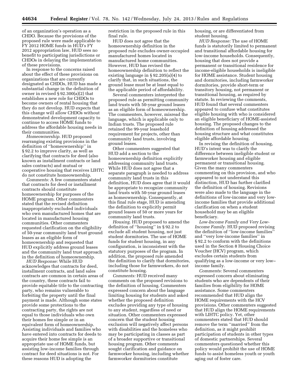of an organization's operation as a CHDO. Because the provisions of the proposed rule were made applicable to FY 2012 HOME funds in HUD's FY 2012 appropriation law, HUD sees no benefit to participating jurisdictions or CHDOs in delaying the implementation of these provisions.

In response to the concerns raised about the effect of these provisions on organizations that are currently designated as CHDOs, HUD has made a substantial change in the definition of owner in revised § 92.300(a)(2) that establishes a new role for CHDOs to become owners of rental housing that they do not develop. HUD expects that this change will allow CHDOs without demonstrated development capacity to continue to access HOME funds to address the affordable housing needs in their communities.

*Homeownership.* HUD proposed rearranging existing provisions in the definition of ''homeownership'' in § 92.2 to improve clarity, as well as clarifying that contracts for deed (also known as installment contracts or land sales contracts) and mutual or cooperative housing that receives LIHTC do not constitute homeownership.

*Comments:* A few commenters stated that contracts for deed or installment contracts should constitute homeownership for purposes of the HOME program. Other commenters stated that the revised definition inappropriately excluded individuals who own manufactured homes that are located in manufactured housing communities. Other commenters requested clarification on the eligibility of 50-year community land trust ground leases as an eligible form of homeownership and requested that HUD explicitly address ground leases and the community land trust approach in the definition of homeownership.

*HUD Response:* While HUD acknowledges that contracts for deed, installment contracts, and land sales contracts are common in certain areas of the country, these contracts fail to provide equitable title to the contracting party, who remains vulnerable to forfeiting the property until the final payment is made. Although some states provide some protections to the contracting party, the rights are not equal to those individuals who own their homes fee simple or in an equivalent form of homeownership. Assisting individuals and families who have entered into contracts for deeds to acquire their home fee simple is an appropriate use of HOME funds, but assisting low-income families through contract for deed situations is not. For these reasons HUD is adopting the

restriction in the proposed rule in this final rule.

HUD does not agree that the homeownership definition in the proposed rule excludes owner-occupied manufactured homes located in manufactured home communities. However, HUD has revised the homeownership definition to reflect the existing language in § 92.205(a)(4) to clarify that, in such situations, the ground lease must be at least equal to the applicable period of affordability.

Several commenters interpreted the proposed rule as permitting community land trusts with 50-year ground leases as an eligible form of homeownership. The commenters, however, misread the language, which is applicable only to Indian trusts. The proposed rule retained the 99-year leasehold requirement for projects, other than community land trusts, involving ground leases.

Other commenters suggested that HUD add a section to the homeownership definition explicitly addressing community land trusts. While HUD does not agree that a separate paragraph is needed to address community land trusts in this definition, HUD does agree that it would be appropriate to recognize community land trusts with 50-year ground leases as homeownership. Consequently, at this final rule stage, HUD is amending the definition to explicitly permit ground leases of 50 or more years for community land trusts.

*Housing.* HUD proposed to amend the definition of ''housing'' in § 92.2 to exclude all student housing, not just student dormitories. The use of HOME funds for student housing, in any configuration, is inconsistent with the statutory purposes of the program. In addition, the proposed rule amended the definition to clarify that dormitories, including those for farmworkers, do not constitute housing.

*Comments:* HUD received many comments on the proposed revisions to the definition of housing. Commenters expressed concern about the language limiting housing for students and asked whether the proposed definition excludes providing any type of housing to any student, regardless of need or situation. Other commenters expressed concern that the student housing exclusion will negatively affect persons with disabilities and the homeless who may be participating in classes as part of a broader supportive or transitional housing program. Other comments sought clarification and guidance on farmworker housing, including whether farmworker dormitories constitute

housing, or are differentiated from student housing.

*HUD Response:* The use of HOME funds is statutorily limited to permanent and transitional affordable housing for low-income households. Consequently, housing that does not provide a permanent or transitional residence for income-eligible households is ineligible for HOME assistance. Student housing and dormitories, including farmworker dormitories, provide short-term or transitory housing, not permanent or transitional housing, as required by statute. In reviewing the comments, HUD found that several commenters appeared to confuse what constitutes eligible housing with who is considered an eligible beneficiary of HOME-assisted housing. The proposed changes to the definition of housing addressed the housing structure and what constitutes eligible affordable housing.

In revising the definition of housing, HUD's intent was to clarify the difference between ineligible student or farmworker housing and eligible permanent or transitional housing. Given the many commenters commenting on this provision, and who appeared to not understand this distinction, HUD has further clarified the definition of housing. Revisions were also made to the language in the definitions of low-income and very lowincome families that provide additional clarification on when a student household may be an eligible beneficiary.

*Low-Income Family and Very Low-Income Family.* HUD proposed revising the definition of ''low-income families'' and ''very low-income families'' in § 92.2 to conform with the definitions used in the Section 8 Housing Choice Voucher (HCV) program, which excludes certain students from qualifying as a low-income or very low– income family.

*Comments:* Several commenters expressed concern about eliminating students who are dependents of their families from eligibility for HOME assistance. Some commenters recommended that HUD align the HOME requirements with the HCV provisions. Other commenters suggested that HUD align the HOME requirements with LIHTC policy. Yet, other commenters stated that HUD should remove the term ''married'' from the definition, as it might prohibit participation of students in other types of domestic partnerships. Several commenters questioned whether this policy would prohibit the use of HOME funds to assist homeless youth or youth aging out of foster care.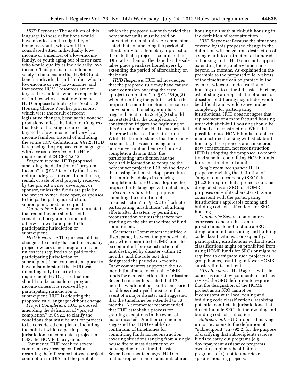*HUD Response:* The addition of this language to these definitions would have no effect on the eligibility of homeless youth, who would be considered either individually lowincome or a member of a low-income family, or youth aging out of foster care, who would qualify as individually lowincome. This provision is intended solely to help ensure that HOME funds benefit individuals and families who are low-income or very low-income, and that scarce HOME resources are not targeted to students who are dependents of families who are not low-income. HUD proposed adopting the Section 8 Housing Choice Voucher provisions, which were the result of recent legislative changes, because the voucher provisions reflect the intent of Congress that federal housing resources be targeted to low-income and very lowincome families. Instead of including the entire HCV definition in § 92.2, HUD is replacing the proposed rule language with a cross-reference to the HCV requirement at 24 CFR 5.612.

*Program income.* HUD proposed amending the definition of ''program income'' in § 92.2 to clarify that it does not include gross income from the use, rental, or sale of real property received by the project owner, developer, or sponsor, unless the funds are paid by the project owner, developer, or sponsor to the participating jurisdiction, subrecipient, or state recipient.

*Comments:* A few commenters stated that rental income should not be considered program income unless otherwise owed and paid to the participating jurisdiction or subrecipient.

*HUD Response:* The purpose of this change is to clarify that rent received by project owners is not program income unless it is required to be paid to the participating jurisdiction or subrecipient. The commenters appear to have misunderstood that HUD was intending only to clarify this requirement. HUD agrees that rent should not be considered program income unless it is received by a participating jurisdiction or subrecipient. HUD is adopting the proposed rule language without change.

*Project Completion.* HUD proposed amending the definition of ''project completion'' in § 92.2 to clarify the conditions that must be met for projects to be considered completed, including the point at which a participating jurisdiction can complete a project in IDIS, the HOME data system.

*Comments:* HUD received several comments expressing confusion regarding the difference between project completion in IDIS and the point at

which the proposed 6-month period that homebuyer units must be sold or converted to rental units. A commenter stated that commencing the period of affordability for a homebuyer project on the date that a project is completed in IDIS rather than on the date that the sale takes place penalizes homebuyers by extending the period of affordability on their unit.

*HUD Response:* HUD acknowledges that the proposed rule may have caused some confusion by using the term ''project completion'' in § 92.254(a)(3) when describing the point at which the proposed 6-month timeframe for sale or conversion of homebuyer units is triggered. Section 92.254(a)(3) should have stated that the completion of construction triggers the beginning of this 6-month period. HUD has corrected the error in that section of this rule. While HUD understands that there may be some lag between closing on a homebuyer unit and entry of project completion data in IDIS, the participating jurisdiction has the required information to complete the homebuyer project in IDIS on the day of the closing and must adopt procedures that minimize delays in entering completion data. HUD is adopting the proposed rule language without change.

*Reconstruction.* HUD proposed amending the definition of ''reconstruction'' in § 92.2 to facilitate participating jurisdictions' rebuilding efforts after disasters by permitting reconstruction of units that were not standing on the site at the time of fund commitment.

*Comments:* Commenters identified a discrepancy between the proposed rule text, which permitted HOME funds to be committed for reconstruction of a unit destroyed by disaster within 12 months, and the rule text that designated the period as 6 months. Other commenters supported the 12 month timeframe to commit HOME funds for reconstruction after a disaster. Several commenters stated that 12 months would not be a sufficient period to address destroyed housing in the event of a major disaster and suggested that the timeframe be extended to 36 months. A commenter recommended that HUD establish a process for granting exceptions in the event of major disasters. Another commenter suggested that HUD establish a continuum of timeframes for committing funds for reconstruction, covering situations ranging from a single house fire to mass destruction of housing due to a natural disaster. Several commenters urged HUD to include replacement of a manufactured

housing unit with stick-built housing in the definition of reconstruction.

*HUD Response:* Because the situations covered by this proposed change in the definition will range from destruction of a single unit to destruction of hundreds of housing units, HUD does not support extending the regulatory timeframe beyond 12 months. As explained in the preamble to the proposed rule, waivers of the timeframe can be granted in the event of widespread destruction of housing due to natural disaster. Further, establishing appropriate timeframes for disasters of differing magnitudes would be difficult and would cause undue complexity for participating jurisdictions. HUD does not agree that replacement of a manufactured housing unit with stick-built housing should be defined as reconstruction. While it is possible to use HOME funds to replace manufactured housing with stick-built housing, these projects are considered new construction, not reconstruction. HUD is adopting the proposed 12-month timeframe for committing HOME funds for reconstruction of a unit.

*Single room occupancy.* HUD proposed revising the definition of ''single room occupancy (SRO)'' in § 92.2 to require that a project could be designated as an SRO for HOME purposes only if its characteristics are consistent with the participating jurisdiction's applicable zoning and building code classifications for SRO housing.

*Comments:* Several commenters expressed concern that some jurisdictions do not include a SRO designation in their zoning and building code classifications. Consequently, participating jurisdictions without such classifications might be prohibited from using HOME funds for SROs or might be required to designate such projects as group homes, resulting in lower HOME subsidy limits and rents.

*HUD Response:* HUD agrees with the concerns raised by commenters and has revised the SRO definition to require that the designation of the HOME project as an SRO cannot be inconsistent with local zoning and building code classifications, resolving potential conflicts in jurisdictions that do not include SROs in their zoning and building code classifications.

*Subrecipient.* HUD proposed making minor revisions to the definition of ''subrecipient'' in § 92.2, for the purpose of clarifying that subrecipients receive funds to carry out programs (e.g., downpayment assistance programs, owner-occupied rehabilitation programs, etc.), not to undertake specific housing projects.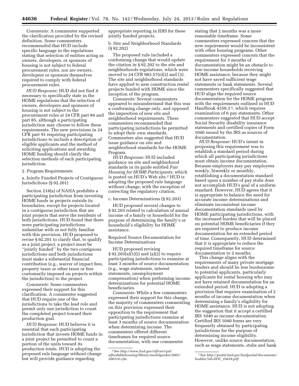*Comments:* A commenter supported the clarification provided by the revised definition. Some commenters recommended that HUD include specific language in the regulations stating that selection of entities acting as owners, developers, or sponsors of housing is not subject to federal procurement rules, nor are owners, developers or sponsors themselves required to comply with federal procurement rules.

*HUD Response:* HUD did not find it necessary to specifically state in the HOME regulations that the selection of owners, developers and sponsors of housing is not subject to the procurement rules at 24 CFR part 84 and part 85, although a participating jurisdiction may choose to follow these requirements. The new provisions in 24 CFR part 91 requiring participating jurisdictions to include a description of eligible applicants and the method of soliciting applications and awarding HOME funding should clarify the selection methods of each participating jurisdiction.

2. Program Requirements

a. Jointly Funded Projects of Contiguous Jurisdictions (§ 92.201)

Section 218(a) of NAHA prohibits a participating jurisdiction from investing HOME funds in projects outside its boundaries, except for projects located in a contiguous jurisdiction that are joint projects that serve the residents of both jurisdictions. HUD found that there were participating jurisdictions unfamiliar with or not fully familiar with this provision. HUD proposed to revise § 92.201 to clarify that, to qualify as a joint project, a project must be ''jointly funded'' by the two contiguous jurisdictions and both jurisdictions must make a substantial financial contribution (e.g., waiver of impact fees, property taxes or other taxes or fees customarily imposed on projects within the jurisdiction) to the project.

*Comments:* Some commenters expressed their support for this clarification. A commenter suggested that HUD require one of the jurisdictions to take the lead role and permit only one jurisdiction to count the completed project toward their production goal.

*HUD Response:* HUD believes it is essential that each participating jurisdiction that invests HOME funds in a joint project be permitted to count a portion of the units toward its production totals. HUD is adopting the proposed rule language without change but will provide guidance regarding

appropriate reporting in IDIS for these jointly funded projects.

b. Site and Neighborhood Standards (§ 92.202)

The proposed rule included a conforming change that would update the citation in § 92.202 to the site and neighborhoods regulations, which were moved to 24 CFR 983.57(e)(2) and (3). The site and neighborhood standards have applied to new construction rental projects funded with HOME since the inception of the program.

*Comments:* Several commenters appeared to misunderstand that this was a conforming change only, and opposed the imposition of new site and neighborhood requirements. These commenters recommended that participating jurisdictions be permitted to adopt their own standards. Commenters also suggested that HUD issue guidance on site and neighborhood standards for the HOME Program.

*HUD Response:* HUD included guidance on site and neighborhood standards in its guide entitled *Fair Housing for HOME Participants,* which is posted on HUD's Web site.2 HUD is adopting the proposed rule language without change, with the exception of correcting the regulatory citation.

c. Income Determinations (§ 92.203)

HUD proposed several changes to § 92.203 related to calculation of annual income of a family or household for the purpose of determining the family's or household's eligibility for HOME assistance.

Required Source Documentation for Income Determinations

HUD proposed revising § 92.203(a)(1)(i) and (a)(2) to require participating jurisdictions to examine at least 3 months of source documentation (e.g., wage statements, interest statements, unemployment compensation) when performing income determinations for potential HOME beneficiaries.

*Comments:* While a few commenters expressed their support for this change, the majority of commenters commenting on this provision expressed their opposition to the requirement that participating jurisdictions examine at least 3 months of source documentation when determining income. The commenters offered different timeframes for required source documentation, with one commenter

stating that 2 months was a more reasonable timeframe. Some commenters expressed concern that the new requirement would be inconsistent with other housing programs. Other commenters expressed concern that the requirement for 3 months of documentation might be an obstacle to low-income households receiving HOME assistance, because they might not have saved sufficient wage statements or bank statements. Several commenters specifically suggested that HUD align the required source documentation for the HOME program with the requirements outlined in HUD Handbook 4350.3 3, which requires examination of 6 pay statements. Other commenters suggested that HUD accept Social Security disability insurance statements and certified copies of Form 1040 issued by the IRS as sources of documentation.

*HUD Response:* HUD's intent in proposing this requirement was to establish a standard period during which all participating jurisdictions must obtain income documentation. Because employers may pay employees weekly, biweekly or monthly, establishing a documentation standard based upon a number of pay stubs does not accomplish HUD's goal of a uniform standard. However, HUD agrees that it is appropriate to balance the need for accurate income determinations and eliminate inconsistent income documentation standards used by HOME participating jurisdictions, with the increased burden that will be placed on potential HOME beneficiaries if they are required to produce income documentation for an extended period of time. Consequently, HUD determined that it is appropriate to reduce the required timeframe for source documentation to 2 months.

This change aligns with the requirements of many private mortgage lenders and should be less burdensome to potential applicants, particularly applicants for rental housing who may not have retained documentation for an extended period. HUD is adopting a provision that requires examination of 2 months of income documentation when determining a family's eligibility for HOME assistance. HUD is not adopting the suggestion that it accept a certified IRS 1040 as income documentation. Certified IRS 1040 forms are very frequently obtained by participating jurisdictions for the purpose of determining income eligibility. However, unlike source documentation, such as wage statements, stubs and bank

<sup>2</sup>See *[http://www.hud.gov/offices/cpd/](http://www.hud.gov/offices/cpd/affordablehousing/library/modelguides/2005/200510.cfm)  [affordablehousing/library/modelguides/2005/](http://www.hud.gov/offices/cpd/affordablehousing/library/modelguides/2005/200510.cfm) [200510.cfm.](http://www.hud.gov/offices/cpd/affordablehousing/library/modelguides/2005/200510.cfm)* 

<sup>3</sup>See *[http://portal.hud.gov/hudportal/documents/](http://portal.hud.gov/hudportal/documents/huddoc?id=DOC_35639.pdf)  [huddoc?id=DOC](http://portal.hud.gov/hudportal/documents/huddoc?id=DOC_35639.pdf)*\_*35639.pdf.*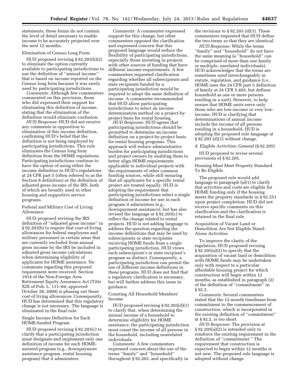statements, these forms do not contain the level of detail necessary to enable income to be accurately projected over the next 12 months.

#### Elimination of Census Long Form

HUD proposed revising § 92.203(b)(2) to eliminate the option currently available to participating jurisdictions to use the definition of ''annual income'' that is based on income reported on the Census long form because it was rarely used by participating jurisdictions.

*Comments:* Although few commenters commented on this provision, those who did expressed their support for eliminating this definition of income, stating that the elimination of the definition would eliminate confusion.

*HUD Response:* HUD did not receive any comments in opposition to elimination of this income definition, confirming HUD's belief that the definition is not being employed by participating jurisdictions. This rule eliminates the Census long form definition from the HOME regulations. Participating jurisdictions continue to have the option of using either the income definition in HUD's regulations at 24 CFR part 5 (often referred to as the Section 8 definition) or the definition of adjusted gross income of the IRS, both of which are broadly used in other housing and supportive service programs.

#### Federal and Military Cost of Living Allowance

HUD proposed revising the IRS definition of ''adjusted gross income'' in § 92.203(b) to require that cost-of-living allowances for federal employees and military personnel in certain areas that are currently excluded from annual gross income by the IRS be included in adjusted gross income calculations when determining eligibility of applicants for HOME assistance. No comments regarding this proposed requirement were received. Section 1914 of the Non-Foreign Area Retirement Equity Assurance Act (Title XIX of Pub. L. 111–84, approved October 28, 2009) is phasing out these cost of living allowances. Consequently, HUD has determined that this regulatory change is not necessary. The language is eliminated in the final rule.

#### Single Income Definition for Each HOME-funded Program

HUD proposed revising § 92.203(c) to clarify that a participating jurisdiction must designate and implement only one definition of income for each HOMEassisted program (e.g., downpayment assistance program, rental housing program) that it administers.

*Comments:* A commenter expressed support for this change, but other commenters opposed the clarification and expressed concern that this proposed language would reduce the flexibility of participating jurisdictions, especially those investing in projects with other sources of funding that have different income requirements. A few commenters requested clarification regarding whether all subrecipients and state recipients funded by a participating jurisdiction would be required to adopt the same definition of income. A commenter recommended that HUD allow participating jurisdictions to select an income determination method on a project-byproject basis for rental housing.

*HUD Response:* HUD agrees that participating jurisdictions should be permitted to determine an income definition on a project-by-project basis for rental housing programs. This approach will reduce administrative burden for participating jurisdictions and project owners by enabling them to better align HOME requirements applicable to individual projects with the requirements of other common funding sources, while still ensuring that all applicants for a specific rental project are treated equally. HUD is adopting the requirement that participating jurisdictions select a single definition of income for use in each program it administers (e.g., downpayment assistance), but has also revised the language at § 92.203(c) to reflect the change related to rental projects. HUD is not adding language to address the question regarding the income definitions that may be used by subrecipients or state recipients receiving HOME funds from a single participating jurisdiction. HUD views each subrecipient's or state recipient's program as distinct. Consequently, a participating jurisdiction can permit the use of different income definitions in these programs. HUD does not find that a regulatory clarification is necessary, but will further address this issue in guidance.

#### Counting All Household Members' Income

HUD proposed revising § 92.203(d)(1) to clarify that, when determining the annual income of a household to determine eligibility for HOME assistance, the participating jurisdiction must count the income of all persons in the household, including nonrelated individuals.

*Comments:* A few commenters expressed concern about the use of the terms ''family'' and ''household'' throughout § 92.203, and specifically in the revisions to  $\S 92.203$  (d)(1). These commenters requested that HUD define the two terms so that they are identical.

*HUD Response:* While the terms ''family'' and ''household'' do not have the same meaning (a ''household'' can be comprised of more than one family or multiple, unrelated individuals), HUD acknowledges that the terms are sometimes used interchangeably in statute, regulation, and guidance (i.e., HOME uses the 24 CFR part 5 definition of family at 24 CFR 5.403, but defines household as one or more persons residing in a unit). However, to help ensure that HOME units serve only those who are low-income or very lowincome, HUD is clarifying that determinations of annual income include the income of all persons residing in a household. HUD is adopting the proposed rule language at § 92.203 (d)(1) without change.

d. Eligible Activities: General (§ 92.205)

HUD proposed to revise several provisions of § 92.205.

#### Housing Must Meet Property Standard To Be Eligible

The proposed rule would add language to paragraph (a)(1) to clarify that activities and costs are eligible for HOME funding only if the housing meets the property standards in § 92.251 upon project completion. HUD did not receive specific comments on this clarification and the clarification is retained in the final rule.

Acquisition of Vacant Land or Demolition Are Not Eligible Stand-Alone Activities

To improve the clarity of the regulation, HUD proposed revising § 92.205(a)(2) to specify that the acquisition of vacant land or demolition with HOME funds may be undertaken only with respect to a particular affordable housing project for which construction will begin within 12 months, as established in paragraph (2) of the definition of ''commitment'' in § 92.2.

*Comments:* Several commenters stated that the 12-month timeframe from commitment to the commencement of construction, which is incorporated in the existing definition of ''commitment'' at § 92.2, is too short.

*HUD Response:* The provision at § 92.205(a)(2) is intended only to reinforce the existing requirement in the definition of ''commitment.'' The requirement that construction is expected to begin within 12 months is not new. The proposed rule language is adopted without change.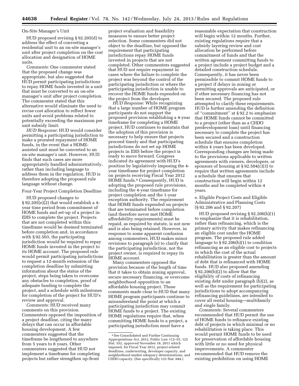#### On-Site Manager's Unit

HUD proposed revising § 92.205(d) to address the effect of converting a residential unit to an on-site manager's unit after project completion on the cost allocation and designation of HOME units.

*Comments:* One commenter stated that the proposed change was appropriate, but also suggested that HUD permit participating jurisdictions to repay HOME funds invested in a unit that must be converted to an on-site manager's unit after project completion. The commenter stated that this alternative would eliminate the need to revise cost allocation to reflect fewer units and avoid problems related to potentially exceeding the maximum per unit subsidy limit.

*HUD Response:* HUD would consider permitting a participating jurisdiction to make a prorated repayment of HOME funds, in the event that a HOMEassisted unit must be converted to an on-site manager's unit. However, HUD finds that such cases are more appropriately handled administratively, rather than including language to address them in the regulation. HUD is therefore adopting the proposed rule language without change.

Four-Year Project Completion Deadline

HUD proposed changes to  $\S 92.205(e)(2)$  that would establish a 4year time period from commitment of HOME funds and set-up of a project in IDIS to complete the project. Projects that are not completed within this timeframe would be deemed terminated before completion and, in accordance with § 92.503, the participating jurisdiction would be required to repay HOME funds invested in the project to its HOME account. The proposed rule would permit participating jurisdictions to request a 12-month extension of the completion deadline by submitting information about the status of the project, steps being taken to overcome any obstacles to completion, proof of adequate funding to complete the project, and a schedule with milestones for completion of the project for HUD's review and approval.

*Comments:* HUD received many comments on this provision. Commenters opposed the imposition of a project deadline, citing the many delays that can occur in affordable housing development. A few commenters suggested that the timeframe be lengthened to anywhere from 5 years to 8 years. Other commenters suggested that HUD not implement a timeframe for completing projects but rather strengthen up-front

project evaluation and feasibility measures to ensure better project selection. Some commenters did not object to the deadline, but opposed the requirement that participating jurisdictions repay HOME funds invested in projects that are not completed. Other commenters suggested that HUD not require repayment in cases where the failure to complete the project was beyond the control of the participating jurisdiction or where the participating jurisdiction is unable to recover the HOME funds expended on the project from the developer.

*HUD Response:* While recognizing that a large number of HOME program participants do not support the proposed provision establishing a 4-year timeframe for completing a HOME project, HUD continues to maintain that the adoption of this provision is necessary to help ensure that projects proceed timely and that participating jurisdictions do not set up HOME projects in IDIS before the project is ready to move forward. Congress indicated its agreement with HUD's position by legislatively imposing the 4 year timeframe for project completion on projects receiving Fiscal Year 2012 HOME funds.4 Consequently, HUD is adopting the proposed rule provisions, including the 4-year timeframe for project completion and the 1-year exception authority. The requirement that HOME funds expended on projects that are terminated before completion (and therefore never met HOME affordability requirements) must be repaid, as required by statute, is not new and is also being retained. However, in response to some apparent confusion among commenters, HUD makes minor revisions to paragraph (e) to clarify that the participating jurisdiction, not the project owner, is required to repay its HOME account.

Many commenters opposed the provision because of the length of time that it takes to obtain zoning approval, secure necessary financing, or overcome neighborhood opposition to an affordable housing project. These comments made clear to HUD that many HOME program participants continue to misunderstand the point at which a participating jurisdiction may commit HOME funds to a project. The existing HOME regulations require that, when committing HOME funds to a project, a participating jurisdiction must have a

reasonable expectation that construction will begin within 12 months. Further, existing regulations require that a subsidy layering review and cost allocation be performed before commitment of funds and that the written agreement committing funds to a project include a project budget and a detailed construction schedule. Consequently, it has never been permissible to commit HOME funds to a project if delays in zoning or permitting approvals are anticipated, or if other necessary financing has not been secured. The proposed rule attempted to clarify these requirements. HUD is further amending the definition of ''commitment'' at § 92.2 to emphasize that HOME funds cannot be committed to a project (other than as a CHDO predevelopment loan) until financing necessary to complete the project has been secured and a construction schedule that ensures completion within 4 years has been developed. Corresponding changes are being made to the provisions applicable to written agreements with owners, developers, or sponsors of housing at § 92.504(c)(3) to require that written agreements include a schedule that ensures that construction will begin within 12 months and be completed within 4 years.

e. Eligible Project Costs and Eligible Administrative and Planning Costs (§ 92.206 and § 92.207)

HUD proposed revising § 92.206(b)(1) to emphasize that it is rehabilitation, rather than refinancing, which is the primary activity that makes refinancing an eligible cost under the HOME program. The proposed rule added language to § 92.206(b)(1) to condition refinancing as an eligible cost to projects in which the cost of the actual rehabilitation is greater than the amount of debt that is refinanced with HOME funds. HUD also proposed amending § 92.206(b)(2) to allow that the eligibility of costs of refinancing existing debt under paragraph (b)(2), as well as the requirement for participating jurisdictions to adopt accompanying refinancing guidelines, are intended to cover all rental housing—multifamily and single family.

*Comments:* Several commenters recommended that HUD permit the use of HOME funds to refinance existing debt of projects in which minimal or no rehabilitation is taking place. This would permit HOME funds to be used for preservation of affordable housing with little or no need for physical improvements. A commenter recommended that HUD remove the existing prohibition on using HOME

<sup>4</sup>See Consolidated and Further Continuing Appropriations Act, 2012, Public Law 112–55, 125 Stat. 552, approved November 18, 2011 which imposed, for Fiscal Year 2012, project-related deadlines, underwriting, developer capacity, and neighborhood market adequacy determinations, and CHDO capacity. (See specifically 125 Stat. 684.)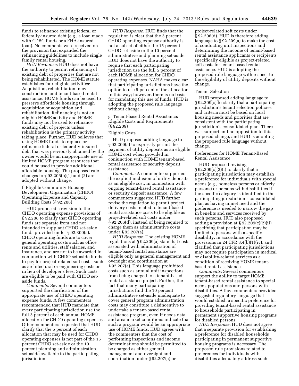funds to refinance existing federal or federally-insured debt (e.g., a loan made with CDBG funds or a FHA-insured loan). No comments were received on the provision that expanded the refinancing guidelines to include single family rental housing.

*HUD Response:* HUD does not have the authority to permit refinancing of existing debt of properties that are not being rehabilitated. The HOME statute establishes four eligible activities: Acquisition, rehabilitation, new construction, and tenant-based rental assistance. HOME funds can be used to preserve affordable housing through acquisition or acquisition and rehabilitation. Refinancing is not an eligible HOME activity and HOME funds may not be used to refinance existing debt of projects unless rehabilitation is the primary activity taking place. Further, HUD believes that using HOME funds to replace or refinance federal or federally-insured debt that was previously obtained by the owner would be an inappropriate use of limited HOME program resources that could be used to provide additional affordable housing. The proposed rule changes to § 92.206(b)(1) and (2) are adopted without change.

f. Eligible Community Housing Development Organization (CHDO) Operating Expense and Capacity Building Costs (§ 92.208)

HUD proposed a revision to the CHDO operating expense provisions of § 92.208 to clarify that CHDO operating funds are separate from and not intended to supplant CHDO set-aside funds provided under § 92.300(a). CHDO operating funds are to cover general operating costs such as office rents and utilities, staff salaries, and insurance, and are not to be awarded in conjunction with CHDO set-aside funds to pay for project-related soft costs, such as architectural or engineering costs or in lieu of developer's fees. Such costs are eligible to be paid with CHDO setaside funds.

*Comments:* Several commenters supported the clarification of the appropriate use of CHDO operating expense funds. A few commenters recommended that HUD mandate that every participating jurisdiction use the full 5 percent of each annual HOME allocation for CHDO operating expenses. Other commenters requested that HUD clarify that the 5 percent of each allocation that may be used for CHDO operating expenses is not part of the 15 percent CHDO set-aside or the 10 percent planning and administration set-aside available to the participating jurisdiction.

*HUD Response:* HUD finds that the regulation is clear that the 5 percent CHDO operating expense authority is not a subset of either the 15 percent CHDO set-aside or the 10 percent administrative and planning set-aside. HUD does not have the authority to require that each participating jurisdiction use the full 5 percent of each HOME allocation for CHDO operating expenses. NAHA makes clear that participating jurisdictions have the option to use 5 percent of the allocation in this way; however, there is no basis for mandating this use of funds. HUD is adopting the proposed rule language without change.

g. Tenant-based Rental Assistance: Eligible Costs and Requirements  $(\S$ 92.209)

#### Eligible Costs

HUD proposed adding language to § 92.209(a) to expressly permit the payment of utility deposits as an eligible HOME cost when provided in conjunction with HOME tenant-based rental assistance or security deposit assistance.

*Comments:* A commenter supported the explicit inclusion of utility deposits as an eligible cost, in connection with ongoing tenant-based rental assistance or security deposit assistance. A few commenters suggested HUD further revise the regulation to permit project delivery costs related to tenant-based rental assistance costs to be eligible as project-related soft costs under § 92.206(d), instead of being required to charge them as administrative costs under § 92.207(a).

*HUD Response:* The existing HOME regulations at § 92.209(a) state that costs associated with administration of tenant-based rental assistance are eligible only as general management and oversight and coordination at § 92.207(a). This language prohibited costs such as annual unit inspections from being charged to a tenant-based rental assistance project. Further, the fact that many participating jurisdictions find the 10 percent administrative set-aside inadequate to cover general program administration costs may constitute a disincentive to undertake a tenant-based rental assistance program, even if needs data and area market conditions indicate that such a program would be an appropriate use of HOME funds. HUD agrees with the commenters that the cost of performing inspections and income determinations should be permitted to be charged as either general management and oversight and coordination under § 92.207(a) or

project-related soft costs under § 92.206(d). HUD is therefore adding language to § 92.209(a) to make the cost of conducting unit inspections and determining the income of tenant-based rental assistance applicants or recipients specifically eligible as project-related soft costs for tenant-based rental assistance. HUD is adopting the proposed rule language with respect to the eligibility of utility deposits without change.

#### Tenant Selection

HUD proposed adding language to § 92.209(c) to clarify that a participating jurisdiction's tenant selection policies and criteria must be based on local housing needs and priorities that are consistent with the participating jurisdiction's consolidated plan. There was support and no opposition to this proposed change, and HUD is adopting the proposed rule language without change.

#### Preferences for HOME Tenant-Based Rental Assistance

HUD proposed revising  $§ 92.209(c)(2)(i)$  to clarify that a participating jurisdiction may establish a preference for individuals with special needs (e.g., homeless persons or elderly persons) or persons with disabilities if the specific category is identified in the participating jurisdiction's consolidated plan as having unmet need and the preference is needed to narrow the gap in benefits and services received by such persons. HUD also proposed adding a provision at § 92.209(c)(2)(ii) specifying that participation may be limited to persons with a specific disability, in accordance with the provisions in 24 CFR 8.4(b)(1)(iv), and clarified that participating jurisdictions may not require participation in medical or disability-related services as a condition of receiving HOME tenantbased rental assistance.

*Comments:* Several commenters support the ability to target HOME tenant-based rental assistance to special needs populations and persons with disabilities. A few commenters provided suggested regulatory language that would establish a specific preference for providing tenant-based rental assistance to households participating in permanent supportive housing programs for disabled persons.

*HUD Response:* HUD does not agree that a separate provision for establishing a preference for disabled households participating in permanent supportive housing programs is necessary. The proposed rule provisions related to preferences for individuals with disabilities adequately address such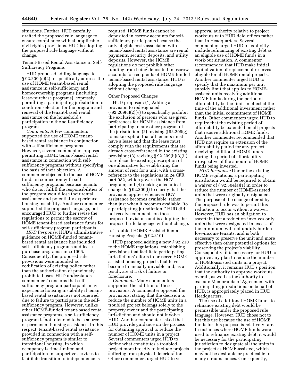situations. Further, HUD carefully drafted the proposed rule language to ensure compliance with all applicable civil rights provisions. HUD is adopting the proposed rule language without change.

Tenant-Based Rental Assistance in Self-Sufficiency Programs

HUD proposed adding language to § 92.209 (c)(2) to specifically address the use of HOME tenant-based rental assistance in self-sufficiency and homeownership programs (including lease-purchase programs), expressly permitting a participating jurisdiction to condition selection for the program and renewal of the tenant-based rental assistance on the household's participation in the self-sufficiency program.

*Comments:* A few commenters supported the use of HOME tenantbased rental assistance in conjunction with self-sufficiency programs. However, several commenters opposed permitting HOME tenant-based rental assistance in connection with selfsufficiency programs without specifying the basis of their objection. A commenter objected to the use of HOME funds in connection with selfsufficiency programs because tenants who do not fulfill the responsibilities of the program would lose their rental assistance and potentially experience housing instability. Another commenter supported the proposed language, but encouraged HUD to further revise the regulations to permit the escrow of HOME tenant-based assistance funds for self-sufficiency program participants.

*HUD Response:* HUD's administrative guidance on HOME-funded tenantbased rental assistance has included self-sufficiency programs and leasepurchase programs since 1996. Consequently, the proposed rule provisions were intended as codification of existing policy rather than the authorization of previously prohibited uses. HUD understands commenters' concerns that selfsufficiency program participants may experience housing instability if tenantbased rental assistance is not renewed due to failure to participate in the selfsufficiency program. However, unlike other HOME-funded tenant-based rental assistance programs, a self-sufficiency program is not intended to be a source of permanent housing assistance. In this respect, tenant-based rental assistance provided in connection with a selfsufficiency program is similar to transitional housing, in which occupancy is time-limited and participation in supportive services to facilitate transition to independence is

required. HOME funds cannot be deposited in escrow accounts for selfsufficiency participants because the only eligible costs associated with tenant-based rental assistance are rental payments, security deposits, and utility deposits. However, the HOME regulations do not prohibit other funding from being deposited in escrow accounts for recipients of HOME-funded tenant-based rental assistance. HUD is adopting the proposed rule language without change.

#### Other Proposed Changes

HUD proposed: (1) Adding a provision to redesignated  $§ 92.209(c)(2)(v)$  to specifically prohibit the exclusion of persons who are given preferences for HOME assistance from participating in any other program of the jurisdiction; (2) revising § 92.209(g) to make explicit that all tenants must have a lease and that the lease must comply with the requirements that are already cross-referenced in the existing provision; (3) revising  $\S 92.209(h)(3)(ii)$ to replace the existing description of one alternative for establishing the amount of rent for a unit with a crossreference to the regulations in 24 CFR part 982, which govern the HCV program; and (4) making a technical change to § 92.209(l) to clarify that the provision applies whenever HCV assistance becomes available, rather than just when it becomes available ''to a participating jurisdiction.'' HUD did not receive comments on these proposed revisions and is adopting the proposed rule language without change.

h. Troubled HOME-Assisted Rental Housing Projects (§ 92.210)

HUD proposed adding a new § 92.210 to the HOME regulations, establishing provisions that facilitate participating jurisdictions' efforts to preserve HOMEassisted housing projects that have become financially unviable and, as a result, are at risk of failure or foreclosure.

*Comments:* Many commenters supported the addition of these provisions. A commenter opposed the provisions, stating that the decision to reduce the number of HOME units in a troubled project belongs solely to the property owner and the participating jurisdiction and should not involve HUD. Another commenter asked that HUD provide guidance on the process for obtaining approval to reduce the number of HOME units in a project. Several commenters urged HUD to define what constitutes a troubled project more broadly to include projects suffering from physical deterioration. Other commenters urged HUD to vest

approval authority relative to project workouts with HUD field offices rather than in Headquarters. Several commenters urged HUD to explicitly include refinancing of existing debt as an eligible use of HOME funds in a work-out situation. A commenter recommended that HUD make initial capitalization of replacement reserves eligible for all HOME rental projects. Another commenter urged HUD to specify that the maximum per unit subsidy limit that applies to HOMEassisted units receiving additional HOME funds during the period of affordability be the limit in effect at the time of the additional investment rather than the initial commitment of HOME funds. Other commenters urged HUD to require that the existing period of affordability be extended on all projects that receive additional HOME funds. Another commenter recommended that HUD not require an extension of the affordability period for any project receiving additional HOME funds during the period of affordability, irrespective of the amount of HOME funds being invested.

*HUD Response:* Under the existing HOME regulations, a participating jurisdiction would be required to obtain a waiver of § 92.504(a)(1) in order to reduce the number of HOME-assisted units that were originally designated. The purpose of the change offered by the proposed rule was to permit this reduction to occur without a waiver. However, HUD has an obligation to ascertain that a reduction involves only units that were designated in excess of the minimum, will not unduly burden low-income tenants, and is both necessary to preserve the unit and more effective than other potential options for preserving the project's viability. Consequently, it is necessary for HUD to approve any plan to reduce the number of HOME-assisted units in a project. Additionally, it remains HUD's position that the authority to approve workouts overall, as well as the authority to execute Memoranda of Agreement with participating jurisdictions on behalf of HUD, is appropriately placed in HUD Headquarters.

The use of additional HOME funds to refinance existing debt would be permissible under the proposed rule language. However, HUD chose not to list this use because the use of HOME funds for this purpose is relatively rare. In instances where HOME funds were used to refinance existing debt, it would be necessary for the participating jurisdiction to designate all the units in the project as HOME-assisted, which may not be desirable or practicable in many circumstances. Consequently,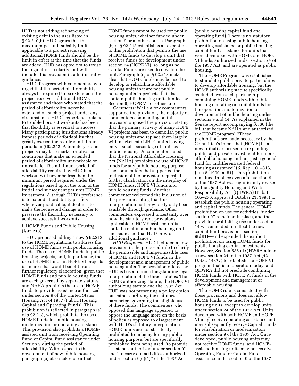HUD is not adding refinancing of existing debt to the uses listed in § 92.210(b). HUD agrees that the maximum per unit subsidy limit applicable to a project receiving additional HOME funds should be the limit in effect at the time that the funds are added. HUD has opted not to revise the regulation to clarify, but will include this provision in administrative guidance.

HUD disagrees with commenters who urged that the period of affordability always be required to be extended if the project receives additional HOME assistance and those who stated that the period of affordability never be extended on such a project under any circumstance. HUD's experience related to troubled project workouts has been that flexibility is essential to success. Many participating jurisdictions already impose periods of affordability that greatly exceed the required minimum periods in § 92.252. Alternately, some projects may face market or physical conditions that make an extended period of affordability unworkable or unrealistic. The minimum period of affordability required by HUD in a workout will never be less than the minimum period required under the regulations based upon the total of the initial and subsequent per unit HOME investment. Although HUD's preference is to extend affordability periods whenever practicable, it declines to make the requested change in order to preserve the flexibility necessary to achieve successful workouts.

i. HOME Funds and Public Housing (§ 92.213)

HUD proposed adding a new § 92.213 to the HOME regulations to address the use of HOME funds with public housing funds. The use of HOME funds in public housing projects, and, in particular, the use of HOME funds in HOPE VI projects is an area that would benefit from further regulatory elaboration, given that HOME funds and public housing funds are each governed by separate statutes and NAHA prohibits the use of HOME funds to provide assistance authorized under section 9 of the United States Housing Act of 1937 (Public Housing Capital and Operating Funds). This prohibition is reflected in paragraph (a) of § 92.213, which prohibits the use of HOME funds for public housing modernization or operating assistance. This provision also prohibits a HOMEassisted unit from receiving Operating Fund or Capital Fund assistance under Section 9 during the period of affordability. With respect to the development of new public housing, paragraph (a) also makes clear that

HOME funds cannot be used for public housing units, whether funded under section 9 or another source. Paragraph (b) of § 92.213 establishes an exception to this prohibition that permits the use of HOME funds to develop a unit that receives funds for development under section 24 (HOPE VI), so long as no Capital Funds are used to develop the unit. Paragraph (c) of § 92.213 makes clear that HOME funds may be used to develop or rehabilitate affordable housing units that are not public housing units in projects that also contain public housing units funded by Section 9, HOPE VI, or other funds.

*Comments:* While a few commenters supported the provision, the majority of commenters commenting on this provision opposed the provision stating that the primary activity of many HOPE VI projects has been to demolish public housing units and replace them largely with market-rate LIHTC units leaving only a small percentage of units as public housing. A commenter stated that the National Affordable Housing Act (NAHA) prohibits the use of HOME funds for any public housing purpose. The commenters that supported the inclusion of the provision requested further clarification on the interplay of HOME funds, HOPE VI funds and public housing funds. Another commenter welcomed the inclusion of the provision stating that this interpretation had previously only been available through guidance. Other commenters expressed uncertainty over how the statutory rent provisions applicable to HOME-assisted units could be met in a public housing unit and requested that HUD provide additional guidance .

*HUD Response:* HUD included a new provision in the proposed rule to clarify the permissible and impermissible uses of HOME and HOPE VI funds in the development and management of public housing units. The provision offered by HUD is based upon a longstanding legal interpretation of the three statutes: The HOME authorizing statute, the HOPE VI authorizing statute and the 1937 Act. HUD was not presenting a policy option but rather clarifying the statutory parameters governing the eligible uses of these funds. The commenters who opposed this language appeared to oppose the language more on the basis of policy as opposed to disagreement with HUD's statutory interpretation. HOME funds are not statutorily prohibited from being for any public housing purpose, but are specifically prohibited from being used ''to provide assistance authorized under section 9'' and ''to carry out activities authorized under section 9(d)(1)'' of the 1937 Act

(public housing capital fund and operating fund). There is no statutory prohibition on using public housing operating assistance or public housing capital fund assistance for units that were developed with HOME and HOPE VI funds, authorized under section 24 of the 1937 Act, and are operated as public housing.

The HOME Program was established to stimulate public-private partnerships to develop affordable housing, but the HOME authorizing statute specifically excluded from such partnerships combining HOME funds with public housing operating or capital funds for the operation, modernization or development of public housing under sections 9 and 14. As explained in the Senate report accompanying S.566 (the bill that became NAHA and authorized the HOME program) ''These prohibitions are made necessary by the Committee's intent that [HOME] be a new initiative focused on expanding public and private investment for more affordable housing and not just a general fund for undifferentiated federal housing assistance'' (S. Rep. 101–316, June 8, 1990, at 51). This prohibition remained in place even after section 9 of the 1937 Act was significantly revised by the Quality Housing and Work Responsibility Act (QHWRA) (Pub. L. 105–276, approved October 21, 1998) to establish the public housing operating and capital funds. The general HOME prohibition on use for activities ''under section 9'' remained in place, and the provision prohibiting use under section 14 was amended to reflect the new capital fund provision—section 9(d)(1)—and expanded the explicit prohibition on using HOME funds for public housing capital investments. However, Section 535 of QHWRA added a new section 24 to the 1937 Act (42 U.S.C. 1437v) to establish the HOPE VI program that is in operation today, and QHWRA did not preclude combining HOME funds with HOPE VI funds in the development and management of affordable housing.

The HOME rule is consistent with these provisions and does not allow HOME funds to be used for public housing units, except to develop units under section 24 of the 1937 Act. Units developed with both HOME and HOPE VI may receive operating assistance and may subsequently receive Capital Funds for rehabilitation or modernization under section 9 of the 1937 Act. Once developed, public housing units may not receive HOME funds, and HOMEassisted housing units may not receive Operating Fund or Capital Fund assistance under section 9 of the 1937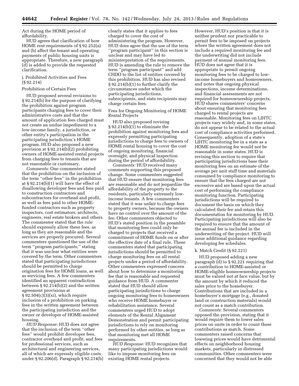Act during the HOME period of affordability.

HUD agrees that clarification of how HOME rent requirements of § 92.252(a) and (b) affect the tenant and operating payments of public housing units is appropriate. Therefore, a new paragraph (d) is added to provide the requested clarification.

#### j. Prohibited Activities and Fees (§ 92.214)

#### Prohibition of Certain Fees

HUD proposed several revisions to § 92.214(b) for the purpose of clarifying the prohibition against program participants charging fees to cover their administrative costs and that the amount of application fees charged must not create an undue impediment to a low-income family, a jurisdiction, or other entity's participation in the participating jurisdiction's HOME program. HUD also proposed a new provision at § 92.214(b)(2) prohibiting owners of HOME-assisted rental projects from charging fees to tenants that are not reasonable or customary.

*Comments:* One commenter stated that the prohibition on the inclusion of the term ''other fees'' in the prohibition at § 92.214(b)(1) will have the effect of disallowing developer fees and fees paid to construction contractors and subcontractors for overhead and profit, as well as fees paid to other HOMEfunded contractors such as property inspectors, cost estimators, architects, engineers, real estate brokers and others. The commenter stated that the rule should expressly allow these fees, as long as they are reasonable and the services are properly procured. Several commenters questioned the use of the term ''program participants,'' stating that it was unclear what entities were covered by the term. Other commenters stated that participating jurisdictions should be permitted to charge origination fees for HOME loans, as well as servicing fees. A few commenters identified an apparent contradiction between § 92.214(b)(2) and the written agreement provisions at  $\S 92.504(c)(3)(xi)$ , which require inclusion of a prohibition on parking fees in the written agreement between the participating jurisdiction and the owner or developer of HOME-assisted housing.

*HUD Response:* HUD does not agree that the inclusion of the term ''other fees'' would prohibit developer fees, contractor overhead and profit, and fees for professional services, such as architectural and engineering services, all of which are expressly eligible costs under § 92.206(d). Paragraph § 92.214(b)

clearly states that it applies to fees charged to cover the cost of administering the program. However, HUD does agree that the use of the term ''program participant'' in this section is unclear and may have led to misinterpretation of the requirements. HUD is amending the rule to remove the term ''program participant'' and add CHDO to the list of entities covered by this prohibition. HUD has also revised § 92.214(b)(1) to further clarify the circumstances under which the participating jurisdictions, subrecipients, and state recipients may charge certain fees.

Fees for Ongoing Monitoring of HOME Rental Projects

HUD also proposed revising § 92.214(b)(1) to eliminate the prohibition against monitoring fees and expressly permitting participating jurisdictions to charge fees to owners of HOME rental housing to cover the cost of ongoing monitoring, financial oversight, and physical inspection during the period of affordability.

*Comments:* HUD received many comments supporting this proposed change. Some commenters suggested that HUD ensure that monitoring fees are reasonable and do not jeopardize the affordability of the property to the residents, particularly extremely lowincome tenants. A few commenters stated that it was unfair to charge fees to property owners, because the owners have no control over the amount of the fee. Other commenters objected to HUD's stated position in the preamble that monitoring fees could only be charged to projects that received a commitment of HOME funds on or after the effective date of a final rule. These commenters stated that participating jurisdictions should be permitted to charge monitoring fees on all rental projects under a period of affordability. Other commenters expressed concern about how to determine a monitoring fee that is reasonable and requested guidance from HUD. A commenter stated that HUD should allow participating jurisdictions to charge ongoing monitoring fees to homeowners who receive HOME homebuyer or rehabilitation assistance. Several commenters urged HUD to adopt elements of the Rental Alignment Demonstration and permit participating jurisdictions to rely on monitoring performed by other entities, as long as that monitoring met all HOME requirements.

*HUD Response:* HUD recognizes that many participating jurisdictions would like to impose monitoring fees on existing HOME rental projects.

However, HUD's position is that it is neither prudent nor practicable to permit fees to be imposed on projects where the written agreement does not include a required monitoring fee and the underwriting did not include payment of annual monitoring fees. HUD does not agree that it is appropriate to permit ongoing monitoring fees to be charged to lowincome homebuyers and homeowners, and notes that ongoing physical inspections, income determinations, and financial assessments are not required for homeownership projects. HUD shares commenters' concerns about ensuring that monitoring fees charged to rental projects are reasonable. Monitoring fees on LIHTC projects vary widely and, in some states, do not appear to be related to the actual cost of compliance activities performed. Consequently, adoption of a state's LIHTC monitoring fee in a state as a HOME monitoring fee would not be reasonable in some states. HUD is revising this section to require that participating jurisdictions base their monitoring fees on an estimate of the average per unit staff time and materials consumed by compliance monitoring to ensure that the fees charged are not excessive and are based upon the actual cost of performing the compliance monitoring function. Participating jurisdictions will be required to document the basis on which they calculated their fee and retain this documentation for monitoring by HUD. Participating jurisdictions will also be required to ensure that the amount of the annual fee is included in the underwriting of the project. HUD will issue additional guidance regarding developing fee schedules.

#### k. Match Credit (§ 92.221)

HUD proposed adding a new paragraph (d) to § 92.221 requiring that a contribution to HOME-assisted or HOME-eligible homeownership projects must be valued not at face value, but by the amount by which it reduced the sales price to the homebuyer. Contributions that are included in a homebuyer's mortgage (e.g., donated land or construction materials) would not count as a match contribution.

*Comments:* Several commenters opposed the provision, stating that it would require them to lower sales prices on units in order to count these contributions as match. Some commenters raised concerns that lowering prices would have detrimental effects on neighborhood housing markets, particularly in distressed communities. Other commenters were concerned that they would not be able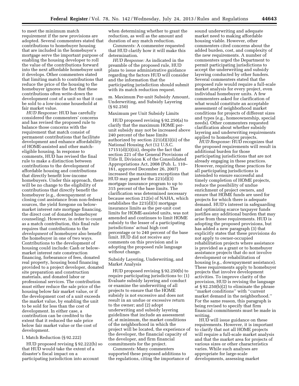to meet the minimum match requirement if the new provisions are adopted. Several commenters stated that contributions to homebuyer housing that are included in the homebuyer's mortgage serve the important purpose of enabling the housing developer to roll the value of the contributions forward into the next affordable homebuyer unit it develops. Other commenters stated that limiting match to contributions that reduce the price of the housing to the homebuyer ignores the fact that these contributions often write-down the development cost of a unit so that it can be sold to a low-income household at fair market value.

*HUD Response:* HUD has carefully considered the commenters' concerns and has revised the proposed rule to balance those concerns with the requirement that match consist of permanent contributions that facilitate development and enhance affordability of HOME-assisted and other matcheligible housing. In response to comments, HUD has revised the final rule to make a distinction between contributions to the development of affordable housing and contributions that directly benefit low-income homebuyers. Under this approach, there will be no change to the eligibility of contributions that directly benefit the homebuyer (e.g., downpayment or closing cost assistance from non-federal sources, the yield foregone on belowmarket interest rate mortgage financing, the direct cost of donated homebuyer counseling). However, in order to count as a match contribution, this final rule requires that contributions to the *development* of homebuyer also benefit the homebuyer in one of two ways. Contributions to the development of housing could include: Cash or belowmarket interest rate construction financing, forbearance of fees, donated real property, housing bond financing provided to a project developer, donated site preparation and construction materials, and donated labor or professional services. The contribution must either reduce the sale price of the housing below fair market value, or if the development cost of a unit exceeds the market value, by enabling the unit to be sold for less than the cost of development. In either case, a contribution can be credited to the extent that it reduced the sale price below fair market value or the cost of development.

#### l. Match Reduction (§ 92.222)

HUD proposed revising § 92.222(b) so that HUD would take the extent of a disaster's fiscal impact on a participating jurisdiction into account

when determining whether to grant the reduction, as well as the amount and duration of any match reduction.

*Comments:* A commenter requested that HUD clarify how it will make this determination.

*HUD Response:* As indicated in the preamble of the proposed rule, HUD plans to issue administrative guidance regarding the factors HUD will consider and the information that the participating jurisdiction should submit with its match reduction request.

m. Maximum Per-unit Subsidy Amount, Underwriting, and Subsidy Layering (§ 92.250)

#### Maximum per Unit Subsidy Limits

HUD proposed revising § 92.250(a) to clarify that the maximum HOME perunit subsidy may not be increased above 240 percent of the base limits authorized by section 221(d)(3)(ii) of the National Housing Act (12 U.S.C. 17151(d)(3)(iii), despite the fact that section 221 of the General Provisions of Title II, Division K of the Consolidated Appropriations Act, 2008 (Pub. L. 110– 161, approved December 26, 2007) increased the maximum exceptions that HUD may grant for the 221(d)(3) mortgage insurance program to up to 315 percent of the base limits. The clarification was determined necessary because section 212(e) of NAHA, which establishes the 221(d)(3) mortgage insurance limits as the per-unit cost limits for HOME-assisted units, was not amended and continues to limit HOME subsidy to the lesser of a participating jurisdictions' actual high cost percentage or to 240 percent of the base limit. HUD did not receive any comments on this provision and is adopting the proposed rule language without change.

Subsidy Layering, Underwriting, and Market Analysis

HUD proposed revising § 92.250(b) to require participating jurisdictions to: (1) Evaluate subsidy layering and conduct or examine the underwriting of all projects to ensure that the HOME subsidy is not excessive and does not result in an undue or excessive return to the owner; and (2) adopt underwriting and subsidy layering guidelines that include an assessment of, at minimum, the market conditions of the neighborhood in which the project will be located, the experience of the developer, the financial capacity of the developer, and firm financial commitments for the project.

*Comments:* Many commenters supported these proposed additions to the regulations, citing the importance of sound underwriting and adequate market need to making affordable housing viable. However, other commenters cited concerns about the added burden, cost, and complexity of the new requirements. A number of commenters urged the Department to permit participating jurisdictions to accept the underwriting and subsidy layering conducted by other funders. Several commenters stated that the proposed rule would require a full-scale market analysis for every project, even individual homebuyer units. A few commenters asked for clarification of what would constitute an acceptable assessment of neighborhood market conditions for projects of different sizes and types (e.g., homeownership, special needs). Other commenters requested clarification about whether subsidy layering and underwriting requirements applied to homebuyer projects.

*HUD Response:* HUD recognizes that the proposed requirements will result in additional burden for those participating jurisdictions that are not already engaging in these practices. However, requiring these practices for all participating jurisdictions is intended to ensure successful and timely completion of HOME projects, reduce the possibility of undue enrichment of project owners, and ensure that HOME funds are used for projects for which there is adequate demand. HUD's interest in safeguarding and optimizing scarce taxpayer funds justifies any additional burden that may arise from these requirements. HUD is adopting the proposed provisions, but has added a new paragraph (3) that explicitly states that these provisions do not apply to owner-occupied rehabilitation projects where assistance is provided as a grant or to homebuyer assistance projects that do not involve development or rehabilitation of housing (e.g., downpayment assistance). These requirements apply to homebuyer projects that involve development activities. To improve clarity of the provision, HUD is revising the language at § 92.250(b)(2) to eliminate the phrase ''market conditions'' with ''current market demand in the neighborhood.'' For the same reason, this paragraph is being revised to specify that firm financial commitments must be made in writing.

HUD will issue guidance on these requirements. However, it is important to clarify that not all HOME projects will require a full-scale market analysis and that the market area for projects of various sizes or other characteristics varies. While such analyses are appropriate for large-scale developments, assessing market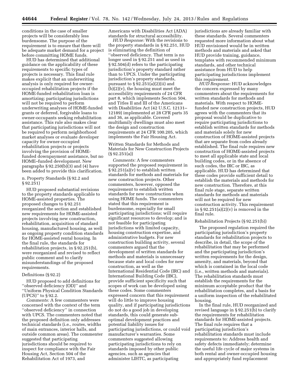conditions in the case of smaller projects will be considerably less burdensome. The purpose of the requirement is to ensure that there will be adequate market demand for a project before committing HOME funds.

HUD has determined that additional guidance on the applicability of these requirements to specific types of projects is necessary. This final rule makes explicit that an underwriting analysis is only required for owneroccupied rehabilitation projects if the HOME-funded rehabilitation loan is amortizing; participating jurisdictions will not be required to perform underwriting analyses of HOME-funded grants or deferred, forgivable loans to owner-occupants seeking rehabilitation assistance. This rule also makes clear that participating jurisdictions will not be required to perform neighborhood market analyses or evaluate developer capacity for owner-occupied rehabilitation projects or projects involving the provision of HOMEfunded downpayment assistance, but no HOME–funded development. New paragraphs  $\S 92.250(b)(3)$  and (4) have been added to provide this clarification.

n. Property Standards (§ 92.2 and § 92.251)

HUD proposed substantial revisions to the property standards applicable to HOME-assisted properties. The proposed changes to § 92.251 reorganized the section and established new requirements for HOME-assisted projects involving new construction, rehabilitation, acquisition of standard housing, manufactured housing, as well as ongoing property condition standards for HOME-assisted rental housing. In the final rule, the standards for rehabilitation projects, in § 92.251(b), were reorganized and revised to reflect public comment and to clarify misunderstandings of the proposed requirements.

#### Definitions (§ 92.2)

HUD proposed to add definitions for ''observed deficiency (OD)'' and ''Uniform Physical Condition Standards (UPCS)'' to § 92.2.

*Comments:* A few commenters were concerned with the context of the term ''observed deficiency'' in connection with UPCS. The commenters noted that the proposed definition only addresses technical standards (i.e., routes, widths of main entrances, interior halls, and outside common areas). The commenter suggested that participating jurisdictions should be required to inspect for compliance with the Fair Housing Act, Section 504 of the Rehabilitation Act of 1973, and

Americans with Disabilities Act (ADA) standards for structural accessibility.

*HUD Response:* With the revisions to the property standards in § 92.251, HUD is eliminating the definition of ''observed deficiency. That term is no longer used in § 92.251 and as used in § 92.504(d) refers to the participating jurisdiction's property standard rather than to UPCS. Under the participating jurisdiction's property standards, pursuant to  $\S 92.251(a)(2)(ii)$  and (b)(2)(v), the housing must meet the accessibility requirements of 24 CFR part 8, which implements Section 504, and Titles II and III of the Americans with Disabilities Act (42 U.S.C. 12131– 12189) implemented at 28 CFR parts 35 and 36, as applicable. Covered multifamily dwellings must also meet the design and construction requirements at 24 CFR 100.205, which implements the Fair Housing Act.

Written Standards for Methods and Materials for New Construction Projects (§ 92.251(a))

*Comments:* A few commenters supported the proposed requirement in § 92.251(a)(v) to establish written standards for methods and materials for new construction projects. Other commenters, however, opposed the requirement to establish written standards for new construction when using HOME funds. The commenters stated that this requirement is burdensome, especially for small participating jurisdictions; will require significant resources to develop; and is not feasible for participating jurisdictions with limited capacity, housing construction expertise, and administrative budgets. For new construction building activity, several commenters argued that the development of written standards for methods and materials is unnecessary because state and local codes for new construction, as well as the International Residential Code (IRC) and International Building Code (IBC), provide sufficient specificity such that scopes of work can be developed using these codes. Some commenters expressed concern that this requirement will do little to improve housing quality, and if participating jurisdictions do not do a good job in developing standards, this could generate suboptimal development practices and potential liability issues for participating jurisdictions, or could void manufacturer's warranties. Some commenters suggested allowing participating jurisdictions to rely on standards imposed by other public agencies, such as agencies that administer LIHTC, as participating

jurisdictions are already familiar with these standards. Several commenters requested more information about what HUD envisioned would be in written methods and materials and asked that HUD provide training, guidance, templates with recommended minimum standards, and other technical assistance from HUD to help participating jurisdictions implement this requirement.

*HUD Response:* HUD acknowledges the concern expressed by many commenters about the requirements for written standards for methods and materials. With respect to HOMEfunded new construction projects, HUD agrees with the commenters that its proposal would be duplicative to require participating jurisdictions to establish written standards for methods and materials solely for new construction of HOME-assisted projects that are separate from codes already established. The final rule requires new construction of HOME-assisted projects to meet all applicable state and local building codes, or in the absence of such codes, the IRC or IBC, as applicable. HUD has determined that these codes provide sufficient detail to establish the materials and methods for new construction. Therefore, at this final rule stage, separate written standards for methods and materials will not be required for new construction activity. This requirement in  $\S 92.251(a)(2)(v)$  is removed in the final rule.

#### Rehabilitation Projects (§ 92.251(b))

The proposed regulation required the participating jurisdiction's property standards for rehabilitation projects to describe, in detail, the scope of the rehabilitation that may be performed and the participating jurisdiction's written requirements for the design, amenity, and materials, beyond that which is contained in the local code (i.e., written methods and materials). The rehabilitation standards must establish the requirements for the minimum acceptable product that the rehabilitation completes, and a basis for a uniform inspection of the rehabilitated housing.

In the final rule, HUD reorganized and revised language in § 92.251(b) to clarify the requirements for rehabilitation standards for HOME-assisted projects. The final rule requires that a participating jurisdiction's rehabilitation standards must include requirements to: Address health and safety defects immediately; determine the useful life cycle of major systems in both rental and owner-occupied housing and appropriately fund replacement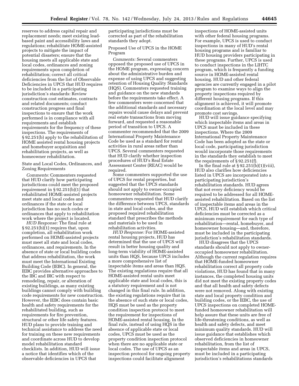reserves to address capital repair and replacement needs; meet existing leadbased paint and accessibility laws and regulations; rehabilitate HOME-assisted projects to mitigate the impact of potential disasters; ensure that the housing meets all applicable state and local codes, ordinances and zoning requirements upon completion of rehabilitation; correct all critical deficiencies from the list of Observable Deficiencies in UPCS that HUD requires to be included in a participating jurisdiction's standards: Review construction cost estimates, contracts and related documents; conduct construction progress and final inspections to ensure that the work performed is in compliance with all requirements and establish requirements for the frequency of these inspections. The requirements of § 92.251(b) apply to the rehabilitation of HOME assisted rental housing projects and homebuyer acquisition and rehabilitation projects, as well as homeowner rehabilitation.

State and Local Codes, Ordinances, and Zoning Requirements

*Comments:* Commenters requested that HUD clarify how participating jurisdictions could meet the proposed requirement in § 92.251(b)(1) that rehabilitated HOME-assisted projects meet state and local codes and ordinances if the state or local jurisdiction has no such codes or ordinances that apply to rehabilitation work where the project is located.

*HUD Response:* The final rule at § 92.251(b)(1) requires that, upon completion, all rehabilitation work performed on HOME-assisted projects must meet all state and local codes, ordinances, and requirements. In the absence of state or local building codes that address rehabilitation, the work must meet the International Existing Building Code (IEBC). In general, the IEBC provides alternative approaches to the IBC and IRC with respect to remodeling, repair, or alteration of existing buildings, as many existing buildings cannot comply with building code requirements for new construction. However, the IEBC does contain basic health and safety requirements for the rehabilitated building, such as requirements for fire prevention, structural or other life safety features. HUD plans to provide training and technical assistance to address the need for training on these new requirements and coordinate across HUD to develop model rehabilitation standard checklists. In addition, HUD will issue a notice that identifies which of the observable deficiencies in UPCS that

participating jurisdictions must be corrected as part of the rehabilitation standards they adopt.

Proposed Use of UPCS in the HOME Program

*Comments:* Several commenters opposed the proposed use of UPCS in the HOME program, expressing concern about the administrative burden and expense of using UPCS and suggesting retention of Housing Quality Standards (HQS). Commenters requested training and guidance on the new standards before the requirements take effect. A few commenters were concerned that the additional standards and necessary repairs would cause delays and prevent real estate transactions from moving forward, and requested a reasonable period of transition to UPCS. A commenter recommended that the 2009 International Property Maintenance Code be used as a standard for rental activities in rural areas rather than UPCS. Several commenters requested that HUD clarify whether inspection procedures of HUD's Real Estate Assessment Center (REAC) would be required.

Some commenters supported the use of UPCS for rental properties, but suggested that the UPCS standards should not apply to owner-occupied homeowner rehabilitation. Some commenters requested that HUD clarify the difference between UPCS, standards in state and local codes, and the proposed required rehabilitation standard that prescribes the methods and materials to be used in rehabilitation activities.

*HUD Response:* For HOME-assisted rental housing projects, HUD has determined that the use of UPCS will result in better housing quality and long-term viability of HOME-assisted units than HQS, because UPCS includes a more comprehensive list of inspectable items and areas than HQS. The existing regulations require that all HOME-assisted rental units meet applicable state and local codes, this is a statutory requirement and is not changed in this final rule. In addition, the existing regulations require that in the absence of such state or local codes, HQS must be used as the property condition inspection protocol to meet the requirement for inspections of HOME-assisted rental housing. In the final rule, instead of using HQS in the absence of applicable state or local codes, UPCS must be used as the property condition inspection protocol when there are no applicable state or local codes. The use of UPCS as an inspection protocol for ongoing property inspections could facilitate alignment

inspections of HOME-assisted units with other federal housing programs. For example, UPCS is used to conduct inspections in many of HUD's rental housing programs and is familiar to HUD housing providers participating in these programs. Further, UPCS is used to conduct inspections in the LIHTC program, which is frequently a funding source in HOME-assisted rental housing. HUD and other federal agencies are currently engaged in a pilot program to examine ways to align the property inspections required by different housing programs. If this alignment is achieved, it will promote coordination at the local level and may promote cost savings.

HUD will issue guidance specifying which inspectable items and areas in UPCS must be included in these inspections. Where the 2009 International Property Maintenance Code has been adopted as the state or local code, participating jurisdiction would incorporate those requirements in the standards they establish to meet the requirements of § 92.251(f).

In the final rule at  $\S 92.251(b)(1)(viii)$ , HUD also clarifies how deficiencies listed in UPCS are incorporated into a participating jurisdiction's rehabilitation standards. HUD agrees that not every deficiency would be required to be addressed for all HOMEassisted rehabilitation. Based on the list of inspectable items and areas in the UPCS, HUD will establish which critical deficiencies must be corrected as a minimum requirement for each type of rehabilitation—rental, homebuyer, and homeowner housing—and, therefore, must be included in the participating jurisdiction's rehabilitation standards.

HUD disagrees that the UPCS standards should not apply to owneroccupied homeowner rehabilitation. Although the current regulation requires that HOME-funded homeowner rehabilitation correct all property code violations, HUD has found that in many instances, the completed housing units did not meet the existing property codes and that all health and safety defects were not removed. Along with existing state and local property condition and building codes, or the IEBC, the use of UPCS inspections on completed HOMEfunded homeowner rehabilitation will help assure that these units are free of life-threatening conditions, as well as health and safety defects, and meet minimum quality standards. HUD will issue guidance that establishes which observed deficiencies in homeowner rehabilitation, from the list of inspectable items and areas in UPCS, must be included in a participating jurisdiction's rehabilitations standards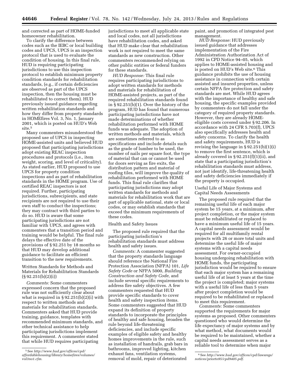and corrected as part of HOME-funded homeowner rehabilitation.

To clarify the difference between codes such as the IEBC or local building codes and UPCS, UPCS is an inspection protocol that is used to evaluate the condition of housing. In this final rule, HUD is requiring participating jurisdictions to use this inspection protocol to establish minimum property condition standards for rehabilitation standards, (e.g., if certain deficiencies are observed as part of the UPCS inspection, then the housing must be rehabilitated to correct them). HUD previously issued guidance regarding written rehabilitation standards and how they differ from property standards in HOMEfires Vol. 3, No. 1, January 2001, which is posted on HUD's Web site.<sup>5</sup>

Many commenters misunderstood the proposed use of UPCS in inspecting HOME-assisted units and believed HUD proposed that participating jurisdictions adopt existing REAC inspection procedures and protocols (i.e., item weight, scoring, and level of criticality). As stated earlier, HUD proposed to use UPCS for property condition inspections and as part of rehabilitation standards in the HOME program. Use of certified REAC inspectors is not required. Further, participating jurisdictions, subrecipients, and state recipients are not required to use their own staff to conduct the inspections; they may contract with third parties to do so. HUD is aware that some participating jurisdictions are not familiar with UPCS, and agrees with commenters that a transition period and training would be helpful. The final rule delays the effective date of the provisions of § 92.251 by 18 months so that HUD may develop additional guidance to facilitate an efficient transition to the new requirements.

Written Standards for Methods and Materials for Rehabilitation Standards (§ 92.251(b)(2)(i))

*Comments:* Some commenters expressed concern that the proposed rule was not sufficiently clear about what is required in  $\S 92.251(b)(2)(i)$  with respect to written methods and materials for rehabilitation standards. Commenters asked that HUD provide training, guidance, templates with recommended minimum standards, and other technical assistance to help participating jurisdictions implement this requirement. A commenter stated that while HUD requires participating

jurisdictions to meet all applicable state and local codes, not all jurisdictions have rehabilitation codes, and asked that HUD make clear that rehabilitation work is not required to meet the same standards as new construction. Other commenters recommended relying on other public entities or federal funders for these standards.

*HUD Response:* This final rule requires participating jurisdictions to adopt written standards for methods and materials for rehabilitation of HOME-assisted projects, as part of the required rehabilitation standards found in § 92.251(b)(1). Over the history of the program, HUD has found that numerous participating jurisdictions have not made determinations of whether rehabilitation performed with HOME funds was adequate. The adoption of written methods and materials, which are sometimes referred to as specifications and include details such as the grade of lumber to be used, the number of nails per square foot, the type of material that can or cannot be used for doors serving as fire exits, the distribution pattern and material of roofing tiles, will improve the quality of rehabilitation performed with HOME funds. This final rule clarifies that participating jurisdictions may adopt written standards for methods and materials for rehabilitation work that are part of applicable national, state or local codes, or may establish standards that exceed the minimum requirements of these codes.

Health and Safety Issues

The proposed rule required that the participating jurisdiction's rehabilitation standards must address health and safety issues.

*Comments:* A commenter suggested that the property standards language should reference the National Fire Protection Association (NFPA) 101, *Life Safety Code* or NFPA 5000, *Building Construction and Safety Code,* and include several specific requirements to address fire safety objectives. A few commenters requested that HUD provide specific standards to cover health and safety inspection items. Some commenters suggested that HUD expand its definition of property standards to incorporate the principles of healthy and safe housing, broaden the rule beyond life-threatening deficiencies, and include specific examples of eligible safety and healthy homes improvements in the rule, such as installation of handrails, grab bars in bathrooms, improved lighting, kitchen exhaust fans, ventilation systems, removal of mold, repair of deteriorated

paint, and promotion of integrated pest management.

*HUD Response:* HUD previously issued guidance that addresses implementation of the Fire Administration Authorization Act of 1992 in CPD Notice 94–05, which applies to HOME-assisted housing and is posted on HUD's Web site.6 This guidance prohibits the use of housing assistance in connection with certain assisted and insured properties, unless certain NFPA fire protection and safety standards are met. While HUD agrees with the importance of healthy and safe housing, the specific examples provided by commenters do not fall under the category of required property standards. However, they are already HOMEeligible costs covered under § 92.206. In accordance with 24 CFR 5.703(f), UPCS also specifically addresses health and safety concerns. To clarify the health and safety requirements, HUD is revising the language in § 92.251(b)(1)(i) to remove the first sentence, which is already covered in § 92.251(f)(1)(ii), and state that a participating jurisdiction's rehabilitation standards must address, not just identify, life-threatening health and safety deficiencies immediately if the property is occupied.

Useful Life of Major Systems and Capital Needs Assessments

The proposed rule required that the remaining useful life of each major system be 15 years, at a minimum, after project completion, or the major system must be rehabilitated or replaced to have a minimum useful life of 15 years. A capital needs assessment would be required for all multifamily rental projects with 26 or more total units and determine the useful life of major systems with a capital needs assessment. For owner-occupied housing undergoing rehabilitation with HOME funds, the participating jurisdiction would be required to ensure that each major system has a remaining useful life of at least 5 years at the time the project is completed; major systems with a useful life of less than 5 years after project completion would be required to be rehabilitated or replaced to meet this requirement.

*Comments:* Some commenters supported the requirements for major systems as proposed. Other commenters questioned who would determine the life expectancy of major systems and by what method, what documents would be required to be maintained, whether a capital needs assessment serves as a reliable tool to determine when major

<sup>5</sup>See *[http://www.hud.gov/offices/cpd/](http://www.hud.gov/offices/cpd/affordablehousing/library/homefires/volumes/vol3no1.cfm)  [affordablehousing/library/homefires/volumes/](http://www.hud.gov/offices/cpd/affordablehousing/library/homefires/volumes/vol3no1.cfm) [vol3no1.cfm.](http://www.hud.gov/offices/cpd/affordablehousing/library/homefires/volumes/vol3no1.cfm)* 

<sup>6</sup>See *[http://www.hud.gov/offices/cpd/lawsregs/](http://www.hud.gov/offices/cpd/lawsregs/notices/priorto95/cpd9405.pdf)  [notices/priorto95/cpd9405.pdf.](http://www.hud.gov/offices/cpd/lawsregs/notices/priorto95/cpd9405.pdf)*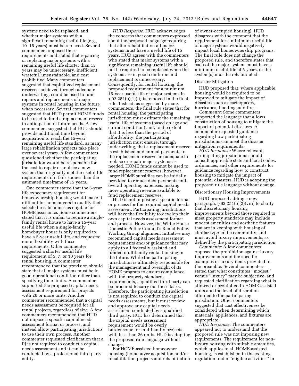systems need to be replaced, and whether major systems with a significant remaining useful life (e.g., 10–15 years) must be replaced. Several commenters opposed these requirements and stated that repairing or replacing major systems with a remaining useful life shorter than 15 years may be unnecessary, inefficient, wasteful, unsustainable, and cost prohibitive. Many commenters suggested that capitalized replacement reserves, achieved through adequate underwriting, could be used to fund repairs and replacements of major systems in rental housing in the future when necessary. Several commenters suggested that HUD permit HOME funds to be used to fund a replacement reserve in anticipation of future needs. A few commenters suggested that HUD should provide additional time beyond acquisition to reach the 15-year remaining useful life standard, as many large rehabilitation projects take place over several years. A few commenters questioned whether the participating jurisdiction would be responsible for the cost to repair or replace a new system that originally met the useful life requirements if it fails sooner than the estimated timeframe of 15 years.

One commenter stated that the 5-year life expectancy requirement for homeownership housing would make it difficult for homebuyers to qualify their selected resale homes as eligible for HOME assistance. Some commenters stated that it is unfair to require a singlefamily rental house to have a 15-year useful life when a single-family homebuyer house is only required to have a 5-year useful life, and requested more flexibility with these requirements. Other commenter suggested a shorter useful life requirement of 5, 7, or 10 years for rental housing. A commenter recommended that the provision should state that all major systems must be in good operational condition rather than specifying time limits. A commenter supported the proposed capital needs assessment requirement for projects with 26 or more units. Another commenter recommended that a capital needs assessment be required for all rental projects, regardless of size. A few commenters recommended that HUD not impose a specific capital needs assessment format or process, and instead allow participating jurisdictions to use their own process. Another commenter requested clarification that a PJ is not required to conduct a capital needs assessment and it can be conducted by a professional third party entity.

*HUD Response:* HUD acknowledges the concerns that commenters expressed about the proposed language requiring that after rehabilitation all major systems must have a useful life of 15 years. HUD agrees with the commenters who stated that major systems with a significant remaining useful life should not be required to be replaced when the systems are in good condition and replacement is unnecessary. Consequently, for rental housing, the proposed requirement for a minimum 15-year useful life of major systems in § 92.251(b)(1)(ii) is removed in the final rule. Instead, as suggested by many commenters, the final rule states that for rental housing, the participating jurisdiction must estimate the remaining useful life of systems (based on age and current condition) and, to the extent that it is less than the period of affordability, the participating jurisdiction must ensure, through underwriting, that a replacement reserve is established and annual payments to the replacement reserve are adequate to replace or repair major systems as needed. HOME funds cannot be used to fund replacement reserves; however, larger HOME subsidies can be initially provided to reduce debt payments and overall operating expenses, making more operating revenue available to fund replacement reserves.

HUD is not imposing a specific format or process for the required capital needs assessment. Participating jurisdictions will have the flexibility to develop their own capital needs assessment format and process. However, the White House Domestic Policy Council's Rental Policy Working Group alignment initiative may recommend capital needs assessment requirements and/or guidance that may apply to all federally assisted and funded multifamily rental housing in the future. While the participating jurisdiction is ultimately responsible for the management and oversight of its HOME program to ensure compliance with the property standards requirements, a qualified third party can be procured to carry out these tasks. Therefore, the participating jurisdiction is not required to conduct the capital needs assessments, but it must review and approve any capital needs assessment conducted by a qualified third party. HUD has determined that the capital needs assessment requirement would be overly burdensome for multifamily projects with less than 26 units. HUD is adopting the proposed rule language without change.

For HOME-assisted homeowner housing (homebuyer acquisition and/or rehabilitation projects and rehabilitation

of owner-occupied housing), HUD disagrees with the comment that the requirement for a minimum useful life of major systems would negatively impact local homeownership programs. The final rule does not change the proposed rule, and therefore states that each of the major systems must have a minimum useful life of 5 years, or the system(s) must be rehabilitated.

#### Disaster Mitigation

HUD proposed that, where applicable, housing would be required to be improved to mitigate the impact of disasters such as earthquakes, hurricanes, flooding, and fires.

*Comments:* Some commenters supported the language that allows construction of housing to mitigate the impact of potential disasters. A commenter requested guidance regarding how participating jurisdictions can meet the disaster mitigation requirements.

*HUD Response:* Where relevant, participating jurisdictions should consult applicable state and local codes, ordinances, and other requirements for guidance regarding how to construct housing to mitigate the impact of potential disasters. HUD is adopting the proposed rule language without change.

#### Discretionary Housing Improvements

HUD proposed adding a new paragraph, § 92.251(b)(2)(viii) to clarify that discretionary housing improvements beyond those required to meet property standards may include modest amenities and aesthetic features that are in keeping with housing of similar type in the community, and must avoid luxury improvements, as defined by the participating jurisdiction.

*Comments:* A few commenters opposed the prohibition against luxury improvements and the specific examples of luxury items provided in the preamble. Several commenters stated that what constitutes ''modest'' versus ''luxury'' may be subjective, and requested clarification regarding what is allowed or prohibited in HOME-assisted units and the level of discretion afforded to the participating jurisdiction. Other commenters suggested that cost effectiveness be considered when determining which materials, appliances, and fixtures are appropriate.

*HUD Response:* The commenters appeared not to understand that the proposed rule was not imposing new requirements. The requirement for nonluxury housing with suitable amenities, which applies to all HOME-assisted housing, is established in the existing regulation under ''eligible activities'' in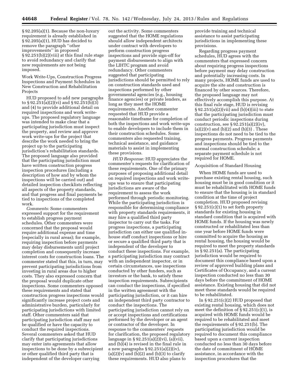§ 92.205(a)(1). Because the non-luxury requirement is already established in § 92.205(a)(1), HUD has decided to remove the paragraph ''other improvements'' in proposed § 92.251(b)(2)(viii) at this final rule stage to avoid redundancy and clarify that new requirements are not being imposed.

Work Write-Ups, Construction Progress Inspections and Payment Schedules in New Construction and Rehabilitation **Projects** 

HUD proposed to add new paragraphs to § 92.251(a)(2)(vi) and § 92.251(b)(3) and (4) to provide additional detail on required inspections and work writeups. The proposed regulatory language was intended to make clear that a participating jurisdiction must inspect the property, and review and approve work write-ups for the project that describe the work needed to bring the project up to the participating jurisdiction's rehabilitation standards. The proposed language also provided that the participating jurisdiction must have written construction progress inspection procedures (including a description of how and by whom the inspections will be carried out) and detailed inspection checklists reflecting all aspects of the property standards, and that progress and final payments be tied to inspections of the completed work.

*Comments:* Some commenters expressed support for the requirement to establish progress payment schedules. Other commenters were concerned that the proposal would require additional expense and time (especially in rural areas); for example, requiring inspection before payments may delay disbursements until project completion and consequently increase interest costs for construction loans. The commenter stated that this, in turn, may prevent participating jurisdictions from investing in rural areas due to higher costs. They also expressed concern that the proposal would duplicate other inspections. Some commenters opposed these requirements and stated that construction progress inspections would significantly increase project costs and administrative burden, particularly for participating jurisdictions with limited staff. Other commenters said that participating jurisdiction staff may not be qualified or have the capacity to conduct the required inspections. Several commenters asked that HUD clarify that participating jurisdictions may enter into agreements that allow inspections to be done by a subrecipient or other qualified third party that is independent of the developer carrying

out the activity. Some commenters suggested that the HOME regulations should allow independent architects under contract with developers to perform construction progress inspections and provide sign-off for payment disbursements to align with the LIHTC program and avoid redundancy. Other commenters suggested that participating jurisdictions should be permitted to rely on construction standards used and inspections performed by other governmental agencies (e.g., housing finance agencies) or private lenders, as long as they meet the HOME requirements. Another commenter requested that HUD provide a reasonable timeframe for completion of both the inspections and work write-ups to enable developers to include them in their construction schedules. Some commenters also requested training, technical assistance, and guidance materials to assist in implementing these provisions.

*HUD Response:* HUD appreciates the commenter's requests for clarification of these requirements. One of the primary purposes of proposing additional detail on required inspections and work writeups was to ensure that participating jurisdictions are aware of the requirement to assess the work performed through periodic monitoring. While the participating jurisdiction is responsible for determining compliance with property standards requirements, it may hire a qualified third party inspector to carry out the tasks. For progress inspections, a participating jurisdiction can either use qualified inhouse staff conduct inspections or hire or secure a qualified third party that is independent of the developer to conduct these inspections. For example, a participating jurisdiction may contract with an independent inspector, or in certain circumstances, use inspections conducted by other funders, such as investors or the bank, to satisfy these inspection requirements. Subrecipients can conduct the inspections, if specified in the written agreement with the participating jurisdiction, or it can hire an independent third party contractor to conduct the inspections. The participating jurisdiction cannot rely on or accept inspections and certifications performed by the developer or an agent or contractor of the developer. In response to the commenters' requests for clarification, the proposed regulatory language in § 92.251(a)(2)(vi), (a)(vii), and (b)(4) is revised in the final rule in a new paragraphs  $\S 92.251(a)(2)(iv)$ ,  $(a)(2)(v)$  and  $(b)(2)$  and  $(b)(3)$  to clarify these requirements. HUD also plans to

provide training and technical assistance to assist participating jurisdictions in implementing these provisions.

Regarding progress payment schedules, HUD agrees with the commenters that expressed concern about requiring progress inspections before payment may delay construction and potentially increasing costs. In many projects, HOME funds are used to acquire the site and construction is financed by other sources. Therefore, the proposed language may not effectively accomplish this purpose. At this final rule stage, HUD is revising  $\S 92.251(a)(2)(vii)$  and  $(b)(4)(iii)$  to state that the participating jurisdiction must conduct periodic inspections during construction, see  $\S 92.251(a)(2)(iv)$ ,  $(a)(2)(v)$  and  $(b)(2)$  and  $(b)(3)$ . These inspections do not need to be tied to the progress payments. Progress payments and inspections should be tied to the normal construction schedule; a separate payment schedule is not required for HOME.

#### Acquisition of Standard Housing

When HOME funds are used to purchase existing rental housing, such housing must be in good condition or it must be rehabilitated with HOME funds to ensure that the housing is in standard condition at the time of project completion. HUD proposed revising  $\S 92.251(c)(1)$  to set forth property standards for existing housing in standard condition that is acquired with HOME funds. If the housing was newly constructed or rehabilitated less than one year before HOME funds were committed to acquire the housing as rental housing, the housing would be required to meet the property standards in § 92.251(a). The participating jurisdiction would be required to document this compliance based upon a review of approved building plans and Certificates of Occupancy, and a current inspection conducted no less than 30 days before the commitment of HOME assistance. Existing housing that did not meet these standards would be required to be rehabilitated.

In § 92.251(c)(2) HUD proposed that existing rental housing, which does not meet the definition of  $\S 92.251(c)(1)$ , is acquired with HOME funds would be required to be rehabilitated and meet the requirements of § 92.251(b). The participating jurisdiction would be required to document this compliance based upon a current inspection conducted no less than 30 days before the date of commitment of HOME assistance, in accordance with the inspection procedures that the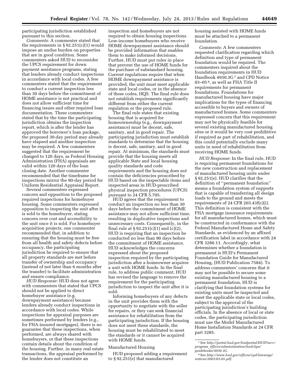participating jurisdiction established pursuant to this section.

*Comments:* A commenter stated that the requirements in  $\S 92.251(c)(1)$  would impose an undue burden on properties that are in good condition. Some commenters asked HUD to reconsider the UPCS requirement for down payment assistance programs, stating that lenders already conduct inspections in accordance with local codes. A few commenters stated that the requirement to conduct a current inspection less than 30 days before the commitment of HOME assistance is not practical and does not allow sufficient time for financing issues and other required loan documentation. These commenters stated that by the time the participating jurisdiction obtains the inspection report, which is after the lender has approved the borrower's loan package, the proposed 30-day period may already have elapsed and another inspection may be required. A few commenters suggested that the requirement be changed to 120 days, as Federal Housing Administration (FHA) appraisals are valid within 120 days of the loan closing date. Another commenter recommended that the timeframe for inspections mirror the 90-day period for Uniform Residential Appraisal Report.

Several commenters expressed concern and opposition to the proposed required inspections for homebuyer housing. Some commenters expressed opposition to inspecting the unit after it is sold to the homebuyer, stating concern over cost and accessibility to the unit once it is sold. For homebuyer acquisition projects, one commenter recommended that, in addition to ensuring that the housing must be free from all health and safety defects before occupancy, the participating jurisdiction be required to ensure that all property standards are met before transfer of ownership and occupancy (instead of not later than 6 months after the transfer) to facilitate administration and ensure compliance.

*HUD Response:* HUD does not agree with commenters that stated that UPCS should not be applied to direct homebuyer assistance (e.g. downpayment assistance) because lenders already conduct inspections in accordance with local codes. While inspections for appraisal purposes are sometimes performed by lenders (e.g., for FHA-insured mortgages), there is no guarantee that these inspections, when performed, are always shared with homebuyers, or that these inspections contain details about the condition of the housing. Further, in many real estate transactions, the appraisal performed by the lender does not constitute an

inspection and homebuyers are not required to obtain housing inspections. Low-income homebuyers who receive HOME downpayment assistance should be provided information that enables them to make informed decisions. Further, HUD must put rules in place that prevent the use of HOME funds for the purchase of substandard housing. Current regulations require that when HOME downpayment assistance is provided, the unit must meet applicable state and local codes, or in the absence of these codes, HQS. The final rule does not establish requirements significantly different from either the current regulation or the proposed rule.

The final rule states that existing housing that is acquired for homeownership (e.g., downpayment assistance) must be decent, safe, sanitary, and in good repair. The participating jurisdiction must establish standards to determine that the housing is decent, safe, sanitary, and in good repair. At minimum, the standards must provide that the housing meets all applicable State and local housing quality standards and code requirements and the housing does not contain the deficiencies proscribed by HUD based on the inspectable items and inspected areas in HUD-prescribed physical inspection procedures (UPCS) pursuant to 24 CFR 5.705.

HUD agrees that the requirement to conduct an inspection no less than 30 days before the commitment of HOME assistance may not allow sufficient time, resulting in duplicative inspections and unnecessary costs. Consequently, in the final rule at  $\S 92.251(c)(1)$  and  $(c)(2)$ , HUD is requiring that an inspection be conducted no less than 90 days before the commitment of HOME assistance. HUD acknowledges the concerns expressed about the proposed inspection required by the participating jurisdiction after a homeowner acquires a unit with HOME funds. In the final rule, to address public comment, HUD has revised the language to remove the requirement for the participating jurisdiction to inspect the unit after it is sold.

Informing homebuyers of any defects in the unit provides them with the opportunity to negotiate with the seller for repairs, or they can seek financial assistance for rehabilitation from the participating jurisdiction. If the housing does not meet these standards, the housing must be rehabilitated to meet the standards or it cannot be acquired with HOME funds.

#### Manufactured Housing

HUD proposed adding a requirement to § 92.251(e) that manufactured

housing assisted with HOME funds must be attached to a permanent foundation.

*Comments:* A few commenters requested clarification regarding which definition and type of permanent foundation would be required. The commenters inquired about the foundation requirements in HUD Handbook 4930.3G 7 and CPD Notice 03–05 8, as well as FHA Title II requirements for permanent foundations. Foundations for manufactured housing have major implications for the types of financing accessible to buyers and owners of manufactured homes. Some commenters expressed concern that this requirement may not be physically feasible for several existing manufactured housing sites or it would be very cost prohibitive if required as part of rehabilitation, and this could potentially exclude many units in need of rehabilitation from receiving HOME funds.

*HUD Response:* In the final rule, HUD is requiring permanent foundations for the new construction and replacement of manufactured housing units under § 92.251(e). HUD clarifies that the definition of ''permanent foundation'' means a foundation system of supports that is capable of transferring all design loads to the ground and meets the requirements of 24 CFR 203.43f(c)(i). This definition is consistent with the FHA mortgage insurance requirements for all manufactured homes, which must be constructed in conformance with the Federal Manufactured Home and Safety Standards, as evidenced by an affixed certification label in accordance with 24 CFR 3280.11. Accordingly, what determines whether a foundation is permanent is HUD's Permanent Foundation Guide for Manufactured Housing, (HUD Publication 7584). To address commenters' concerns that it may not be possible to secure some existing manufactured housing to a permanent foundation, HUD is clarifying that foundation systems for existing units must be inspected and meet the applicable state or local codes, subject to the approval of the participating jurisdiction's building officials. In the absence of local or state codes, the participating jurisdiction must use the Model Manufactured Home Installation Standards at 24 CFR part 3285.

<sup>7</sup>See *[http://portal.hud.gov/hudportal/HUD?src=/](http://portal.hud.gov/hudportal/HUD?src=/program_offices/administration/hudclips/guidebooks/4930.3G)  program*\_*[offices/administration/hudclips/](http://portal.hud.gov/hudportal/HUD?src=/program_offices/administration/hudclips/guidebooks/4930.3G)  [guidebooks/4930.3G.](http://portal.hud.gov/hudportal/HUD?src=/program_offices/administration/hudclips/guidebooks/4930.3G)* 

<sup>8</sup>See *[http://www.hud.gov/offices/cpd/lawsregs/](http://www.hud.gov/offices/cpd/lawsregs/notices/2003/03-05.pdf)  [notices/2003/03-05.pdf.](http://www.hud.gov/offices/cpd/lawsregs/notices/2003/03-05.pdf)*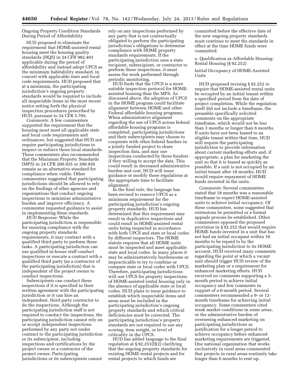#### Ongoing Property Condition Standards During Period of Affordability

HUD proposed to eliminate the requirement that HOME-assisted rental housing meet the housing quality standards (HQS) in 24 CFR 982.401 applicable during the period of affordability and instead adopt UPCS as the minimum habitability standard, in concert with applicable state and local code requirements. HUD proposed that at a minimum, the participating jurisdiction's ongoing property standards would be required to include all inspectable items in the most recent notice setting forth the physical inspection procedures prescribed by HUD, pursuant to 24 CFR 5.705.

*Comments:* A few commenters supported the requirement that the housing must meet all applicable state and local code requirements and ordinances, but suggested that HUD not require participating jurisdictions to inspect or enforce those local standards. These commenters also recommended that the Minimum Property Standards (MPS) in 24 CFR 200.925 or 200.926 remain as an alternative standard for compliance when viable. Other commenters suggested that participating jurisdictions should be allowed to rely on the findings of other agencies and organizations that conduct ongoing inspections to minimize administrative burden and improve efficiency. A commenter requested guidance to assist in implementing these standards.

*HUD Response:* While the participating jurisdiction is responsible for ensuring compliance with the ongoing property standards requirements, it may contract with a qualified third party to perform these tasks. A participating jurisdiction can use qualified in-house staff conduct inspections or execute a contract with a qualified third party (as a contractor of the participating jurisdiction) that is independent of the project owner to conduct inspections.

Subrecipients can conduct these inspections if it is specified in their written agreement with the participating jurisdiction or it can hire an independent, third-party contractor to do the inspections. Although the participating jurisdiction staff is not required to conduct the inspections, the participating jurisdiction cannot rely on or accept independent inspections performed by any party not under contract to the participating jurisdiction or its subrecipient, including inspections and certifications by the project owner or a contractor of the project owner. Participating jurisdictions or its subrecipients cannot

rely on any inspections performed by any party that is not contractually obligated to perform the participating jurisdiction's obligations to determine compliance with HOME property standards requirements. If the participating jurisdiction uses a state recipient, subrecipient, or contractor to perform these inspections, it must assess the work performed through periodic monitoring.

HUD finds that the UPCS is a more suitable inspection protocol for HOMEassisted housing than the MPS. As discussed above, the adoption of UPCS in the HOME program could facilitate alignment between HOME and other Federal affordable housing programs. When administrative alignment regarding the use of UPCS across federal affordable housing programs is completed, participating jurisdictions and their subrecipients may choose to cooperate with other federal funders in a jointly funded project to share inspection data, and may use inspections conducted by these funders if they willing to accept the data. This could result in decreased administrative burden and cost. HUD will issue guidance or modify these regulations at the appropriate time to facilitate alignment.

In the final rule, the language has been revised to remove UPCS as a minimum requirement for the participating jurisdiction's ongoing property standards. HUD has determined that this requirement may result in duplicative inspections and could result in HOME-assisted rental units being inspected in accordance with both UPCS and state or local codes by different inspectors. The HOME statute requires that all HOME units must be inspected and meet applicable state and local codes. In many places it may be administratively burdensome or impracticable to try to combine or compare state or local codes with UPCS. Therefore, participating jurisdictions will use UPCS for property inspections of HOME-assisted rental housing only in the absence of applicable state or local codes. HUD plans to issue guidance to establish which inspectable items and areas must be included in the participating jurisdiction's ongoing property standards and which critical deficiencies must be corrected. The participating jurisdiction's property standards are not required to use any scoring, item weight, or level of criticality in the UPCS.

HUD has added language to the final regulation at § 92.251(f)(2) clarifying that the ongoing property standards for existing HOME rental projects and for rental projects to which funds are

committed before the effective date of the new ongoing property standards must continue to meet the standards in effect at the time HOME funds were committed.

o. Qualification as Affordable Housing: Rental Housing (§ 92.252)

Initial Occupancy of HOME-Assisted Units

HUD proposed revising § 92.252 to require that HOME-assisted rental units be occupied by an initial tenant within a specified period from the date of project completion. While the regulation itself did not include a timeframe, the preamble specifically solicited comments on the appropriate timeframe, which would not be less than 3 months or longer than 6 months. If units have not been leased to an eligible tenant within that time, HUD will require the participating jurisdiction to provide information about current marketing efforts and, if appropriate, a plan for marketing the unit so that it is leased as quickly as possible. If a unit is not occupied by an initial tenant after 18 months, HUD would require repayment of HOME funds invested in the units.

*Comments:* Several commenters stated that 18 months was a reasonable timeframe to expect HOME-assisted units to achieve initial occupancy. Of these commenters, some suggested that extensions be permitted or a formal appeals process be established. Other commenters opposed the proposed provision in § 92.252 that would require HOME funds invested in a unit that has not had an initial occupant within 18 months to be repaid to by the participating jurisdiction to its HOME account. HUD received many comments regarding the point at which a vacant unit should trigger HUD review of the marketing plan or a requirement for enhanced marketing efforts. HUD received no comments supporting a 3 month period to achieve initial occupancy and few comments in support of a 6-month period. Several commenters recommended a 9- or 12 month timeframe for achieving initial occupancy. Some commenters cited weak market conditions in some areas, or the administrative burden of overseeing enhanced marketing on participating jurisdictions as justification for a longer period to achieve occupancy before enhanced marketing requirements are triggered. One national organization that works exclusively in rural areas commented that projects in rural areas routinely take longer than 6 months to rent up.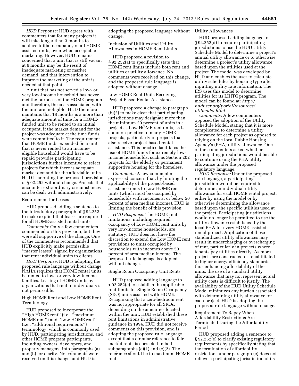*HUD Response:* HUD agrees with commenters that for many projects it will take longer than 3 months to achieve initial occupancy of all HOMEassisted units, even when acceptable marketing. However, HUD remains concerned that a unit that is still vacant at 6 months may be the result of inadequate marketing or market demand, and that intervention to improve the marketing of the unit is needed at that point.

A unit that has not served a low- or very low-income household has never met the purposes of the HOME program and therefore, the costs associated with the unit are ineligible. HUD therefore maintains that 18 months is a more than adequate amount of time for a HOMEfunded unit to be rented to an initial occupant, if the market demand for the project was adequate at the time funds were committed to it. The requirement that HOME funds expended on a unit that is never rented to an incomeeligible household would have to be repaid provides participating jurisdictions further incentive to select projects for which there is adequate market demand for the affordable units. HUD is adopting the proposed provision of § 92.252 without change. Projects that encounter extraordinary circumstances can be dealt with administratively.

#### Requirement for Leases

HUD proposed adding a sentence to the introductory paragraph of § 92.252 to make explicit that leases are required for all HOME-assisted rental units.

*Comments:* Only a few commenters commented on this provision, but they were all supportive of the change. One of the commenters recommended that HUD explicitly make permissible ''master leases'' signed by organizations that rent individual units to clients.

*HUD Response:* HUD is adopting the proposed rule language without change. NAHA requires that HOME rental units be rented to low- or very low-income families. Leasing of HOME units by organizations that rent to individuals is not permissible.

High HOME Rent and Low HOME Rent Terminology

HUD proposed to incorporate the ''High HOME rent'' (i.e., ''maximum HOME rent'') and ''Low HOME rent'' (i.e., ''additional requirements'') terminology, which is commonly used by HUD, participating jurisdictions, and other HOME program participants, including owners, developers, and property managers, into paragraphs (a) and (b) for clarity. No comments were received on this change, and HUD is

adopting the proposed language without Utility Allowances change.

Inclusion of Utilities and Utility Allowances in HOME Rent Limits

HUD proposed a revision to § 92.252(a) to specifically state that HOME rent limits include both rent and utilities or utility allowance. No comments were received on this change, and the proposed rule language is adopted without change.

Low HOME Rent Units Receiving Project-Based Rental Assistance

HUD proposed a change to paragraph (b)(2) to make clear that participating jurisdictions may designate more than the minimum 20 percent of units in a project as Low HOME rent units, as is common practice in many HOME projects, particularly in projects that also receive project-based rental assistance. This practice facilitates the use of HOME funds for extremely lowincome households, such as Section 202 projects for the elderly or permanent supportive housing for the homeless.

*Comments:* A few commenters expressed concern that, by limiting the applicability of the project-based assistance rents to Low HOME rent units (which must be occupied by households with incomes at or below 50 percent of area median income), HUD is limiting the benefit of this provision.

*HUD Response:* The HOME rent limitations, including required occupancy of Low HOME rent units by very low-income households, are statutory. HUD does not have the discretion to extend the Low HOME rent provisions to units occupied by households with incomes above 50 percent of area median income. The proposed rule language is adopted without change.

#### Single Room Occupancy Unit Rents

HUD proposed adding language to § 92.252(c) to establish the applicable rent limits for Single Room Occupancy (SRO) units assisted with HOME. Recognizing that a zero-bedroom rent was not appropriate for all SROs, depending on the amenities located within the unit, HUD established these rent limitations in administrative guidance in 1994. HUD did not receive comments on this provision, and is adopting the proposed rule language except that a circular reference to fair market rents is corrected in both subparagraphs (c)(1) and (c)(2). The reference should be to maximum HOME rent.

HUD proposed adding language to § 92.252(d) to require participating jurisdictions to use the HUD Utility Schedule Model to determine a project's annual utility allowance or to otherwise determine a project's utility allowance based upon the utilities used at the project. The model was developed by HUD and enables the user to calculate utility schedules by housing type after inputting utility rate information. The IRS uses this model to determine utilities for its LIHTC program. The model can be found at: *[http://](http://huduser.org/portal/resources/utilmodel.html) [huduser.org/portal/resources/](http://huduser.org/portal/resources/utilmodel.html)  [utilmodel.html.](http://huduser.org/portal/resources/utilmodel.html)* 

*Comments:* A few commenters opposed the adoption of the Utility Schedule Model, stating that it is more complicated to determine a utility allowance for each project as opposed to relying on the local Public Housing Agency's (PHA) utility allowance. One of the commenters asked whether participating jurisdictions would be able to continue using the PHA utility allowance under the proposed regulatory language.

*HUD Response:* Under the proposed rule language, a participating jurisdiction would be required to determine an individual utility allowance for each HOME rental project, either by using the model or by otherwise determining the allowance based upon the specific utilities used at the project. Participating jurisdictions would no longer be permitted to use the utility allowance established by the local PHA for every HOME-assisted rental project. Application of these standardized utility allowances may result in undercharging or overcharging of rent, particularly in projects where tenants pay utilities directly. As more projects are constructed or rehabilitated to higher energy-efficiency standards, thus enhancing affordability of the units, the use of a standard utility allowance that may not represent actual utility costs is difficult to justify. The availability of the HUD Utility Schedule Model minimizes any burden associated with determining utility allowance for each project. HUD is adopting the proposed rule language without change.

Requirement To Repay When Affordability Restrictions Are Terminated During the Affordability Period

HUD proposed adding a sentence to § 92.252(e) to clarify existing regulatory requirements by specifically stating that the termination of affordability restrictions under paragraph (e) does not relieve a participating jurisdiction of its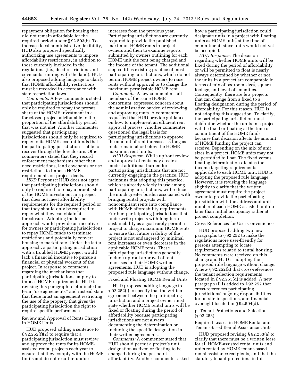repayment obligation for housing that did not remain affordable for the required period under § 92.503(b). To increase local administrative flexibility, HUD also proposed specifically authorizing use agreements to impose affordability restrictions, in addition to those currently included in the regulations (i.e., deed restrictions and covenants running with the land). HUD also proposed adding language to clarify that HOME affordability restrictions must be recorded in accordance with state recordation laws.

*Comments:* A few commenters stated that participating jurisdictions should only be required to repay the prorata share of the HOME investment in a foreclosed project attributable to the proportion of the affordability period that was not met. Another commenter suggested that participating jurisdictions should only be required to repay to its HOME account funds that the participating jurisdiction is able to recover through the foreclosure. Other commenters stated that they record enforcement mechanisms other than deed restrictions, land covenants or use restrictions to impose HOME requirements on project deeds.

*HUD Response:* HUD does not agree that participating jurisdictions should only be required to repay a prorata share of the HOME investment in a project that does not meet affordability requirements for the required period or that they should only be required to repay what they can obtain at foreclosure. Adopting the former approach would provide an incentive for owners or participating jurisdictions to repay HOME funds to terminate restrictions and potentially convert housing to market rate. Under the latter approach, a participating jurisdiction with a troubled HOME project would lack a financial incentive to pursue a financial or physical workout of the project. In response to comments regarding the mechanisms that participating jurisdictions employ to impose HOME requirements, HUD is revising this paragraph to eliminate the term ''use agreements'' and instead state that there must an agreement restricting the use of the property that gives the participating jurisdiction the right to require specific performance.

Review and Approval of Rents Charged in HOME Units

HUD proposed adding a sentence to  $\S 92.252(f)(2)$  to require that a participating jurisdiction must review and approve the rents for its HOMEassisted rental projects each year to ensure that they comply with the HOME limits and do not result in undue

increases from the previous year. Participating jurisdictions are currently required to provide the published maximum HOME rents to project owners and then to examine reports submitted by owners outlining for each HOME unit the rent being charged and the income of the tenant. The additional step codifies existing practice of most participating jurisdictions, which do not permit HOME project owners to raise rents without approval or to charge the maximum permissible HOME rent.

*Comments:* A few commenters, all members of the same HOME consortium, expressed concern about the administrative burden of reviewing and approving rents. A commenter requested that HUD provide guidance on how to implement an efficient rent approval process. Another commenter questioned the legal basis for participating jurisdictions to approve the amount of rent increases as long as rents remain at or below the HOME maximum rent limits.

*HUD Response:* While upfront review and approval of rents may create a modest additional burden for participating jurisdictions that are not currently engaging in the practice, HUD maintains that adopting this practice, which is already widely in use among participating jurisdictions, will reduce the much greater burden associated with bringing rental projects with noncompliant rents into compliance with HOME affordability requirements. Further, participating jurisdictions that underwrite projects with long-term sustainability as a goal rarely permit a project to charge maximum HOME rents to ensure that future viability of the project is not endangered by minimal rent increases or even decreases in the applicable HOME rents. These participating jurisdictions generally include upfront approval of rent increases in their HOME written agreements. HUD is adopting the proposed rule language without change.

#### Fixed and Floating HOME Rental Units

HUD proposed adding language to § 92.252(j) to specify that the written agreement between the participating jurisdiction and a project owner must state whether HOME rental units will be fixed or floating during the period of affordability because participating jurisdictions are not always documenting the determination or including the specific designation in their written agreements.

*Comments:* A commenter stated that HUD should permit a project's unit designation as fixed or floating to be changed during the period of affordability. Another commenter asked how a participating jurisdiction could designate units in a project with floating units as HOME units at the time of commitment, since units would not yet be occupied.

*HUD Response:* The decision regarding whether HOME units will be fixed during the period of affordability or will be permitted to float is nearly always determined by whether or not the units in a project are comparable in terms of mix of bedroom sizes, square footage, and level of amenities. Consequently, there are few projects that can change from a fixed to a floating designation during the period of affordability. For this reason, HUD is not adopting this suggestion. To clarify, the participating jurisdiction must determine whether the units in a project will be fixed or floating at the time of commitment of the HOME funds because that decision affects the amount of HOME funding the project can receive. Depending on the mix of unit sizes in a project, HOME units may not be permitted to float. The fixed versus floating determination dictates the income targeting requirements applicable to each HOME unit, HUD is adopting the proposed rule language. However, it is revising the language slightly to clarify that the written agreement must require the project owner to provide the participating jurisdiction with the address and unit number of each HOME-assisted unit no later than initial occupancy rather at project completion.

#### Cross-References for User Convenience

HUD proposed adding two new paragraphs to § 92.252 to make the regulations more user-friendly for persons attempting to locate requirements related to rental housing. No comments were received on this change and HUD is adopting the proposed rule language without change. A new § 92.252(k) that cross-references the tenant selection requirements located in § 92.253(d) is added. A new paragraph (l) is added to § 92.252 that cross-references participating jurisdictions' ongoing responsibilities for on-site inspections, and financial oversight located in § 92.504(d).

#### p. Tenant Protections and Selection (§ 92.253)

Required Leases in HOME Rental and Tenant-Based Rental Assistance Units

HUD proposed revising § 92.253(a) to clarify that there must be a written lease for all HOME-assisted rental units and units rented by HOME tenant-based rental assistance recipients, and that the statutory tenant protections in this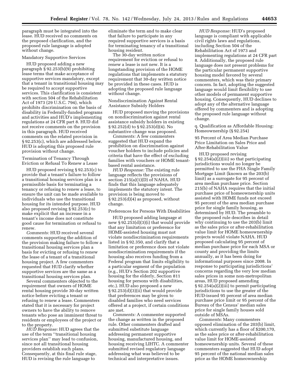paragraph must be integrated into the lease. HUD received no comments on the proposed clarification, and the proposed rule language is adopted without change.

#### Mandatory Supportive Services

HUD proposed adding a new paragraph § 92.253(b)(9) prohibiting lease terms that make acceptance of supportive services mandatory, except that a tenant in transitional housing may be required to accept supportive services. This clarification is consistent with section 504 of the Rehabilitation Act of 1973 (29 U.S.C. 794), which prohibits discrimination on the basis of disability in Federally-funded programs and activities and HUD's implementing regulations at 24 CFR part 8. HUD did not receive comments on the provision in this paragraph. HUD received comments on the related provision in § 92.253(c), which are addressed below. HUD is adopting this proposed rule provision without change.

Termination of Tenancy Through Eviction or Refusal To Renew a Lease

HUD proposed revising § 92.253(c) to provide that a tenant's failure to follow a transitional housing services plan is a permissible basis for terminating a tenancy or refusing to renew a lease, to ensure the unit can be made available to individuals who use the transitional housing for its intended purpose. HUD also proposed revising § 92.253(c) to make explicit that an increase in a tenant's income does not constitute good cause for termination or refusal to renew.

*Comments:* HUD received several comments supporting the addition of the provision making failure to follow a transitional housing services plan a basis for evicting or refusing to renew the lease of a tenant of a transitional housing project. A few commenters requested that HUD clarify whether supportive services are the same as a transitional housing services plan.

Several commenters objected to the requirement that owners of HOME rental housing provide 30-day written notice before evicting a tenant or refusing to renew a lease. Commenters stated that it is necessary for project owners to have the ability to remove tenants who pose an imminent threat to residents or employees of the project or to the property.

*HUD Response:* HUD agrees that the use of the term ''transitional housing services plan'' may lead to confusion, since not all transitional housing providers establish such plans. Consequently, at this final rule stage, HUD is revising the rule language to

eliminate the term and to make clear that failure to participate in any required supportive services is a basis for terminating tenancy of a transitional housing resident.

The 30-day written notice requirement for eviction or refusal to renew a lease is not new. It is a longstanding provision of the HOME regulations that implements a statutory requirement that 30-day written notice be provided in these cases. HUD is adopting the proposed rule language without change.

#### Nondiscrimination Against Rental Assistance Subsidy Holders

HUD proposed moving the provisions on nondiscrimination against rental assistance subsidy holders in existing § 92.252(d) to § 92.253(d)(4). No substantive change was proposed.

*Comments:* A few commenters suggested that HUD expand the prohibition on discrimination against voucher holders to include policies and criteria that have the effect of excluding families with vouchers or HOME tenantbased rental assistance.

*HUD Response:* The existing rule language reflects the provisions of section 215(a)(1)(D) of NAHA. HUD finds that this language adequately implements the statutory intent. The provision is being moved to § 92.253(d)(4) as proposed, without change.

#### Preferences for Persons With Disabilities

HUD proposed adding language at new § 92.253(d)(3)(i) that would provide that any limitation or preference for HOME-assisted housing must not violate nondiscrimination requirements listed in § 92.350, and clarify that a limitation or preference does not violate nondiscrimination requirements if the housing also receives funding from a Federal program that limits eligibility to a particular segment of the population (e.g., HUD's Section 202 supportive housing for the elderly, Section 811 housing for persons with disabilities, etc.). HUD also proposed a new § 92.253(d)(3)(ii) that would provide that preferences may be given to disabled families who need services offered at a project, if certain conditions are met.

*Comments:* A commenter supported the change as written in the proposed rule. Other commenters drafted and submitted substitute language addressing permanent supportive housing, manufactured housing, and housing receiving LIHTC. A commenter submitted revised regulatory language addressing what was believed to be technical and interpretative issues.

*HUD Response:* HUD's proposed language is compliant with applicable civil rights laws and regulations, including Section 504 of the Rehabilitation Act of 1973 and implementing regulations at 24 CFR part 8. Additionally, the proposed rule language does not present problems for the particular permanent supportive housing model favored by several commenters, which was their primary concern. In fact, adopting the suggested language would limit flexibility to use other models of permanent supportive housing. Consequently, HUD declines to adopt any of the alternative language offered by commenters and is adopting the proposed rule language without change.

q. Qualification as Affordable Housing: Homeownership (§ 92.254)

95 Percent of Area Median Purchase Price Limitation on Sales Price and After-Rehabilitation Value

HUD proposed revising § 92.254(a)(2)(iii) so that participating jurisdictions would no longer be permitted to use the FHA Single Family Mortgage Limit (known as the 203(b) limit) as a surrogate for 95 percent of area median purchase price. Section 215(b) of NAHA requires that the initial purchase price of homeownership units assisted with HOME funds not exceed 95 percent of the area median purchase price for single family housing, as determined by HUD. The preamble to the proposed rule describes in detail why continuing to use the 203(b) limit as the sales price or after-rehabilitation value limit for HOME homeownership projects would violate NAHA. HUD proposed calculating 95 percent of median purchase price for each MSA or county and providing the limits annually, as it has been doing for informational purposes since 2008. In response to participating jurisdictions' concerns regarding the very low median sales prices in some non-metropolitan areas, HUD proposed amending § 92.254(a)(2)(iii) to permit participating jurisdictions to use the greater of the HUD-issued 95 percent of area median purchase price limit or 95 percent of the Bureau of the Census' median sales price for single family houses sold outside of MSAs.

*Comments:* Many commenters opposed elimination of the 203(b) limit, which currently has a floor of \$200,170, as the sales price or after-rehabilitation value limit for HOME-assisted homeownership units. Several of these commenters suggested that HUD adopt 95 percent of the national median sales price as the HOME homeownership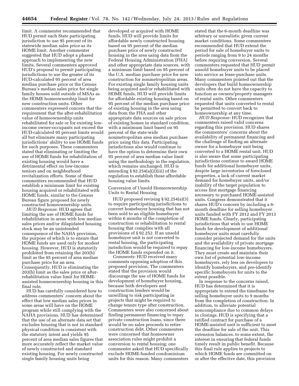limit. A commenter recommended that HUD permit each State participating jurisdiction to use 95 percent of its statewide median sales price as its HOME limit. Another commenter suggested that HUD adopt a phased approach to implementing the new limits. Several commenters approved HUD's proposal to permit participating jurisdictions to use the greater of its HUD-calculated 95 percent of area median purchase price or the Census Bureau's median sales price for single family houses sold outside of MSAs as the HOME homeownership limit for new construction units. Other commenters expressed concern that the requirement that the after-rehabilitation value of homeownership units rehabilitated for sale or for existing lowincome owner-occupants not exceed the HUD-calculated 95 percent limits would all but eliminate many participating jurisdictions' ability to use HOME funds for such purposes. These commenters stated that eliminating or limiting the use of HOME funds for rehabilitation of existing housing would have a detrimental effect on low-income seniors and on neighborhood revitalization efforts. Some of these commenters recommended that HUD establish a minimum limit for existing housing acquired or rehabilitated with HOME funds, similar to the Census Bureau figure proposed for newly constructed homeownership units.

*HUD Response:* HUD agrees that limiting the use of HOME funds for rehabilitation in areas with low median sales prices and/or dilapidated housing stock may be an unintended consequence of the NAHA provision, the purpose of which is to ensure that HOME funds are used only for modest housing. However, HUD is statutorily prohibited from retaining the 203(b) limit as the 95 percent of area median purchase price for an area. Consequently, HUD is eliminating the 203(b) limit as the sales price or afterrehabilitation value limit for HOMEassisted homeownership housing in this final rule.

HUD has carefully considered how to address commenters' concern about the effect that low median sales prices in some areas will have on the HOME program while still complying with the NAHA provisions. HUD has determined that the use of an alternate data set that excludes housing that is not in standard physical condition is consistent with the statutory intent and yields 95 percent of area median sales figures that more accurately reflect the market value of newly constructed and standard existing housing. For newly constructed single family housing units being

developed or acquired with HOME funds, HUD will provide limits for affordable newly constructed housing based on 95 percent of the median purchase price of newly constructed housing in the area using data from the Federal Housing Administration (FHA) and other appropriate data sources, with a minimum limit based on 95 percent of the U.S. median purchase price for new construction for nonmetropolitan areas. For existing single family housing units being acquired and/or rehabilitated with HOME funds, HUD will provide limits for affordable existing housing based on 95 percent of the median purchase price of existing housing in the area using data from the FHA and other appropriate data sources on sale prices of existing homes in standard condition, with a minimum limit based on 95 percent of the state-wide nonmetropolitan area median purchase price using this data. Participating jurisdictions also would continue to have the option to determine their own 95 percent of area median value limit using the methodology in the regulation, which remains unchanged. HUD is amending  $\S 92.254(a)(2)(iii)$  of the regulation to establish these affordable housing value limits.

Conversion of Unsold Homeownership Units to Rental Housing

HUD proposed revising § 92.254(a)(3) to require participating jurisdictions to convert homebuyer housing that has not been sold to an eligible homebuyer within 6 months of the completion of construction or rehabilitation to rental housing that complies with all provisions of § 92.252. If an unsold homebuyer unit is not converted to rental housing, the participating jurisdiction would be required to repay the HOME funds expended on it.

*Comments:* HUD received many comments opposing adoption of this proposed provision. The commenters stated that the provision would discourage the use of HOME funds for development of homebuyer housing, because both developers and construction lenders would be unwilling to risk participating in projects that might be required to change tenure type after construction. Commenters were also concerned about finding permanent financing to repay private construction loans, since there would be no sales proceeds to retire construction debt. Other commenters were concerned that homeowner association rules might prohibit a conversion to rental housing; one commenter asked that HUD specifically exclude HOME-funded condominium units for this reason. Many commenters

stated that the 6-month deadline was arbitrary or unrealistic given current market conditions. Some commenters recommended that HUD extend the period for sale of homebuyer units to periods ranging from 9 to 24 months before requiring conversion. Several commenters requested that HUD permit unsold homebuyer units to be placed into service as lease-purchase units. Many commenters pointed out that the developers that build homeownership units often do not have the capacity to function as owners/property managers of rental units. Other commenters requested that units converted to rental be permitted to convert back to homeownership at any time.

*HUD Response:* HUD recognizes that commenters raised valid concerns regarding this provision. HUD shares the commenters' concerns about the availability of permanent financing and the challenge of finding an alternate owner for a homebuyer unit being converted to a HOME rental unit. HUD is also aware that some participating jurisdictions continue to award HOME funds for additional homebuyer units, despite large inventories of foreclosed properties, a lack of current market demand for homebuyer units, and/or inability of the target population to access first mortgage financing necessary to purchased HOME-assisted units. Congress demonstrated that it shares HUD's concern by including a 6 month deadline for selling homebuyer units funded with FY 2012 and FY 2013 HOME funds. Clearly, participating jurisdictions that wish to use HOME funds for development of additional homebuyer units must carefully consider projected demand for the units and the availability of private mortgage financing for low-income homebuyers. They must create and maintain their own list of potential low-income homebuyers, rely less on developers to identify homebuyers, and pre-identify specific homebuyers for units to the extent possible.

In response to the concerns raised, HUD has determined that it is appropriate to extend the timeframe for selling homebuyer units to 9 months from the completion of construction. In addition, to alleviate potential noncompliance due to common delays in closings, HUD is specifying that a ratified contract for purchase of a HOME-assisted unit is sufficient to meet the deadline for sale of the unit. This extension balances, to some extent, the interest in ensuring that federal funds timely result in public benefit. Because this final rule applies to projects to which HOME funds are committed on or after the effective date, this provision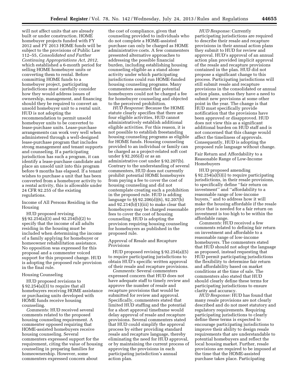will not affect units that are already built or under construction. HOME homebuyer projects funded with FY 2012 and FY 2013 HOME funds will be subject to the provisions of Public Law 112–55, *Consolidated and Further Continuing Appropriations Act, 2012,*  which established a 6-month period for selling HOME homebuyer units or converting them to rental. Before committing HOME funds to a homebuyer project, participating jurisdictions must carefully consider how they would address issues of ownership, management, and financing should they be required to convert an unsold homebuyer unit to a rental unit. HUD is not adopting the recommendation to permit unsold homebuyer units to be converted to lease-purchase units. Lease-purchase arrangements can work very well when administered through a well-designed lease-purchase program that includes strong management and tenant supports and counseling. If a participating jurisdiction has such a program, it can identify a lease-purchase candidate and place an unsold unit into this program before 9 months has elapsed. If a tenant wishes to purchase a unit that has been converted from a homebuyer activity to a rental activity, this is allowable under 24 CFR 92.255 of the existing regulations.

Income of All Persons Residing in the Housing

HUD proposed revising §§ 92.254(a)(3) and 92.254(b)(2) to specify that the income of all adults residing in the housing must be included when determining the income of a family applying for homebuyer or homeowner rehabilitation assistance. No opposition was expressed for this proposal and a commenter voiced support for this proposed change. HUD is adopting the proposed rule provision in the final rule.

#### Housing Counseling

HUD proposed revisions to § 92.254(a)(3) to require that all homebuyers receiving HOME assistance or purchasing units developed with HOME funds receive housing counseling.

*Comments:* HUD received several comments related to the proposed housing counseling requirement. A commenter opposed requiring that HOME-assisted homebuyers receive housing counseling. Several commenters expressed support for the requirement, citing the value of housing counseling in preparing families for homeownership. However, some commenters expressed concern about

the cost of compliance, given that counseling provided to individuals who do not complete a HOME-assisted purchase can only be charged as HOME administrative costs. A few commenters presented alternative approaches to addressing the possible financial burden, including establishing housing counseling eligible as a stand alone activity under which participating jurisdictions could run HOME-funded housing counseling programs. Many commenters assumed that potential homebuyers could not be charged a fee for homebuyer counseling and objected to the perceived prohibition.

*HUD Response:* Because the HOME statute clearly specifies that there are four eligible activities, HUD cannot administratively establish additional eligible activities. For this reason, it is not possible to establish freestanding housing counseling programs as eligible for HOME funds. Housing counseling provided to an individual or family can be charged as a project-related soft cost under § 92.205(d) or as an administrative cost under § 92.207(b). Contrary to the understanding of several commenters, HUD does not currently prohibit potential HOME homebuyers from paying a fee to cover the cost of housing counseling and did not contemplate creating such a prohibition in the proposed rule. HUD is adding language to §§ 92.206(d)(6), 92.207(b) and 92.214(b)(1)(iii) to make clear that homebuyers may be charged reasonable fees to cover the cost of housing counseling. HUD is adopting the provision requiring housing counseling for homebuyers as published in the proposed rule.

Approval of Resale and Recapture Provisions

HUD proposed revising § 92.254(a)(5) to require participating jurisdictions to obtain HUD's specific written approval of their resale and recapture provisions.

*Comments:* Several commenters expressed concern that HUD does not have adequate staff to timely review and approve the number of resale and recapture provisions that would be submitted for review and approval. Specifically, commenters stated that limited HUD staffing and the potential for a short approval timeframe would delay approval of resale and recapture provisions. Several commenters stated that HUD could simplify the approval process by either providing standard resale and recapture language, thereby eliminating the need for HUD approval, or by maintaining the current process of approving the provisions in each participating jurisdiction's annual action plan.

*HUD Response:* Currently participating jurisdictions are required to describe their resale and recapture provisions in their annual action plans they submit to HUD for review and approval. HUD's approval of an annual action plan provided implicit approval of the resale and recapture provisions contained in the plan. HUD did not propose a significant change to this process. Participating jurisdictions will still submit resale and recapture provisions in the consolidated or annual action plans, unless they have a need to submit new provisions at some other point in the year. The change is that HUD must specifically provide notification that the provisions have been approved or disapproved. HUD does not view this as a significant additional burden on HUD staff and is not concerned that this change would affect the timeliness of approvals. Consequently, HUD is adopting the proposed rule language without change.

Fair Return and Affordability to a Reasonable Range of Low-Income Homebuyers

HUD proposed amending § 92.254(a)(5)(i) to require participating jurisdictions, in their resale provisions, to specifically define ''fair return on investment'' and ''affordability to a reasonable range of low-income buyers,'' and to address how it will make the housing affordable if the resale price that is needed for a fair return on investment is too high to be within the affordable range.

*Comments:* HUD received a few comments related to defining fair return on investment and affordable to a reasonable range of low-income homebuyers. The commenters stated that HUD should not adopt the language as proposed, instead requesting that HUD permit participating jurisdictions the flexibility to determine fair return and affordability based on market conditions at the time of sale. The commenters also stated that HUD should clearly define these terms for participating jurisdictions to ensure clarity and accuracy.

*HUD Response:* HUD has found that many resale provisions are not clearly described and do not meet statutory and regulatory requirements. Requiring participating jurisdictions to clearly define these terms is expected to encourage participating jurisdictions to improve their ability to design resale requirements that are understandable to potential homebuyers and reflect the local housing market. Further, resale provisions are required to be imposed at the time that the HOME-assisted purchase takes place. Participating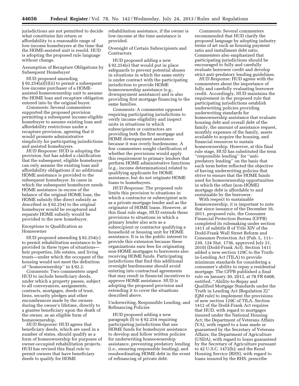jurisdictions are not permitted to decide what constitutes fair return or affordability to a reasonable range of low-income homebuyers at the time that the HOME-assisted unit is resold. HUD is adopting the proposed rule language without change.

Assumption of Recapture Obligations by Subsequent Homebuyer

HUD proposed amending § 92.254(a)(5)(ii) to permit a subsequent low-income purchaser of a HOMEassisted homeownership unit to assume the HOME loan and recapture obligation entered into by the original buyer.

*Comments:* Several commenters supported the proposed provision permitting a subsequent income-eligible homebuyer to assume existing loan and affordability restrictions under a recapture provision, agreeing that it would promote administrative simplicity for participating jurisdictions and assisted homebuyers.

*HUD Response:* HUD is adopting the provision, but has added a clarification that the subsequent, eligible homebuyer can only assume the existing loan and affordability obligations if no additional HOME assistance is provided to the subsequent homebuyer. In cases in which the subsequent homebuyer needs HOME assistance in excess of the balance of the original HOME loan, the HOME subsidy (the direct subsidy as described in § 92.254) to the original homebuyer would be recaptured and separate HOME subsidy would be provided to the new homebuyer.

Exceptions to Qualification as Homeowner

HUD proposed amending § 92.254(c) to permit rehabilitation assistance to be provided in three types of situations heir properties, life estates, and living trusts—under which the occupant of the housing would not meet the definition of ''homeownership'' in § 92.2.

*Comments:* Two commenters urged HUD to include beneficiary deeds, under which a property passes, subject to all conveyances, assignments, contracts, mortgages, deeds of trust, liens, security pledges and other encumbrances made by the owners during the owner's lifetime, directly to a grantee beneficiary upon the death of the owner, as an eligible form of homeownership.

*HUD Response:* HUD agrees that beneficiary deeds, which are used in a number of states, should qualify as a form of homeownership for purposes of owner-occupied rehabilitation projects. HUD has revised this final rule to permit owners that have beneficiary deeds to qualify for HOME

rehabilitation assistance, if the owner is low-income at the time assistance is provided.

Oversight of Certain Subrecipients and **Contractors** 

HUD proposed adding a new § 92.254(e) that would put in place safeguards to prevent potential abuses in situations in which the same entity is under contract with the participating jurisdiction to provide HOME homeownership assistance (e.g., downpayment assistance) and is also providing first mortgage financing to the same families.

*Comments:* A commenter opposed requiring participating jurisdictions to verify income eligibility and inspect units in situations in which subrecipients or contractors are providing both the first mortgage and HOME downpayment assistance because it was overly burdensome. A few commenters sought clarification of whether the provisions would apply this requirement to primary lenders that perform HOME administrative functions (e.g., income determinations) related to qualifying applicants for HOME assistance, but do not originate HOME loans to homebuyers.

*HUD Response:* The proposed rule limits this provision to situations in which a contractor or subrecipient acts as a private mortgage lender and as the originator of HOME loans. However, at this final rule stage, HUD extends these provisions to situations in which a primary lender also acts as a subrecipient or contractor qualifying a household or housing unit for HOME assistance. It is in the public interest to provide this extension because these organizations earn fees for originating non-HOME mortgages to borrowers also receiving HOME funds. Participating jurisdictions that find this additional oversight burdensome should avoid entering into contractual agreements that may result in financial incentives to approve HOME assistance. HUD is adopting the proposed provision and extending it to cover the situations described above.

Underwriting, Responsible Lending, and Refinancing Policies

HUD proposed adding a new paragraph (f) to § 92.254 requiring participating jurisdictions that use HOME funds for homebuyer assistance to develop and follow written policies for underwriting homeownership assistance, preventing predatory lending (i.e., ensuring responsible lending), and resubordinating HOME debt in the event of refinancing of private debt.

*Comments:* Several commenters recommended that HUD clarify the proposed language by adopting industry terms of art such as housing payment ratio and installment debt ratio. Commenters also emphasized that participating jurisdictions should be encouraged to fully and carefully evaluate borrower credit and develop strict anti-predatory lending guidelines.

*HUD Response:* HUD agrees with the commenters about the importance of fully and carefully evaluating borrower credit. Accordingly, HUD maintains the requirement in the proposed rule that participating jurisdictions establish underwriting policies providing underwriting standards for homeownership assistance that evaluate housing debt and overall debt of the family, the amount of assistance request, monthly expenses of the family, assets available to acquire the housing, and financial resources to sustain homeownership. However, at this final rule stage, HUD has substituted the term ''responsible lending'' for ''antipredatory lending'' on the basis that such term better reflected the objective of having underwriting policies that strive to ensure that the HOME funds used for homeownership opportunities in which the other (non-HOME) mortgage debt is affordable to and sustainable by the borrower.

With respect to sustainable homeownership, it is important to note that since issuance of the December 16, 2011, proposed rule, the Consumer Financial Protection Bureau (CFPB) completed its rulemaking under section 1411 of subtitle B of Title XIV of the Dodd-Frank Wall Street Reform and Consumer Protection Act (Pub. L. 111– 230, 124 Stat. 1736, approved July 21, 2010) (Dodd-Frank Act). Section 1411 added a new section 129C to the Truthin-Lending Act (TILA) to provide minimum standards for considering a consumer's ability to repay a residential mortgage. The CFPB published a final rule on January 30, 2013, at 78 FR 6408, entitled, ''Ability-to-Repay and Qualified Mortgage Standards under the Truth in Lending Act (Regulation Z)'' (QM rule) to implement the provisions of new section 129C of TILA. Section 1412 of the Dodd-Frank Act requires that HUD, with regard to mortgages insured under the National Housing Act; the Department of Veterans Affairs (VA), with regard to a loan made or guaranteed by the Secretary of Veterans Affairs; the Department of Agriculture (USDA), with regard to loans guaranteed by the Secretary of Agriculture pursuant to 42 U.S.C. 1472(h); and the Rural Housing Service (RHS), with regard to loans insured by the RHS, prescribe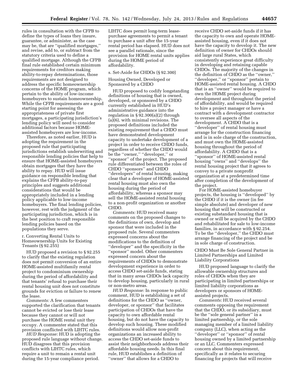rules in consultation with the CFPB to define the types of loans they insure, guarantee, or administer, as the case may be, that are ''qualified mortgages,'' and revise, add to, or subtract from the statutory criteria used to define a qualified mortgage. Although the CFPB final rule established certain minimum requirements for creditors making ability-to-repay determinations, those requirements are not designed to address the specific homeownership concerns of the HOME program, which pertain to the ability of low-income homebuyers to sustain homeownership. While the CFPB requirements are a good starting point for assessing the appropriateness of private first mortgages, a participating jurisdiction's lending policy will need to consider additional factors because HOMEassisted homebuyers are low-income.

Therefore, as noted earlier, HUD is adopting the requirement in the proposed rule that participating jurisdictions establish underwriting and responsible lending policies that help to ensure that HOME-assisted homebuyers obtain mortgages that they have the ability to repay. HUD will issue guidance on responsible lending that explains the CFPB ability-to-pay principles and suggests additional considerations that would be appropriately included in a lending policy applicable to low-income homebuyers. The final lending policies, however, rest with the judgment of the participating jurisdiction, which is in the best position to craft responsible lending policies based on the populations they serve.

r. Converting Rental Units to Homeownership Units for Existing Tenants (§ 92.255)

HUD proposed a revision to § 92.255 to clarify that the existing regulation does not permit conversion of an entire HOME-assisted multifamily rental project to condominium ownership during the period of affordability and that tenants' refusal to purchase their rental housing unit does not constitute grounds for eviction or failure to renew the lease.

*Comments:* A few commenters supported the clarification that tenants cannot be evicted or lose their lease because they cannot or will not purchase the HOME rental unit they occupy. A commenter stated that this provision conflicted with LIHTC rules.

*HUD Response:* HUD is adopting the proposed rule language without change. HUD disagrees that this provision conflicts with LIHTC rules, which require a unit to remain a rental unit during the 15-year compliance period.

LIHTC does permit long-term leasepurchase agreements to permit a tenant to purchase a unit after the 15-year rental period has elapsed. HUD does not see a parallel rationale, since the provision for HOME rental units applies during the HOME period of affordability.

#### s. Set-Aside for CHDOs (§ 92.300)

Housing Owned, Developed or Sponsored by a CHDO

HUD proposed to codify longstanding definitions of housing that is owned, developed, or sponsored by a CHDO currently established in HUD's administrative guidance into the regulation in § 92.300(a)(2) through (a)(6), with minimal revisions. The proposed definitions included the existing requirement that a CHDO must have demonstrated development capacity to undertake development of a project in order to receive CHDO funds, regardless of whether the CHDO would be the ''owner,'' ''developer,'' or ''sponsor'' of the project. The proposed rule differentiated between the roles of CHDO ''sponsors'' and CHDO ''developers'' of rental housing, making clear that a developer of HOME-assisted rental housing must also own the housing during the period of affordability, whereas a sponsor may sell the HOME-assisted rental housing to a non-profit organization or another CHDO.

*Comments:* HUD received many comments on the proposed changes to the definitions of own, develop and sponsor that were included in the proposed rule. Several commenters expressed concerns about the modifications to the definition of ''developer'' and the specificity in the ''sponsor'' model. Other commenters expressed concern about the requirements of CHDOs to demonstrate development experience in order to access CHDO set-aside funds, stating that in many areas CHDOs lack capacity to develop housing, particularly in rural or non-metro areas.

*HUD Response:* In response to public comment, HUD is establishing a set of definitions for the CHDO as ''owner, developer, or sponsor'' that facilitates participation of CHDOs that have the capacity to own affordable rental housing, but do not have the capacity to develop such housing. These modified definitions would allow non-profit organizations an increased ability to access the CHDO set-aside funds to assist their neighborhoods address their affordable housing needs. In this final rule, HUD establishes a definition of ''owner'' that allows for a CHDO to

receive CHDO set-aside funds if it has the capacity to own and operate HOMEassisted housing, even if it does not have the capacity to develop it. The new definition of owner for CHDOs should aid large rural States, which consistently experience great difficulty in developing and retaining capable CHDOs. The majority of the changes in the definition of CHDO as the ''owner,'' ''developer,'' or ''sponsor'' pertain to HOME-assisted rental housing. A CHDO that is an ''owner'' would be required to own the HOME project during development and throughout the period of affordability, and would be required to hire a project manager or have a contract with a development contractor to oversee all aspects of the development. A CHDO that is a "developer" of rental housing must arrange for the construction financing and is in sole charge of the construction, and must own the HOME-assisted housing throughout the period of affordability. A CHDO that is a ''sponsor'' of HOME-assisted rental housing ''owns'' and ''develops'' the rental housing project that it agrees to convey to a private nonprofit organization at a predetermined time after completion of the development of the project.

For HOME-assisted homebuyer projects, the housing is ''developed'' by the CHDO if it is the owner (in fee simple absolute) and developer of new housing that will be constructed or existing substandard housing that is owned or will be acquired by the CHDO and rehabilitated for sale to low-income families, in accordance with § 92.254. To be the ''developer,'' the CHDO must arrange financing of the project and be in sole charge of construction.

CHDO Must Be Sole General Partner in Limited Partnerships and Limited Liability Corporations

HUD proposed language to clarify the allowable ownership structures and roles of CHDOs when they are participating in limited partnerships or limited liability corporations as developers or sponsors of HOMEassisted projects.

*Comments:* HUD received several comments opposing the requirement that the CHDO, or its subsidiary, must be the ''sole general partner'' in a limited partnership, or the sole managing member of a limited liability company (LLC), when acting as the "developer" or "sponsor" of rental housing owned by a limited partnership or an LLC. Commenters expressed concern about this requirement, specifically as it relates to securing financing for projects that will receive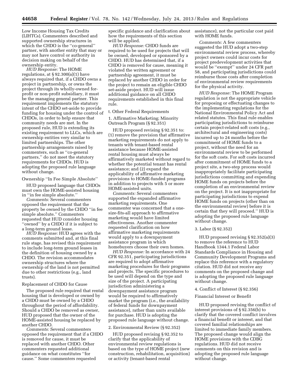Low Income Housing Tax Credits (LIHTCs). Commenters described and supported ownership structures in which the CHDO is the ''co-general'' partner, with another entity that may or may not have control or authority in decision making on behalf of the ownership entity.

*HUD Response:* The HOME regulations, at  $\S 92.300(a)(1)$  have always required that, if a CHDO owns a project in partnership, or owns the project through its wholly-owned forprofit or non-profit subsidiary, it must be the managing general partner. This requirement implements the statutory intent of the CHDO set-aside to provide funding for housing under the control of CHDOs, in order to help ensure that community needs are met. In the proposed rule, HUD is extending its existing requirement to LLCs, which are ownership entities very similar to limited partnerships. The other partnership arrangements raised by commenters, such as ''co-general partners,'' do not meet the statutory requirements for CHDOs. HUD is adopting the proposed rule language without change.

#### Ownership ''In Fee Simple Absolute''

HUD proposed language that CHDOs must own the HOME-assisted housing in ''in fee simple absolute.''

*Comments:* Several commenters opposed the requirement that the property be owned by the CHDO ''in fee simple absolute.'' Commenters requested that HUD consider housing ''owned'' by a CHDO if it is subject to a long-term ground lease.

*HUD Response:* HUD agrees with the comments submitted and, at this final rule stage, has revised this requirement to include long-term ground leases in the definition of housing owned by a CHDO. The revision accommodates ownership structures where the ownership of the land is not permitted due to other restrictions (e.g., land trusts).

#### Replacement of CHDO for Cause

The proposed rule required that rental housing that is developed or owned by a CHDO must be owned by a CHDO throughout the period of affordability. Should a CHDO be removed as owner, HUD proposed that the owner of the HOME-assisted housing be replaced by another CHDO.

*Comments:* Several commenters opposed the requirement that if a CHDO is removed for cause, it must be replaced with another CHDO. Other commenters requested additional guidance on what constitutes ''for cause.'' Some commenters requested

specific guidance and clarification about how the requirements of this section will be applied.

*HUD Response:* CHDO funds are required to be used for projects that will be owned, developed or sponsored by a CHDO. HUD has determined that, if a CHDO is removed for cause, meaning it violated the written agreement or partnership agreement, it must be replaced by another CHDO in order for the project to remain an eligible CHDO set-aside project. HUD will issue additional guidance on all CHDO requirements established in this final rule.

#### t. Other Federal Requirements

1. Affirmative Marketing; Minority Outreach Program (§ 92.351)

HUD proposed revising § 92.351 to: (1) remove the provision that affirmative marketing requirements do not apply to tenants with tenant-based rental assistance because HOME-assisted rental housing must always be affirmatively marketed without regard to whether the potential tenant has rental assistance; and (2) expand the applicability of affirmative marketing provisions to HOME-funded programs in addition to projects with 5 or more HOME-assisted units.

*Comments:* Several commenters supported the expanded affirmative marketing requirements. One commenter was concerned that a onesize-fits-all approach to affirmative marketing would have limited effectiveness. Another commenter requested clarification on how affirmative marketing requirements would apply to a downpayment assistance program in which homebuyers choose their own homes.

*HUD Response:* In accordance with 24 CFR 92.351, participating jurisdictions are required to adopt affirmative marketing procedures for their programs and projects. The specific procedures to be used will depend on the type and size of the project. A participating jurisdiction administering a downpayment assistance program would be required to affirmatively market the program (i.e., the availability of federal funds for downpayment assistance), rather than units available for purchase. HUD is adopting the proposed rule language without change.

#### 2. Environmental Review (§ 92.352)

HUD proposed revising § 92.352 to clarify that the applicability of environmental review regulations is based on the type of HOME project (new construction, rehabilitation, acquisition) or activity (tenant-based rental

assistance), not the particular cost paid with HOME funds.

*Comments:* A few commenters suggested the HUD adopt a two-step environmental review process, whereby project owners could incur costs for project predevelopment activities that would be ''exempt'' under 24 CFR part 58, and participating jurisdictions could reimburse those costs after completion of environmental review requirements for the physical activity.

*HUD Response:* The HOME Program regulation is not the appropriate vehicle for proposing or effectuating changes to the implementing regulations for the National Environmental Policy Act and related statutes. This final rule enables participating jurisdictions to reimburse certain project-related soft costs (e.g., architectural and engineering costs) incurred up to 24 months before the commitment of HOME funds to a project, without the need for an environmental review to be performed for the soft costs. For soft costs incurred after commitment of HOME funds to a project site, a two-step process would inappropriately facilitate participating jurisdictions committing and expending HOME funds on projects before the completion of an environmental review on the project. It is not inappropriate for participating jurisdictions to expend HOME funds on projects (other than on the environmental review) before it is certain that they will proceed.'' HUD is adopting the proposed rule language without change.

#### 3. Labor (§ 92.352)

HUD proposed revising § 92.352(a)(3) to remove the reference to HUD Handbook 1344.1 Federal Labor Standards Compliance in Housing and Community Development Programs and replace this reference with a regulatory citation. HUD did not receive any comments on the proposed change and is adopting the proposed rule language without change.

#### 4. Conflict of Interest (§ 92.356)

#### Financial Interest or Benefit

HUD proposed revising the conflict of interest provisions of § 92.356(b) to clarify that the covered conflict involves a financial benefit or interest, and that covered familial relationships are limited to immediate family members. The proposed change would align the HOME provisions with the CDBG regulations. HUD did not receive comments on this revision and is adopting the proposed rule language without change.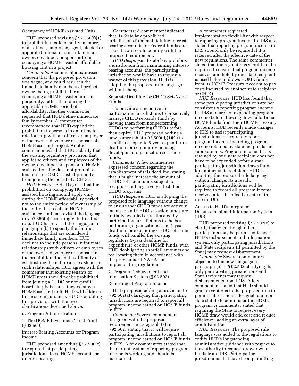#### Occupancy of HOME-Assisted Units

HUD proposed revising § 92.356(f)(1) to prohibit immediate family members of an officer, employee, agent, elected or appointed official or consultant of an owner, developer, or sponsor from occupying a HOME-assisted affordable housing unit in a project.

*Comments:* A commenter expressed concern that the proposed provision was vague, and could result in the immediate family members of project owners being prohibited from occupying a HOME-assisted unit in perpetuity, rather than during the applicable HOME period of affordability. Another commenter requested that HUD define immediate family member. A commenter recommended that HUD expand the prohibition to persons in an intimate relationship with an officer or employee of the owner, developer or sponsor of a HOME-assisted project. Another commenter asked that HUD clarify that the existing regulatory provision that applies to officers and employees of the owner, developer or sponsor of HOMEassisted housing does not prohibit a tenant of a HOME-assisted property from joining the board of a CHDO.

*HUD Response:* HUD agrees that the prohibition on occupying HOMEassisted housing should apply only during the HOME affordability period, not to the entire period of ownership of the entity that received HOME assistance, and has revised the language in § 92.356(b) accordingly. In this final rule, HUD has revised the language in paragraph (b) to specify the familial relationships that are considered immediate family members. HUD declines to include persons in intimate relationships with officers or employees of the owner, developer or sponsor in the prohibition due to the difficulty of establishing the nature and existence of such relationships. HUD agrees with the commenter that existing tenants of HOME units should not be prohibited from joining a CHDO or non-profit board simply because they occupy a HOME-assisted unit. HUD will address this issue in guidance. HUD is adopting this provision with the two clarifications described above.

u. Program Administration

1. The HOME Investment Trust Fund (§ 92.500)

Interest-Bearing Accounts for Program Income

HUD proposed amending § 92.500(c) to require that participating jurisdictions' local HOME accounts be interest-bearing.

*Comments:* A commenter indicated that its State law prohibited jurisdictions from maintaining interestbearing accounts for Federal funds and asked how it could comply with the proposed requirement.

*HUD Response:* If state law prohibits a jurisdiction from maintaining interestbearing accounts, the participating jurisdiction would have to request a waiver of this provision. HUD is adopting the proposed rule language without change.

#### Separate Deadline for CHDO Set-Aside Funds

To provide an incentive for participating jurisdictions to proactively manage CHDO set-aside funds by moving them from nonperforming CHDOs to performing CHDOs before they expire, HUD proposed adding a new paragraph at  $\S 92.500(d)(1)(C)$  to establish a separate 5-year expenditure deadline for community housing development organization set-aside funds.

*Comments:* A few commenters expressed concern regarding the establishment of this deadline, stating that it might increase the amount of CHDO set-aside funds subject to recapture and negatively affect their CHDO programs.

*HUD Response:* HUD is adopting the proposed rule language without change to ensure that CHDO funds are actively managed and CHDO set-aside funds are initially awarded or reallocated by participating jurisdictions to the best performing organizations. The 5-year deadline for expending CHDO set-aside funds will parallel the existing regulatory 5-year deadline for expenditure of other HOME funds, with HUD deobligating shortfall amounts and reallocating them in accordance with the provisions of NAHA and implementing regulations.

#### 2. Program Disbursement and Information System (§ 92.502)

Reporting of Program Income

HUD proposed adding a provision to § 92.502(a) clarifying that participating jurisdictions are required to report all program income earned on HOME funds in IDIS.

*Comments:* Several commenters disagreed with the proposed requirement in paragraph (a) in § 92.502, stating that it will require participating jurisdictions to report all program income earned on HOME funds in IDIS. A few commenters stated that the current system of reporting program income is working and should be maintained.

A commenter requested implementation flexibility with respect to reporting program income in IDIS and stated that reporting program income in IDIS should only be required if it is received after the effective date of the new regulations. The same commenter stated that the regulations should not be required to ensure that program income received and held by one state recipient is used before it draws HOME funds from its HOME Treasury Account to pay costs incurred by another state recipient or CHDO.

*HUD Response:* HUD has found that some participating jurisdictions are not consistently reporting program income in IDIS and are not expending program income before drawing down additional HOME funds from their HOME Treasury Accounts. HUD recently made changes to IDIS to assist participating jurisdictions to accurately report program income, including program income retained by state recipients and subrecipients. Program income that is retained by one state recipient does not have to be expended before a state participating jurisdiction draws funds for another state recipient. HUD is adopting the proposed rule language without change. As a result, participating jurisdictions will be required to record all program income received after the effective date of this rule in IDIS.

Access to HUD's Integrated Disbursement and Information System (IDIS)

HUD proposed revising § 92.502(e) to clarify that even though other participants may be permitted to access HUD's disbursement and information system, only participating jurisdictions and State recipients (if permitted by the State) may request disbursement.

*Comments:* Several commenters objected to the new language in paragraph (e) in § 92.502 clarifying that only participating jurisdictions and State recipients may request disbursements from IDIS. A few commenters stated that HUD should grant exceptions to the proposed rule to permit subrecipients designated under state statute to administer the HOME program. A commenter stated that requiring the State to request every HOME draw would add cost and reduce efficiency, adding an extra layer of administration.

*HUD Response:* The proposed rule language was added to the regulations to codify HUD's longstanding administrative guidance with respect to the authority to request drawdown of funds from IDIS. Participating jurisdictions that have been permitting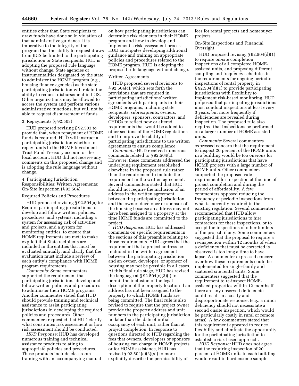entities other than State recipients to draw funds have done so in violation of that administrative guidance. It is imperative to the integrity of the program that the ability to request draws from IDIS be limited to the participating jurisdiction or State recipients. HUD is adopting the proposed rule language without change. State agencies or instrumentalities designated by the state to administer the HOME program (e.g., housing finance agencies) as the state participating jurisdiction will retain the ability to request disbursement in IDIS. Other organizations may be allowed to access the system and perform various administrative functions, but will not be able to request disbursement of funds.

#### 3. Repayments (§ 92.503)

HUD proposed revising § 92.503 to provide that, when repayment of HOME funds is required, HUD will instruct a participating jurisdiction whether to repay funds to the HOME Investment Trust Fund Treasury account or the local account. HUD did not receive any comments on this proposed change and is adopting the rule language without change.

#### 4. Participating Jurisdiction Responsibilities; Written Agreements; On-Site Inspection (§ 92.504)

#### Required Policies and Procedures

HUD proposed revising § 92.504(a) to: Require participating jurisdictions to develop and follow written policies, procedures, and systems, including a system for assessing risk of activities and projects, and a system for monitoring entities, to ensure that HOME requirements are met; to make explicit that State recipients are included in the entities that must be evaluated annually; and clarify that the evaluation must include a review of each entity's compliance with HOME program requirements.

*Comments:* Some commenters supported the requirement that participating jurisdictions develop and follow written policies and procedures to administer their HOME programs. Another commenter stated that HUD should provide training and technical assistance to assist participating jurisdictions in developing the required policies and procedures. Other commenters requested that HUD clarify what constitutes risk assessment or how risk assessment should be conducted.

*HUD Response:* HUD has developed numerous training and technical assistance products relating to appropriate policies and procedures. These products include classroom training with an accompanying manual

on how participating jurisdictions can determine risk elements in their HOME program and how to develop and implement a risk assessment process. HUD anticipates developing additional guidance and training on appropriate policies and procedures related to the HOME program. HUD is adopting the proposed rule language without change.

#### Written Agreements

HUD proposed several revisions to § 92.504(c), which sets forth the provisions that are required in participating jurisdictions' written agreements with participants in their HOME programs, including state recipients, subrecipients, owners, developers, sponsors, contractors, and CHDOs to reflect new or altered requirements that would be added to other sections of the HOME regulations and to improve the ability of participating jurisdictions to use written agreements to ensure compliance.

*Comments:* HUD received numerous comments related to § 92.504(c). However, these comments addressed the underlying requirement established elsewhere in the proposed rule rather than the requirement to include the requirement in the written agreement. Several commenters stated that HUD should not require the inclusion of an address in the written agreement between the participating jurisdiction and the owner, developer or sponsor of the housing because an address may not have been assigned to a property at the time HOME funds are committed to the project.

*HUD Response:* HUD has addressed comments on specific requirements in the sections of this preamble relating to those requirements. HUD agrees that the requirement that a project address be included in the written agreement between the participating jurisdiction and an owner, developer, or sponsor of housing may not be possible in all cases. At this final rule stage, HUD has revised the language at  $\S 92.504(c)(3)(i)$  to permit the inclusion of the legal description of the property location if an address has not been assigned to the property to which HOME funds are being committed. The final rule is also revised to require that the project owner provide the property address and unit numbers to the participating jurisdiction no later than the date of initial occupancy of each unit, rather than at project completion. In response to questions directed to HUD regarding the fees that owners, developers or sponsors of housing can charge in HOME projects or for HOME assistance, HUD has revised  $\S 92.504(c)(3)(xi)$  to more explicitly describe the permissibility of

fees for rental projects and homebuyer projects.

On-Site Inspections and Financial Oversight

HUD proposed revising § 92.504(d)(1) to require on-site completion inspections of all completed HOMEassisted units, and proposing different sampling and frequency schedules in the requirements for ongoing periodic inspections of rental property in § 92.504(d)(1) to provide participating jurisdictions with flexibility to implement risk-based monitoring. HUD proposed that participating jurisdictions must conduct inspections at least every 3 years, but more frequently if deficiencies are revealed during inspection. The proposed rule also required that inspections be performed on a larger number of HOME-assisted units.

*Comments:* Several commenters expressed concern that the requirement to inspect 20 percent of the HOME units in a building would be too onerous for participating jurisdictions that have HOME projects with a large number of HOME units. Other commenters supported the proposed rule requirement for inspection at the time of project completion and during the period of affordability. A few commenters opposed reducing the frequency of periodic inspections from what is currently required in the existing regulation. Several commenters recommended that HUD allow participating jurisdictions to hire contractors for these inspections, or to accept the inspections of other funders of the project, if any. Some commenters suggested that the proposal to require a re-inspection within 12 months of when a deficiency that must be corrected is observed is too long a time to have lapse. A commenter expressed concern over how these requirements could be implemented for single-family and scattered site rental units. Some commenters suggested that the requirement to re-inspect HOMEassisted properties within 12 months if there are any observed deficiencies could result in a costly and disproportionate response, (e.g., a minor deficiency should not necessitate a second onsite inspection, which would be particularly costly in rural or remote areas). A few commenters stated that this requirement appeared to reduce flexibility and eliminate the opportunity for the participating jurisdiction to establish a risk-based approach.

*HUD Response:* HUD does not agree that the requiring inspection of 20 percent of HOME units in each building would result in burdensome sample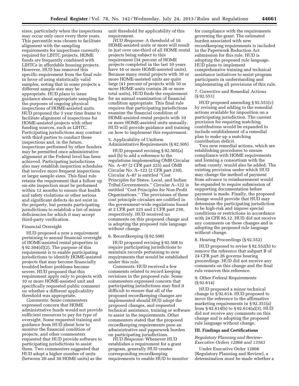sizes, particularly when the inspections may occur only once every three years. This percentile was chosen to facilitate alignment with the sampling requirements for inspections currently required for LIHTC projects. HOME funds are frequently combined with LIHTCs in affordable housing projects. However, HUD has removed this specific requirement from the final rule in favor of using statistically valid samples, noting that in some projects a different sample size may be appropriate. HUD plans to issue guidance about appropriate sampling for the purposes of ongoing physical inspections of HOME-assisted units. HUD proposed the 3 year time frame to facilitate alignment of inspections for HOME-assisted projects with other funding sources, such as LIHTC. Participating jurisdictions may contract with third parties to conduct these inspections and, in the future, inspections performed by other funders may be permitted once administrative alignment at the Federal level has been achieved. Participating jurisdictions also may establish inspection schedules that involve more frequent inspections or larger sample sizes. This final rule retains the requirement that a follow up on-site inspection must be performed within 12 months to ensure that health and safety violations or other serious and significant defects do not exist in the property, but permits participating jurisdictions to establish a list of minor deficiencies for which it may accept third-party verification.

#### Financial Oversight

HUD proposed a new a requirement pertaining to annual financial oversight of HOME-assisted rental properties in § 92.504(d)(2). The purpose of this requirement is to enable participating jurisdictions to identify HOME-assisted projects that may become financially troubled before problems become severe. HUD proposed that this requirement apply only to projects with 10 or more HOME-assisted unit and specifically requested public comment on whether a different applicability threshold was appropriate.

*Comments:* Some commenters expressed concern that HOME administrative funds would not provide sufficient resources to pay for type of oversight. Some requested training and guidance from HUD about how to monitor the financial condition of projects, and other commenters requested that HUD provide software to participating jurisdictions to assist them. Two commenters suggested that HUD adopt a higher number of units (between 20 and 30 HOME units) as the

unit threshold for applicability of this requirement.

*HUD Response:* A threshold of 10 HOME-assisted units or more will result in just over one-third of all HOME rental projects being subject to this requirement (34 percent of HOME projects completed in the last 10 years have 10 or more HOME-assisted units). Because many rental projects with 10 or more HOME-assisted units are quite large (41 percent of projects with 10 or more HOME units contain 26 or more total units), HUD finds the requirement for an annual examination of financial condition appropriate. This final rule requires that participating jurisdictions examine the financial condition of HOME-assisted rental projects with 10 or more HOME-assisted units annually. HUD will provide guidance and training on how to implement this requirement.

5. Applicability of Uniform Administrative Requirements (§ 92.505)

HUD proposed revising § 92.505(a) and (b) to add a reference to the regulations implementing OMB Circular No. A–87 (2 CFR part 225) and OMB Circular No. A–122 (2 CFR part 230). Circular A–87 is entitled ''Cost Principles for States, Local, and Indian Tribal Governments.'' Circular A–122 is entitled ''Cost Principles for Non-Profit Organizations.'' The provisions of these cost principle circulars are codified in the government-wide regulations found at 2 CFR part 225 and 2 CFR part 230, respectively. HUD received no comments on this proposed change and is adopting the proposed rule language without change.

#### 6. Recordkeeping (§ 92.508)

HUD proposed revising § 92.508 to require participating jurisdictions to maintain records pertaining to new requirements that would be established under this rule.

*Comments:* HUD received a few comments related to record keeping revisions in the proposed rule. Some commenters expressed concern that participating jurisdictions may find it difficult to ensure that all of the proposed recordkeeping changes are implemented should HUD adopt the proposed changes, and requested technical assistance, training or software to assist in the requirements. Other commenters stated that the proposed recordkeeping requirements pose an administrative and paperwork burden on participating jurisdictions.

*HUD Response:* Whenever HUD establishes a requirement for a grant program, generally HUD creates corresponding recordkeeping requirements to enable HUD to monitor

for compliance with the requirements governing the grant. The estimated burden associated with new recordkeeping requirements is included in the Paperwork Reduction Act submission for this rule. HUD is adopting the proposed rule language. HUD plans to implement comprehensive training and technical assistance initiatives to assist program participants in understanding and implementing all provisions of this rule.

7. Corrective and Remedial Actions (§ 92.551)

HUD proposed amending § 92.551(c) by revising and adding to the remedial actions available for imposition on a participating jurisdiction. The current provision for requiring matching contributions would be expanded to include establishment of a remedial plan to make up a matching contribution deficit.

Two new remedial actions, which are establishing procedures to ensure compliance with HOME requirements and forming a consortium with the urban county, would also be added. The existing provision under which HUD may change the method of payment from advance to reimbursement would be expanded to require submission of supporting documentation before payment is made. Finally, the proposed change would provide that HUD may determine the participating jurisdiction to be high-risk and impose special conditions or restrictions in accordance with 24 CFR 85.12. HUD did not receive any comments on these changes and is adopting the proposed rule language without change.

#### 8. Hearing Proceedings (§ 92.552)

HUD proposed to revise § 92.552(b) to remove the reference that subpart B of 24 CFR part 26 governs hearing proceedings. HUD did not receive any comments on this change and the final rule removes this reference.

#### 9. Other Federal Requirements (§ 92.614)

HUD proposed a minor technical change to § 92.614. HUD proposed to move the reference to the affirmative marketing requirements in § 92.351(a) from § 92.614(b) to § 92.614(a)(3). HUD did not receive any comments on this change and is adopting the proposed rule language without change.

#### **III. Findings and Certifications**

#### *Regulatory Planning and Review– Executive Orders 12866 and 13563*

Under Executive Order 12866 (Regulatory Planning and Review), a determination must be made whether a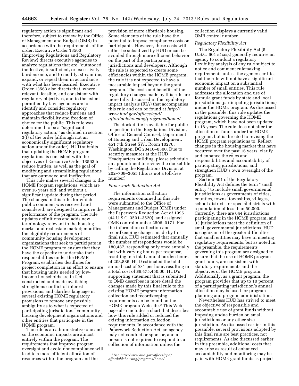regulatory action is significant and therefore, subject to review by the Office of Management and Budget (OMB) in accordance with the requirements of the order. Executive Order 13563 (Improving Regulations and Regulatory Review) directs executive agencies to analyze regulations that are ''outmoded, ineffective, insufficient, or excessively burdensome, and to modify, streamline, expand, or repeal them in accordance with what has been learned. Executive Order 13563 also directs that, where relevant, feasible, and consistent with regulatory objectives, and to the extent permitted by law, agencies are to identify and consider regulatory approaches that reduce burdens and maintain flexibility and freedom of choice for the public. This rule was determined to be a ''significant regulatory action,'' as defined in section 3(f) of the order (although not an economically significant regulatory action under the order). HUD submits that updating the HOME program regulations is consistent with the objectives of Executive Order 13563 to reduce burden, as well as the goal of modifying and streamlining regulations that are outmoded and ineffective.

This rule makes several changes to the HOME Program regulations, which are over 16 years old, and without a significant update during that period. The changes in this rule, for which public comment was received and considered, are designed to improve the performance of the program. The rule updates definitions and adds new terminology relevant to the housing market and real estate market; modifies the eligibility requirements of community housing development organizations that seek to participate in the HOME program to ensure that they have the capacity to undertake their responsibilities under the HOME Program, establishes deadlines for project completion in an effort to ensure that housing units needed by lowincome households are in fact constructed and made available; strengthens conflict of interest provisions; and clarifies language in several existing HOME regulatory provisions to remove any possible ambiguity as to what is expected of participating jurisdictions, community housing development organizations and other entities that participate in the HOME program.

The rule is an administrative one and so the economic impacts are almost entirely within the program. The requirements that improve program oversight and avoid noncompliance will lead to a more efficient allocation of resources within the program and the

provision of more affordable housing. Some elements of the rule have the potential to impose compliance costs on participants. However, these costs will either be subsidized by HUD or can be avoided through more efficient behavior on the part of the participating jurisdictions and developers. Although the rule is expected to create some efficiencies within the HOME program, the rule it is not expected to have a measurable impact beyond the grant program. The costs and benefits of the regulatory changes made by this rule are more fully discussed in the regulatory impact analysis (RIA) that accompanies this rule and can be found at *[http://](http://www.hud.gov/offices/cpd/affordablehousing/programs/home/) [www.hud.gov/offices/cpd/](http://www.hud.gov/offices/cpd/affordablehousing/programs/home/) [affordablehousing/programs/home/.](http://www.hud.gov/offices/cpd/affordablehousing/programs/home/)* 

The docket file is available for public inspection in the Regulations Division, Office of General Counsel, Department of Housing and Urban Development, 451 7th Street SW., Room 10276, Washington, DC 20410–0500. Due to security measures at the HUD Headquarters building, please schedule an appointment to review the docket file by calling the Regulations Division at 202–708–3055 (this is not a toll-free number).

#### *Paperwork Reduction Act*

The information collection requirements contained in this rule were submitted to the Office of Management and Budget (OMB) under the Paperwork Reduction Act of 1995 (44 U.S.C. 3501–3520), and assigned OMB control number 2506–0171. For the information collection and recordkeeping changes made by this final rule, HUD estimated that annually the number of respondents would be 180,487, responding only once annually but with varying hours per response, resulting in a total annual burden hours of 208,886. HUD estimated the total annual cost of \$31 per hour, resulting in a total cost of \$6,475,450.00. HUD's supporting statement that is submitted to OMB describes in more detail the changes made by this final rule to the existing HOME program information collection and recordkeeping requirements can be found on the HOME program Web site.9 This Web page also includes a chart that describes how this rule added or reduced the existing information collection requirements. In accordance with the Paperwork Reduction Act, an agency may not conduct or sponsor, and a person is not required to respond to, a collection of information unless the

9See *[http://www.hud.gov/offices/cpd/](http://www.hud.gov/offices/cpd/affordablehousing/programs/home/)  [affordablehousing/programs/home/.](http://www.hud.gov/offices/cpd/affordablehousing/programs/home/)* 

collection displays a currently valid OMB control number.

#### *Regulatory Flexibility Act*

The Regulatory Flexibility Act (5 U.S.C. 601 *et seq.*) generally requires an agency to conduct a regulatory flexibility analysis of any rule subject to notice and comment rulemaking requirements unless the agency certifies that the rule will not have a significant economic impact on a substantial number of small entities. This rule addresses the allocation and use of formula grant funds by state and local jurisdictions (participating jurisdictions) under the HOME program. As discussed in the preamble, this rule updates the regulations governing the HOME program, which have not been updated in 16 years. The rule does not alter the allocation of funds under the HOME program, but is directed to revising the HOME program regulations to: Reflect changes in the housing market that have occurred over the past 16 years; clarify and enhance the roles and responsibilities and accountability of participating jurisdictions; and strengthen HUD's own oversight of the program.

Section 601 of the Regulatory Flexibility Act defines the term ''small entity'' to include small governmental jurisdictions as governments of cities, counties, towns, townships, villages, school districts, or special districts with a population of less than 50,000. Currently, there are 644 jurisdictions participating in the HOME program, and 33 jurisdictions meet the definition of small governmental jurisdictions. HUD is cognizant of the greater difficulties that small entities may have in meeting regulatory requirements, but as noted in the preamble, the requirements governing this program are designed to ensure that the use of HOME program grant funds, are consistent with statutory requirements and the objectives of the HOME program. Additionally, as a grant program, the program provides that up to 10 percent of a participating jurisdiction's annual allocation may be used for program planning and program administration.

Nevertheless HUD has strived to meet the objective of responsible and accountable use of grant funds without imposing undue burden on small jurisdictions or any other size jurisdiction. As discussed earlier in this preamble, several provisions adopted by this final rule are best practices, not requirements. As also discussed earlier in this preamble, additional costs that may arise as result of enhanced accountability and monitoring may be paid with HOME grant funds as project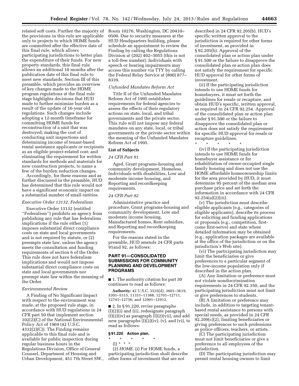related soft costs. Further the majority of Room 10276, Washington, DC 20410– the provisions in this rule are applicable only to projects to which HOME funds are committed after the effective date of this final rule, which allows participating jurisdictions to better plan the expenditure of their funds. For new property standards, this final rule allows an additional 18 months after the publication date of this final rule to meet new standards. Section III of this preamble, which provides an overview of key changes made to the HOME program regulations at the final rule stage highlights decisions that HUD made to further minimize burden as a result of the update of 16-year old regulations. Such changes include adopting a 12-month timeframe for committing HOME funds for reconstruction of a unit that was destroyed; making the cost of conducting unit inspections and determining income of tenant-based rental assistance applicants or recipients as an eligible project-related cost; and eliminating the requirement for written standards for methods and materials for new construction projects, to name a few of the burden reduction changes.

Accordingly, for these reasons and as further discussed in the preamble, HUD has determined that this rule would not have a significant economic impact on a substantial number of small entities.

#### *Executive Order 13132, Federalism*

Executive Order 13132 (entitled ''Federalism'') prohibits an agency from publishing any rule that has federalism implications if the rule either (1) imposes substantial direct compliance costs on state and local governments and is not required by statute, or (2) preempts state law, unless the agency meets the consultation and funding requirements of section 6 of the Order. This rule does not have federalism implications and would not impose substantial direct compliance costs on state and local governments nor preempt state law within the meaning of the Order.

#### *Environmental Review*

A Finding of No Significant Impact with respect to the environment was made, at the proposed rule stage, in accordance with HUD regulations in 24 CFR part 50 that implement section 102(2)(C) of the National Environmental Policy Act of 1969 (42 U.S.C. 4332(2)(C)). The Finding remains applicable to this final rule and is available for public inspection during regular business hours in the Regulations Division, Office of General Counsel, Department of Housing and Urban Development, 451 7th Street SW.,

0500. Due to security measures at the HUD Headquarters building, please schedule an appointment to review the Finding by calling the Regulations Division at (202) 402–3055 (this is not a toll-free number). Individuals with speech or hearing impairments may access this number via TTY by calling the Federal Relay Service at (800) 877– 8339.

#### *Unfunded Mandates Reform Act*

Title II of the Unfunded Mandates Reform Act of 1995 establishes requirements for federal agencies to assess the effects of their regulatory actions on state, local, and tribal governments and the private sector. This rule will not impose any federal mandates on any state, local, or tribal governments or the private sector within the meaning of the Unfunded Mandates Reform Act of 1995.

#### **List of Subjects**

#### *24 CFR Part 91*

Aged, Grant programs-housing and community development, Homeless, Individuals with disabilities, Low and moderate income housing, and Reporting and recordkeeping requirements.

#### *24 CFR Part 92*

Administrative practice and procedure, Grant programs-housing and community development, Low and moderate income housing, Manufactured homes, Rent subsidies, and Reporting and recordkeeping requirements.

For the reasons stated in the preamble, HUD amends 24 CFR parts 91and 92, as follows:

#### **PART 91—CONSOLIDATED SUBMISSIONS FOR COMMUNITY PLANNING AND DEVELOPMENT PROGRAMS**

■ 1. The authority citation for part 30 continues to read as follows:

**Authority:** 42 U.S.C. 3535(d), 3601–3619, 5301–5315, 11331–11388, 12701–12711, 12741–12756, and 12901–12912.

■ 2. In § 91.220, revise paragraphs (l)(2)(i) and (ii), redesignate paragraph  $(l)(2)(iv)$  as paragraph  $(l)(2)(vii)$ , and add new paragraphs (l)(2)(iv), (v), and (vi), to read as follows:

#### **§ 91.220 Action plan.**

- \* \* \* \* \*
- (l) \* \* \*

(2) *HOME.* (i) For HOME funds, a participating jurisdiction shall describe other forms of investment that are not

described in 24 CFR 92.205(b). HUD's specific written approval to the jurisdiction is required for other forms of investment, as provided in § 92.205(b). Approval of the consolidated plan or action plan under § 91.500 or the failure to disapprove the consolidated plan or action plan does not satisfy the requirement for specific HUD approval for other forms of investment.

(ii) If the participating jurisdiction intends to use HOME funds for homebuyers, it must set forth the guidelines for resale or recapture, and obtain HUD's specific, written approval, as required in 24 CFR 92.254. Approval of the consolidated plan or action plan under § 91.500 or the failure to disapprove the consolidated plan or action does not satisfy the requirement for specific HUD approval for resale or recapture guidelines.

\* \* \* \* \* (iv) If the participating jurisdiction intends to use HOME funds for homebuyer assistance or for rehabilitation of owner-occupied single family housing and does not use the HOME affordable homeownership limits for the area provided by HUD, it must determine 95 percent of the median area purchase price and set forth the information in accordance with 24 CFR 92.254(a)(2)(iii).

(v) The jurisdiction must describe eligible applicants (e.g., categories of eligible applicants), describe its process for soliciting and funding applications or proposals (e.g., competition, firstcome first-serve) and state where detailed information may be obtained (e.g., application packages are available at the office of the jurisdiction or on the jurisdiction's Web site).

(vi) The participating jurisdiction may limit the beneficiaries or give preferences to a particular segment of the low-income population only if described in the action plan.

(A) Any limitation or preference must not violate nondiscrimination requirements in 24 CFR 92.350, and the participating jurisdiction must not limit or give preferences to students.

(B) A limitation or preference may include, in addition to targeting tenantbased rental assistance to persons with special needs, as provided in 24 CFR 92.209(c)(2), limiting beneficiaries or giving preferences to such professions as police officers, teachers, or artists.

(C) The participating jurisdiction must not limit beneficiaries or give a preference to all employees of the jurisdiction.

(D) The participating jurisdiction may permit rental housing owners to limit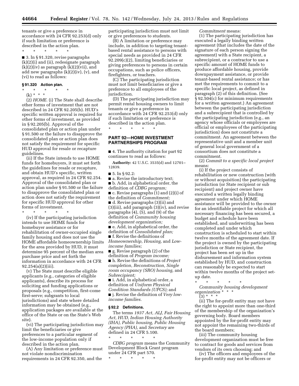tenants or give a preference in accordance with 24 CFR 92.253(d) only if such limitation or preference is described in the action plan.

\* \* \* \* \*

■ 3. In § 91.320, revise paragraphs (k)(2)(i) and (ii), redesignate paragraph  $(k)(2)(iv)$  as paragraph  $(k)(2)(vii)$ , and add new paragraphs (k)(2)(iv), (v), and (vi) to read as follows:

#### **§ 91.320 Action plan.**

\* \* \* \* \* (k) \* \* \*

(2) *HOME.* (i) The State shall describe other forms of investment that are not described in 24 CFR 92.205(b). HUD's specific written approval is required for other forms of investment, as provided in § 92.205(b). Approval of the consolidated plan or action plan under § 91.500 or the failure to disapprove the consolidated plan or action plan does not satisfy the requirement for specific HUD approval for resale or recapture guidelines.

(ii) If the State intends to use HOME funds for homebuyers, it must set forth the guidelines for resale or recapture, and obtain HUD's specific, written approval, as required in 24 CFR 92.254. Approval of the consolidated plan or action plan under § 91.500 or the failure to disapprove the consolidated plan or action does not satisfy the requirement for specific HUD approval for other forms of investment.

\* \* \* \* \*

(iv) If the participating jurisdiction intends to use HOME funds for homebuyer assistance or for rehabilitation of owner-occupied single family housing and does not use the HOME affordable homeownership limits for the area provided by HUD, it must determine 95 percent of the median area purchase price and set forth the information in accordance with 24 CFR 92.254(a)(2)(iii).

(v) The State must describe eligible applicants (e.g., categories of eligible applicants), describe its process for soliciting and funding applications or proposals (e.g., competition, first-come first-serve; subgrants to local jurisdictions) and state where detailed information may be obtained (e.g., application packages are available at the office of the State or on the State's Web site).

(vi) The participating jurisdiction may limit the beneficiaries or give preferences to a particular segment of the low-income population only if described in the action plan.

(A) Any limitation or preference must not violate nondiscrimination requirements in 24 CFR 92.350, and the

participating jurisdiction must not limit or give preferences to students.

(B) A limitation or preference may include, in addition to targeting tenantbased rental assistance to persons with special needs as provided in 24 CFR 92.209(c)(2), limiting beneficiaries or giving preferences to persons in certain occupations, such as police officers, firefighters, or teachers.

(C) The participating jurisdiction must not limit beneficiaries or give a preference to all employees of the jurisdiction.

(D) The participating jurisdiction may permit rental housing owners to limit tenants or give a preference in accordance with 24 CFR 92.253(d) only if such limitation or preference is described in the action plan.

#### **PART 92—HOME INVESTMENT PARTNERSHIPS PROGRAM**

\* \* \* \* \*

■ 4. The authority citation for part 92 continues to read as follows:

**Authority:** 42 U.S.C. 3535(d) and 12701– 12839.

■ 5. In § 92.2:

■ a. Revise the introductory text; ■ b. Add, in alphabetical order, the definition of *CDBG program;*  ■ c. Revise paragraphs (1) and (2)(i) of the definition of *Commitment;*  ■ d. Revise paragraphs (3)(ii) and (3)(iii), add paragraph (3)(iv), and revise paragraphs (4), (5), and (9) of the definition of *Community housing development organization;* 

■ e. Add, in alphabetical order, the definition of *Consolidated plan;* 

■ f. Revise the definitions of *Homeownership, Housing,* and *Lowincome families;* 

■ g. Revise paragraph (2) of the definition of *Program income;* 

■ h. Revise the definitions of *Project completion, Reconstruction, Single room occupancy (SRO) housing,* and *Subrecipient;* 

■ i. Add, in alphabetical order, a definition of *Uniform Physical Condition Standards (UPCS);* and

■ j. Revise the definition of *Very lowincome families.* 

#### **§ 92.2 Definitions.**

The terms *1937 Act, ALJ, Fair Housing Act, HUD, Indian Housing Authority (IHA), Public housing, Public Housing Agency (PHA),* and *Secretary* are defined in 24 CFR 5.100. \* \* \* \* \*

*CDBG program* means the Community Development Block Grant program under 24 CFR part 570.

\* \* \* \* \*

*Commitment* means:

(1) The participating jurisdiction has executed a legally binding written agreement (that includes the date of the signature of each person signing the agreement) with a State recipient, a subrecipient, or a contractor to use a specific amount of HOME funds to produce affordable housing, provide downpayment assistance, or provide tenant-based rental assistance; or has met the requirements to commit to a specific local project, as defined in paragraph (2) of this definition. (See § 92.504(c) for minimum requirements for a written agreement.) An agreement between the participating jurisdiction and a subrecipient that is controlled by the participating jurisdiction (e.g., an agency whose officials or employees are official or employees of the participating jurisdiction) does not constitute a commitment. An agreement between the representative unit and a member unit of general local government of a consortium does not constitute a commitment.

(2) *Commit to a specific local project*  means:

(i) If the project consists of rehabilitation or new construction (with or without acquisition) the participating jurisdiction (or State recipient or sub recipient) and project owner have executed a written legally binding agreement under which HOME assistance will be provided to the owner for an identifiable project for which all necessary financing has been secured, a budget and schedule have been established, and underwriting has been completed and under which construction is scheduled to start within twelve months of the agreement date. If the project is owned by the participating jurisdiction or State recipient, the project has been set up in the disbursement and information system established by HUD, and construction can reasonably be expected to start within twelve months of the project setup date.

\* \* \* \* \*

*Community housing development organization* \* \* \*

 $(3) * *$ 

(ii) The for-profit entity may not have the right to appoint more than one-third of the membership of the organization's governing body. Board members appointed by the for-profit entity may not appoint the remaining two-thirds of the board members;

(iii) The community housing development organization must be free to contract for goods and services from vendors of its own choosing; and

(iv) The officers and employees of the for-profit entity may not be officers or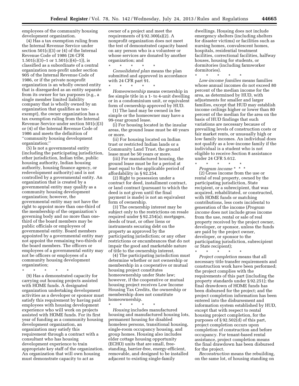employees of the community housing development organization.

(4) Has a tax exemption ruling from the Internal Revenue Service under section  $501(c)(3)$  or (4) of the Internal Revenue Code of 1986 (26 CFR  $1.501(c)(3)-1$  or  $1.501(c)(4)-1)$ , is classified as a subordinate of a central organization non-profit under section 905 of the Internal Revenue Code of 1986, or if the private nonprofit organization is an wholly owned entity that is disregarded as an entity separate from its owner for tax purposes (e.g., a single member limited liability company that is wholly owned by an organization that qualifies as taxexempt), the owner organization has a tax exemption ruling from the Internal Revenue Service under section 501(c)(3) or (4) of the Internal Revenue Code of 1986 and meets the definition of ''community housing development organization;''

(5) Is not a governmental entity (including the participating jurisdiction, other jurisdiction, Indian tribe, public housing authority, Indian housing authority, housing finance agency, or redevelopment authority) and is not controlled by a governmental entity. An organization that is created by a governmental entity may qualify as a community housing development organization; however, the governmental entity may not have the right to appoint more than one-third of the membership of the organization's governing body and no more than onethird of the board members may be public officials or employees of governmental entity. Board members appointed by a governmental entity may not appoint the remaining two-thirds of the board members. The officers or employees of a governmental entity may not be officers or employees of a community housing development organization;

\* \* \* \* \*

(9) Has a demonstrated capacity for carrying out housing projects assisted with HOME funds. A designated organization undertaking development activities as a developer or sponsor must satisfy this requirement by having paid employees with housing development experience who will work on projects assisted with HOME funds. For its first year of funding as a community housing development organization, an organization may satisfy this requirement through a contract with a consultant who has housing development experience to train appropriate key staff of the organization. An organization that will own housing must demonstrate capacity to act as

owner of a project and meet the requirements of § 92.300(a)(2). A nonprofit organization does not meet the test of demonstrated capacity based on any person who is a volunteer or whose services are donated by another organization; and

\* \* \* \* \* *Consolidated plan* means the plan submitted and approved in accordance with 24 CFR part 91.

\* \* \* \* \* *Homeownership* means ownership in fee simple title in a 1- to 4-unit dwelling or in a condominium unit, or equivalent form of ownership approved by HUD.

(1) The land may be owned in fee simple or the homeowner may have a 99-year ground lease.

(i) For housing located in the insular areas, the ground lease must be 40 years or more.

(ii) For housing located on Indian trust or restricted Indian lands or a Community Land Trust, the ground lease must be 50 years or more.

(iii) For manufactured housing, the ground lease must be for a period at least equal to the applicable period of affordability in § 92.254.

(2) Right to possession under a contract for deed, installment contract, or land contract (pursuant to which the deed is not given until the final payment is made) is not an equivalent form of ownership.

(3) The ownership interest may be subject only to the restrictions on resale required under § 92.254(a); mortgages, deeds of trust, or other liens or instruments securing debt on the property as approved by the participating jurisdiction; or any other restrictions or encumbrances that do not impair the good and marketable nature of title to the ownership interest.

(4) The participating jurisdiction must determine whether or not ownership or membership in a cooperative or mutual housing project constitutes homeownership under State law; however, if the cooperative or mutual housing project receives Low Income Housing Tax Credits, the ownership or membership does not constitute homeownership.

\* \* \* \* \* *Housing* includes manufactured housing and manufactured housing lots, permanent housing for disabled homeless persons, transitional housing, single-room occupancy housing, and group homes. Housing also includes elder cottage housing opportunity (ECHO) units that are small, freestanding, barrier-free, energy-efficient, removable, and designed to be installed adjacent to existing single-family

dwellings. Housing does not include emergency shelters (including shelters for disaster victims) or facilities such as nursing homes, convalescent homes, hospitals, residential treatment facilities, correctional facilities, halfway houses, housing for students, or dormitories (including farmworker dormitories).

\* \* \* \* \*

*Low-income families* means families whose annual incomes do not exceed 80 percent of the median income for the area, as determined by HUD, with adjustments for smaller and larger families, except that HUD may establish income ceilings higher or lower than 80 percent of the median for the area on the basis of HUD findings that such variations are necessary because of prevailing levels of construction costs or fair market rents, or unusually high or low family incomes. An individual does not qualify as a low-income family if the individual is a student who is not eligible to receive Section 8 assistance under 24 CFR 5.612.

\* \* \* \* \*

*Program income* \* \* \* (2) Gross income from the use or rental of real property, owned by the participating jurisdiction, State recipient, or a subrecipient, that was acquired, rehabilitated, or constructed, with HOME funds or matching contributions, less costs incidental to generation of the income (*Program income* does not include gross income from the use, rental or sale of real property received by the project owner, developer, or sponsor, unless the funds are paid by the project owner, developer, or sponsor to the participating jurisdiction, subrecipient or State recipient);

\* \* \* \* \* *Project completion* means that all necessary title transfer requirements and construction work have been performed; the project complies with the requirements of this part (including the property standards under § 92.251); the final drawdown of HOME funds has been disbursed for the project; and the project completion information has been entered into the disbursement and information system established by HUD, except that with respect to rental housing project completion, for the purposes of § 92.502(d) of this part, project completion occurs upon completion of construction and before occupancy. For tenant-based rental assistance, project completion means the final drawdown has been disbursed for the project.

*Reconstruction* means the rebuilding, on the same lot, of housing standing on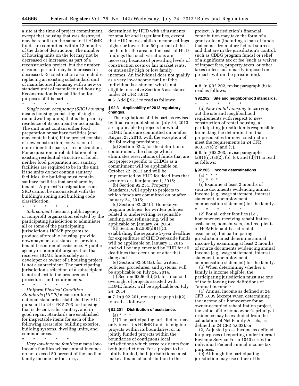a site at the time of project commitment, except that housing that was destroyed may be rebuilt on the same lot if HOME funds are committed within 12 months of the date of destruction. The number of housing units on the lot may not be decreased or increased as part of a reconstruction project, but the number of rooms per unit may be increased or decreased. Reconstruction also includes replacing an existing substandard unit of manufactured housing with a new or standard unit of manufactured housing. Reconstruction is rehabilitation for purposes of this part.

\* \* \* \* \* *Single room occupancy (SRO) housing*  means housing (consisting of singleroom dwelling units) that is the primary residence of its occupant or occupants. The unit must contain either food preparation or sanitary facilities (and may contain both) if the project consists of new construction, conversion of nonresidential space, or reconstruction. For acquisition or rehabilitation of an existing residential structure or hotel, neither food preparation nor sanitary facilities are required to be in the unit. If the units do not contain sanitary facilities, the building must contain sanitary facilities that are shared by tenants. A project's designation as an SRO cannot be inconsistent with the building's zoning and building code classification.

\* \* \* \* \* *Subrecipient* means a public agency or nonprofit organization selected by the participating jurisdiction to administer all or some of the participating jurisdiction's HOME programs to produce affordable housing, provide downpayment assistance, or provide tenant-based rental assistance. A public agency or nonprofit organization that receives HOME funds solely as a developer or owner of a housing project is not a subrecipient. The participating jurisdiction's selection of a subrecipient is not subject to the procurement procedures and requirements.

\* \* \* \* \* *Uniform Physical Condition Standards (UPCS)* means uniform national standards established by HUD pursuant to 24 CFR 5.703 for housing that is decent, safe, sanitary, and in good repair. Standards are established for inspectable items for each of the following areas: site, building exterior, building systems, dwelling units, and common areas.

\* \* \* \* \* *Very low-income families* means lowincome families whose annual incomes do not exceed 50 percent of the median family income for the area, as

determined by HUD with adjustments for smaller and larger families, except that HUD may establish income ceilings higher or lower than 50 percent of the median for the area on the basis of HUD findings that such variations are necessary because of prevailing levels of construction costs or fair market rents, or unusually high or low family incomes. An individual does not qualify as a very low-income family if the individual is a student who is not eligible to receive Section 8 assistance under 24 CFR 5.612.

 $\blacksquare$  6. Add § 92.3 to read as follows:

#### **§ 92.3 Applicability of 2013 regulatory changes.**

The regulations of this part, as revised by final rule published on July 24, 2013 are applicable to projects for which HOME funds are committed on or after August 23, 2013, with the exception of the following provisions;

(a) Section  $92.2$ , for the definition of commitment, the change which eliminates reservations of funds that are not project-specific to CHDOs as a commitment will be applicable on October 22, 2013 and will be implemented by HUD for deadlines that occur on or after January 1, 2015;

(b) Section 92.251, Property Standards, will apply to projects to which funds are committed on or after January 24, 2015;

(c) Section 92.254(f). Homebuyer program policies, for written policies related to underwriting, responsible lending, and refinancing, will be applicable on January 24, 2014;

(d) Section 92.500(d)(1)(C), establishing the separate 5-year deadline for expenditure of CHDO set-aside funds will be applicable on January 1, 2015 and will be implemented by HUD for all deadlines that occur on or after that date; and

(e) Section 92.504(a), for written policies, procedures, and systems, will be applicable on July 24, 2014.

 $(f)$  Section 92.504 $(d)(2)$ , for financial oversight of projects assisted with HOME funds, will be applicable on July 24, 2014.

 $\blacksquare$  7. In § 92.201, revise paragraph (a)(2) to read as follows:

#### **§ 92.201 Distribution of assistance.**

 $(a) * * * *$ (2) The participating jurisdiction may only invest its HOME funds in eligible projects within its boundaries, or in jointly funded projects within the boundaries of contiguous local jurisdictions which serve residents from both jurisdictions. For a project to be jointly funded, both jurisdictions must make a financial contribution to the

project. A jurisdiction's financial contribution may take the form of a grant or loan (including a loan of funds that comes from other federal sources and that are in the jurisdiction's control, such as CDBG program funds) or relief of a significant tax or fee (such as waiver of impact fees, property taxes, or other taxes or fees customarily imposed on projects within the jurisdiction).

■ 8. In § 92.202, revise paragraph (b) to read as follows:

\* \* \* \* \*

#### **§ 92.202 Site and neighborhood standards.**

\* \* \* \* \* (b) *New rental housing.* In carrying out the site and neighborhood requirements with respect to new construction of rental housing, a participating jurisdiction is responsible for making the determination that proposed sites for new construction meet the requirements in 24 CFR 983.57(e)(2) and (3).

■ 9. In § 92.203, revise paragraphs  $(a)(1)(i)$ ,  $(a)(2)$ ,  $(b)$ ,  $(c)$ , and  $(d)(1)$  to read as follows:

#### **§ 92.203 Income determinations.**

- $(a) * * * *$
- $(1) * * *$

(i) Examine at least 2 months of source documents evidencing annual income (e.g., wage statement, interest statement, unemployment compensation statement) for the family. \* \* \* \* \*

(2) For all other families (i.e., homeowners receiving rehabilitation assistance, homebuyers, and recipients of HOME tenant-based rental assistance), the participating jurisdiction must determine annual income by examining at least 2 months of source documents evidencing annual income (e.g., wage statement, interest statement, unemployment compensation statement) for the family.

(b) When determining whether a family is income eligible, the participating jurisdiction must use one of the following two definitions of ''annual income'':

(1) Annual income as defined at 24 CFR 5.609 (except when determining the income of a homeowner for an owner-occupied rehabilitation project, the value of the homeowner's principal residence may be excluded from the calculation of Net Family Assets, as defined in 24 CFR 5.603); or

(2) Adjusted gross income as defined for purposes of reporting under Internal Revenue Service Form 1040 series for individual Federal annual income tax purposes.

(c) Although the participating jurisdiction may use either of the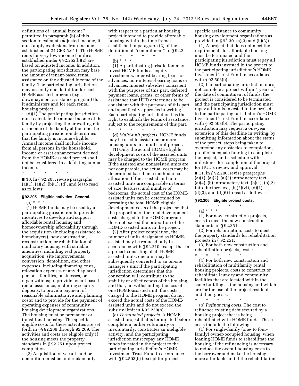definitions of ''annual income'' permitted in paragraph (b) of this section to calculate adjusted income, it must apply exclusions from income established at 24 CFR 5.611. The HOME rents for very low-income families established under § 92.252(b)(2) are based on adjusted income. In addition, the participating jurisdiction may base the amount of tenant-based rental assistance on the adjusted income of the family. The participating jurisdiction may use only one definition for each HOME-assisted program (e.g., downpayment assistance program) that it administers and for each rental housing project.

(d)(1) The participating jurisdiction must calculate the annual income of the family by projecting the prevailing rate of income of the family at the time the participating jurisdiction determines that the family is income eligible. Annual income shall include income from all persons in the household. Income or asset enhancement derived from the HOME-assisted project shall not be considered in calculating annual income.

\* \* \* \* \*

■ 10. In § 92.205, revise paragraphs  $(a)(1), (a)(2), (b)(1), (d), and (e)$  to read as follows:

#### **§ 92.205 Eligible activities: General.**  (a) \* \* \*

(1) HOME funds may be used by a participating jurisdiction to provide incentives to develop and support affordable rental housing and homeownership affordability through the acquisition (including assistance to homebuyers), new construction, reconstruction, or rehabilitation of nonluxury housing with suitable amenities, including real property acquisition, site improvements, conversion, demolition, and other expenses, including financing costs, relocation expenses of any displaced persons, families, businesses, or organizations; to provide tenant-based rental assistance, including security deposits; to provide payment of reasonable administrative and planning costs; and to provide for the payment of operating expenses of community housing development organizations. The housing must be permanent or transitional housing. The specific eligible costs for these activities are set forth in §§ 92.206 through 92.209. The activities and costs are eligible only if the housing meets the property standards in § 92.251 upon project completion.

(2) Acquisition of vacant land or demolition must be undertaken only with respect to a particular housing project intended to provide affordable housing within the time frames established in paragraph (2) of the definition of ''commitment'' in § 92.2.

 $\star$   $\qquad$   $\star$   $\qquad$   $\star$ (b) \* \* \*

(1) A participating jurisdiction may invest HOME funds as equity investments, interest-bearing loans or advances, non-interest-bearing loans or advances, interest subsidies consistent with the purposes of this part, deferred payment loans, grants, or other forms of assistance that HUD determines to be consistent with the purposes of this part and specifically approves in writing. Each participating jurisdiction has the right to establish the terms of assistance, subject to the requirements of this part. \* \* \* \* \*

(d) *Multi-unit projects.* HOME funds may be used to assist one or more housing units in a multi-unit project.

(1) Only the actual HOME eligible development costs of the assisted units may be charged to the HOME program. If the assisted and nonassisted units are not comparable, the actual costs may be determined based on a method of cost allocation. If the assisted and nonassisted units are comparable in terms of size, features, and number of bedrooms, the actual cost of the HOMEassisted units can be determined by prorating the total HOME eligible development costs of the project so that the proportion of the total development costs charged to the HOME program does not exceed the proportion of the HOME-assisted units in the project.

(2) After project completion, the number of units designated as HOMEassisted may be reduced only in accordance with § 92.210, except that in a project consisting of all HOMEassisted units, one unit may be subsequently converted to an on-site manager's unit if the participating jurisdiction determines that the conversion will contribute to the stability or effectiveness of the housing and that, notwithstanding the loss of one HOME-assisted unit, the costs charged to the HOME program do not exceed the actual costs of the HOMEassisted units and do not exceed the subsidy limit in § 92.250(b).

(e) *Terminated projects.* A HOME assisted project that is terminated before completion, either voluntarily or involuntarily, constitutes an ineligible activity, and the participating jurisdiction must repay any HOME funds invested in the project to the participating jurisdiction's HOME Investment Trust Fund in accordance with § 92.503(b) (except for projectspecific assistance to community housing development organizations as provided in § 92.301(a)(3) and (b)(3)).

(1) A project that does not meet the requirements for affordable housing must be terminated and the participating jurisdiction must repay all HOME funds invested in the project to the participating jurisdiction's HOME Investment Trust Fund in accordance with § 92.503(b).

(2) If a participating jurisdiction does not complete a project within 4 years of the date of commitment of funds, the project is considered to be terminated and the participating jurisdiction must repay all funds invested in the project to the participating jurisdiction's HOME Investment Trust Fund in accordance with § 92.503(b). The participating jurisdiction may request a one-year extension of this deadline in writing, by submitting information about the status of the project, steps being taken to overcome any obstacles to completion, proof of adequate funding to complete the project, and a schedule with milestones for completion of the project for HUD's review and approval.

■ 11. In § 92.206, revise paragraphs  $(a)(1)$ ,  $(a)(2)$ ,  $(a)(3)$  introductory text,  $(a)(4)$ ,  $(b)$  introductory text,  $(b)(1)$ ,  $(b)(2)$ introductory text,  $(b)(2)(vi)$ ,  $(d)(1)$ ,  $(d)(3)$ , and  $(d)(6)$  to read as follows:

#### **§ 92.206 Eligible project costs.**

#### \* \* \* \* \* (a) \* \* \*

(1) For new construction projects, costs to meet the new construction standards in § 92.251;

(2) For rehabilitation, costs to meet the property standards for rehabilitation projects in § 92.251;

(3) For both new construction and rehabilitation projects, costs:

\* \* \* \* \* (4) For both new construction and rehabilitation of multifamily rental housing projects, costs to construct or rehabilitate laundry and community facilities that are located within the same building as the housing and which are for the use of the project residents and their guests.

\* \* \* \* \*

(b) *Refinancing costs.* The cost to refinance existing debt secured by a housing project that is being rehabilitated with HOME funds. These costs include the following:

(1) For single-family (one- to fourfamily) owner-occupied housing, when loaning HOME funds to rehabilitate the housing, if the refinancing is necessary to reduce the overall housing costs to the borrower and make the housing more affordable and if the rehabilitation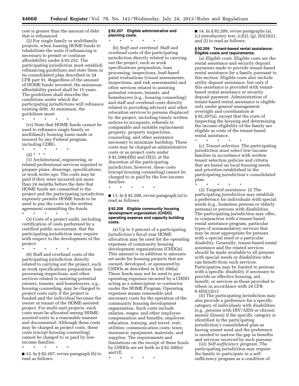cost is greater than the amount of debt that is refinanced.

(2) For single family or multifamily projects, when loaning HOME funds to rehabilitate the units if refinancing is necessary to permit or continue affordability under § 92.252. The participating jurisdiction must establish refinancing guidelines and state them in its consolidated plan described in 24 CFR part 91. Regardless of the amount of HOME funds invested, the minimum affordability period shall be 15 years. The guidelines shall describe the conditions under which the participating jurisdictions will refinance existing debt. At minimum, the guidelines must:

\* \* \* \* \*

(vi) State that HOME funds cannot be used to refinance single family or multifamily housing loans made or insured by any Federal program, including CDBG.

- \* \* \* \* \*
	- (d) \* \* \*

(1) Architectural, engineering, or related professional services required to prepare plans, drawings, specifications, or work write-ups. The costs may be paid if they were incurred not more than 24 months before the date that HOME funds are committed to the project and the participating jurisdiction expressly permits HOME funds to be used to pay the costs in the written agreement committing the funds.

\* \* \* \* \* (3) Costs of a project audit, including certification of costs performed by a certified public accountant, that the participating jurisdiction may require with respect to the development of the project.

\* \* \* \* \* (6) Staff and overhead costs of the participating jurisdiction directly related to carrying out the project, such as work specifications preparation, loan processing inspections, and other services related to assisting potential owners, tenants, and homebuyers, e.g., housing counseling, may be charged to project costs only if the project is funded and the individual becomes the owner or tenant of the HOME-assisted project. For multi-unit projects, such costs must be allocated among HOMEassisted units in a reasonable manner and documented. Although these costs may be charged as project costs, these costs (except housing counseling) cannot be charged to or paid by lowincome families.

\* \* \* \* \* ■ 12. In § 92.207, revise paragraph (b) to read as follows:

#### **§ 92.207 Eligible administrative and planning costs.**

\* \* \* \* \*

(b) *Staff and overhead.* Staff and overhead costs of the participating jurisdiction directly related to carrying out the project, such as work specifications preparation, loan processing, inspections, lead-based paint evaluations (visual assessments, inspections, and risk assessments) and other services related to assisting potential owners, tenants, and homebuyers (e.g., housing counseling); and staff and overhead costs directly related to providing advisory and other relocation services to persons displaced by the project, including timely written notices to occupants, referrals to comparable and suitable replacement property, property inspections, counseling, and other assistance necessary to minimize hardship. These costs may be charged as administrative costs or as project costs under § 92.206(d)(6) and (f)(2), at the discretion of the participating jurisdiction; however, these costs (except housing counseling) cannot be charged to or paid by the low-income families.

\* \* \* \* \*

■ 13. In § 92.208, revise paragraph (a) to read as follows:

#### **§ 92.208 Eligible community housing development organization (CHDO) operating expense and capacity building costs.**

(a) Up to 5 percent of a participating jurisdiction's fiscal year HOME allocation may be used for the operating expenses of community housing development organizations (CHDOs). This amount is in addition to amounts set aside for housing projects that are owned, developed, or sponsored by CHDOs as described in § 92.300(a). These funds may not be used to pay operating expenses incurred by a CHDO acting as a subrecipient or contractor under the HOME Program. Operating expenses means reasonable and necessary costs for the operation of the community housing development organization. Such costs include salaries, wages, and other employee compensation and benefits; employee education, training, and travel; rent; utilities; communication costs; taxes; insurance; equipment; materials; and supplies. The requirements and limitations on the receipt of these funds by CHDOs are set forth in § 92.300(e) and (f).

\* \* \* \* \*

■ 14. In § 92.209, revise paragraphs (a), (c) introductory text,  $(c)(2)$ ,  $(g)$ ,  $(h)(3)(ii)$ , and (l) to read as follows:

#### **§ 92.209 Tenant-based rental assistance: Eligible costs and requirements.**

(a) *Eligible costs.* Eligible costs are the rental assistance and security deposit payments made to provide tenant-based rental assistance for a family pursuant to this section. Eligible costs also include utility deposit assistance, but only if this assistance is provided with tenantbased rental assistance or security deposit payment. Administration of tenant-based rental assistance is eligible only under general management oversight and coordination at § 92.207(a), except that the costs of inspecting the housing and determining the income eligibility of the family are eligible as costs of the tenant-based rental assistance.

\* \* \* \* \* (c) *Tenant selection.* The participating jurisdiction must select low-income families in accordance with written tenant selection policies and criteria that are based on local housing needs and priorities established in the participating jurisdiction's consolidated plan.

\* \* \* \* \* (2) *Targeted assistance.* (i) The participating jurisdiction may establish a preference for individuals with special needs (e.g., homeless persons or elderly persons) or persons with disabilities. The participating jurisdiction may offer, in conjunction with a tenant-based rental assistance program, particular types of nonmandatory services that may be most appropriate for persons with a special need or a particular disability. Generally, tenant-based rental assistance and the related services should be made available to all persons with special needs or disabilities who can benefit from such services. Participation may be limited to persons with a specific disability if necessary to provide as effective housing, aid, benefit, or services as those provided to others in accordance with 24 CFR  $8.4(b)(1)(iv)$ .

(ii) The participating jurisdiction may also provide a preference for a specific category of individuals with disabilities (e.g., persons with HIV/AIDS or chronic mental illness) if the specific category is identified in the participating jurisdiction's consolidated plan as having unmet need and the preference is needed to narrow the gap in benefits and services received by such persons.

(iii) *Self-sufficiency program.* The participating jurisdiction may require the family to participate in a selfsufficiency program as a condition of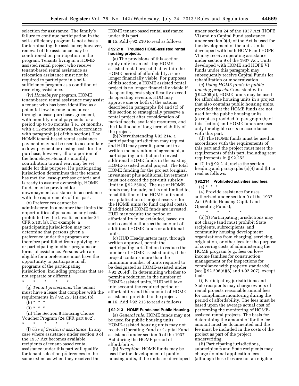selection for assistance. The family's failure to continue participation in the self-sufficiency program is not a basis for terminating the assistance; however, renewal of the assistance may be conditioned on participation in the program. Tenants living in a HOMEassisted rental project who receive tenant-based rental assistance as relocation assistance must not be required to participate in a selfsufficiency program as a condition of receiving assistance.

(iv) *Homebuyer program.* HOME tenant-based rental assistance may assist a tenant who has been identified as a potential low-income homebuyer through a lease-purchase agreement, with monthly rental payments for a period up to 36 months (i.e., 24 months, with a 12-month renewal in accordance with paragraph (e) of this section). The HOME tenant-based rental assistance payment may not be used to accumulate a downpayment or closing costs for the purchase; however, all or a portion of the homebuyer-tenant's monthly contribution toward rent may be set aside for this purpose. If a participating jurisdiction determines that the tenant has met the lease-purchase criteria and is ready to assume ownership, HOME funds may be provided for downpayment assistance in accordance with the requirements of this part.

(v) Preferences cannot be administered in a manner that limits the opportunities of persons on any basis prohibited by the laws listed under 24 CFR 5.105(a). For example, a participating jurisdiction may not determine that persons given a preference under the program are therefore prohibited from applying for or participating in other programs or forms of assistance. Persons who are eligible for a preference must have the opportunity to participate in all programs of the participating jurisdiction, including programs that are not separate or different.

\* \* \* \* \* (g) *Tenant protections.* The tenant

must have a lease that complies with the requirements in § 92.253 (a) and (b).  $(h) * * * *$ 

 $(3) * * * *$ 

(ii) The Section 8 Housing Choice Voucher Program (24 CFR part 982).

\* \* \* \* \* (l) *Use of Section 8 assistance.* In any case where assistance under section 8 of the 1937 Act becomes available, recipients of tenant-based rental assistance under this part will qualify for tenant selection preferences to the same extent as when they received the

HOME tenant-based rental assistance under this part.

 $\blacksquare$  15. Add § 92.210 to read as follows:

#### **§ 92.210 Troubled HOME-assisted rental housing projects.**

(a) The provisions of this section apply only to an existing HOMEassisted rental project that, within the HOME period of affordability, is no longer financially viable. For purposes of this section, a HOME assisted rental project is no longer financially viable if its operating costs significantly exceed its operating revenue. HUD may approve one or both of the actions described in paragraphs (b) and (c) of this section to strategically preserve a rental project after consideration of market needs, available resources, and the likelihood of long-term viability of the project.

(b) Notwithstanding § 92.214, a participating jurisdiction may request and HUD may permit, pursuant to a written memorandum of agreement, a participating jurisdiction to invest additional HOME funds in the existing HOME-assisted rental project. The total HOME funding for the project (original investment plus additional investment) must not exceed the per-unit subsidy limit in § 92.250(a). The use of HOME funds may include, but is not limited to, rehabilitation of the HOME units and recapitalization of project reserves for the HOME units (to fund capital costs). If additional HOME funds are invested, HUD may require the period of affordability to be extended, based on such considerations as the amount of additional HOME funds or additional units.

(c) HUD Headquarters may, through written approval, permit the participating jurisdiction to reduce the number of HOME-assisted units, if the project contains more than the minimum number of units required to be designated as HOME-assisted under § 92.205(d). In determining whether to permit a reduction in the number of HOME-assisted units, HUD will take into account the required period of affordability and the amount of HOME assistance provided to the project.  $\blacksquare$  16. Add § 92.213 to read as follows:

#### **§ 92.213 HOME Funds and Public Housing.**

(a) *General rule.* HOME funds may not be used for public housing units. HOME-assisted housing units may not receive Operating Fund or Capital Fund assistance under section 9 of the 1937 Act during the HOME period of affordability.

(b) *Exception.* HOME funds may be used for the development of public housing units, if the units are developed under section 24 of the 1937 Act (HOPE VI) and no Capital Fund assistance under section 9(d) of the Act is used for the development of the unit. Units developed with both HOME and HOPE VI may receive operating assistance under section 9 of the 1937 Act. Units developed with HOME and HOPE VI funds under this paragraph may subsequently receive Capital Funds for rehabilitation or modernization.

(c) *Using HOME funds in public housing projects.* Consistent with § 92.205(d), HOME funds may be used for affordable housing units in a project that also contains public housing units, provided that the HOME funds are not used for the public housing units (except as provided in paragraph (b) of this section) and HOME funds are used only for eligible costs in accordance with this part.

(d) The HOME funds must be used in accordance with the requirements of this part and the project must meet the requirements of this part, including rent requirements in § 92.252.

 $\blacksquare$  17. In § 92.214, revise the section heading and paragraphs (a)(4) and (b) to read as follows:

#### **§ 92.214 Prohibited activities and fees.**

 $(a) * * * *$ 

(4) Provide assistance for uses authorized under section 9 of the 1937 Act (Public Housing Capital and Operating Funds);

\* \* \* \* \* (b)(1) Participating jurisdictions may not charge (and must prohibit State recipients, subrecipients, and community housing development organizations from charging) servicing, origination, or other fees for the purpose of covering costs of administering the HOME program (e.g., fees on lowincome families for construction management or for inspections for compliance with property standards) (see § 92.206(d)(6) and § 92.207), except that:

(i) Participating jurisdictions and State recipients may charge owners of rental projects reasonable annual fees for compliance monitoring during the period of affordability. The fees must be based upon the average actual cost of performing the monitoring of HOMEassisted rental projects. The basis for determining the amount of for the fee amount must be documented and the fee must be included in the costs of the project as part of the project underwriting;

(ii) Participating jurisdictions, subrecipients and State recipients may charge nominal application fees (although these fees are not an eligible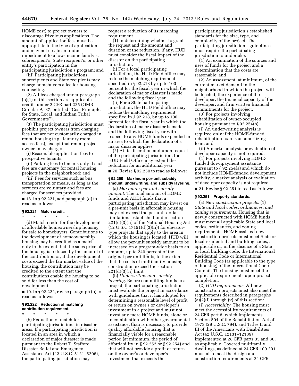HOME cost) to project owners to discourage frivolous applications. The amount of application fees must be appropriate to the type of application and may not create an undue impediment to a low-income family's, subrecipient's, State recipient's, or other entity's participation in the participating jurisdiction's program; and

(iii) Participating jurisdictions, subrecipients and State recipients may charge homebuyers a fee for housing counseling.

(2) All fees charged under paragraph (b)(1) of this section are applicable credits under 2 CFR part 225 (OMB Circular A–87, entitled ''Cost Principles for State, Local, and Indian Tribal Governments'').

(3) The participating jurisdiction must prohibit project owners from charging fees that are not customarily charged in rental housing (e.g., laundry room access fees), except that rental project owners may charge:

(i) Reasonable application fees to prospective tenants;

(ii) Parking fees to tenants only if such fees are customary for rental housing projects in the neighborhood; and

(iii) Fees for services such as bus transportation or meals, as long as the services are voluntary and fees are charged for services provided.

 $\blacksquare$  18. In § 92.221, add paragraph (d) to read as follows:

#### **§ 92.221 Match credit.**

\* \* \* \* \* (d) Match credit for the development of affordable homeownership housing for sale to homebuyers. Contributions to the development of homeownership housing may be credited as a match only to the extent that the sales price of the housing is reduced by the amount of the contribution or, if the development costs exceed the fair market value of the housing, the contribution may be credited to the extent that the contributions enable the housing to be sold for less than the cost of development.

■ 19. In § 92.222, revise paragraph (b) to read as follows:

#### **§ 92.222 Reduction of matching contribution requirement.**

\* \* \* \* \* (b) Reduction of match for participating jurisdictions in disaster areas. If a participating jurisdiction is located in an area in which a declaration of major disaster is made pursuant to the Robert T. Stafford Disaster Relief and Emergency Assistance Act (42 U.S.C. 5121–5206), the participating jurisdiction may

request a reduction of its matching requirement.

(1) In determining whether to grant the request and the amount and duration of the reduction, if any, HUD must consider the fiscal impact of the disaster on the participating jurisdiction.

(i) For a local participating jurisdiction, the HUD Field office may reduce the matching requirement specified in § 92.218 by up to 100 percent for the fiscal year in which the declaration of major disaster is made and the following fiscal year.

(ii) For a State participating jurisdiction, the HUD Field office may reduce the matching requirement specified in § 92.218, by up to 100 percent for the fiscal year in which the declaration of major disaster is made and the following fiscal year with respect to any HOME funds expended in an area to which the declaration of a major disaster applies.

(2) At its discretion and upon request of the participating jurisdiction, the HUD Field Office may extend the reduction for an additional year.

■ 20. Revise § 92.250 to read as follows:

#### **§ 92.250 Maximum per-unit subsidy amount, underwriting, and subsidy layering.**

(a) *Maximum per-unit subsidy amount.* The total amount of HOME funds and ADDI funds that a participating jurisdiction may invest on a per-unit basis in affordable housing may not exceed the per-unit dollar limitations established under section 221(d)(3)(ii) of the National Housing Act  $(12 U.S.C.17151(d)(3)(ii))$  for elevatortype projects that apply to the area in which the housing is located. HUD will allow the per-unit subsidy amount to be increased on a program-wide basis to an amount, up to 240 percent of the original per unit limits, to the extent that the costs of multifamily housing construction exceed the section 221(d)(3)(ii) limit.

(b) *Underwriting and subsidy layering.* Before committing funds to a project, the participating jurisdiction must evaluate the project in accordance with guidelines that it has adopted for determining a reasonable level of profit or return on owner's or developer's investment in a project and must not invest any more HOME funds, alone or in combination with other governmental assistance, than is necessary to provide quality affordable housing that is financially viable for a reasonable period (at minimum, the period of affordability in § 92.252 or § 92.254) and that will not provide a profit or return on the owner's or developer's investment that exceeds the

participating jurisdiction's established standards for the size, type, and complexity of the project. The participating jurisdiction's guidelines must require the participating jurisdiction to undertake:

(1) An examination of the sources and uses of funds for the project and a determination that the costs are reasonable; and

(2) An assessment, at minimum, of the current market demand in the neighborhood in which the project will be located, the experience of the developer, the financial capacity of the developer, and firm written financial commitments for the project.

(3) For projects involving rehabilitation of owner-occupied housing pursuant to § 92.254(b):

(i) An underwriting analysis is required only if the HOME-funded rehabilitation loan is an amortizing loan; and

(ii) A market analysis or evaluation of developer capacity is not required.

(4) For projects involving HOMEfunded downpayment assistance pursuant to § 92.254(a) and which do not include HOME-funded development activity, a market analysis or evaluation of developer capacity is not required.

■ 21. Revise § 92.251 to read as follows:

#### **§ 92.251 Property standards.**

(a) *New construction projects.* (1) *State and local codes, ordinances, and zoning requirements.* Housing that is newly constructed with HOME funds must meet all applicable State and local codes, ordinances, and zoning requirements. HOME-assisted new construction projects must meet State or local residential and building codes, as applicable or, in the absence of a State or local building code, the International Residential Code or International Building Code (as applicable to the type of housing) of the International Code Council. The housing must meet the applicable requirements upon project completion.

(2) *HUD requirements.* All new construction projects must also meet the requirements described in paragraphs (a)(2)(i) through (v) of this section:

(i) *Accessibility.* The housing must meet the accessibility requirements of 24 CFR part 8, which implements Section 504 of the Rehabilitation Act of 1973 (29 U.S.C. 794), and Titles II and III of the Americans with Disabilities Act (42 U.S.C. 12131–12189) implemented at 28 CFR parts 35 and 36, as applicable. Covered multifamily dwellings, as defined at 24 CFR 100.201, must also meet the design and construction requirements at 24 CFR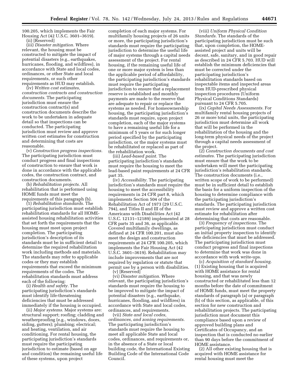100.205, which implements the Fair Housing Act (42 U.S.C. 3601–3619). (ii) [Reserved]

(iii) *Disaster mitigation.* Where relevant, the housing must be constructed to mitigate the impact of potential disasters (e.g., earthquakes, hurricanes, flooding, and wildfires), in accordance with State and local codes, ordinances, or other State and local requirements, or such other requirements as HUD may establish.

(iv) *Written cost estimates, construction contracts and construction documents.* The participating jurisdiction must ensure the construction contract(s) and construction documents describe the work to be undertaken in adequate detail so that inspections can be conducted. The participating jurisdiction must review and approve written cost estimates for construction and determining that costs are reasonable.

(v) *Construction progress inspections.*  The participating jurisdiction must conduct progress and final inspections of construction to ensure that work is done in accordance with the applicable codes, the construction contract, and construction documents.

(b) *Rehabilitation projects.* All rehabilitation that is performed using HOME funds must meet the requirements of this paragraph (b).

(1) *Rehabilitation standards.* The participating jurisdiction must establish rehabilitation standards for all HOMEassisted housing rehabilitation activities that set forth the requirements that the housing must meet upon project completion. The participating jurisdiction's description of its standards must be in sufficient detail to determine the required rehabilitation work including methods and materials. The standards may refer to applicable codes or they may establish requirements that exceed the minimum requirements of the codes. The rehabilitation standards must address each of the following:

(i) *Health and safety.* The participating jurisdiction's standards must identify life-threatening deficiencies that must be addressed immediately if the housing is occupied.

(ii) *Major systems.* Major systems are: structural support; roofing; cladding and weatherproofing (e.g., windows, doors, siding, gutters); plumbing; electrical; and heating, ventilation, and air conditioning. For rental housing, the participating jurisdiction's standards must require the participating jurisdiction to estimate (based on age and condition) the remaining useful life of these systems, upon project

completion of each major systems. For multifamily housing projects of 26 units or more, the participating jurisdiction's standards must require the participating jurisdiction to determine the useful life of major systems through a capital needs assessment of the project. For rental housing, if the remaining useful life of one or more major system is less than the applicable period of affordability, the participating jurisdiction's standards must require the participating jurisdiction to ensure that a replacement reserve is established and monthly payments are made to the reserve that are adequate to repair or replace the systems as needed. For homeownership housing, the participating jurisdiction's standards must require, upon project completion, each of the major systems to have a remaining useful life for a minimum of 5 years or for such longer period specified by the participating jurisdiction, or the major systems must be rehabilitated or replaced as part of the rehabilitation work.

(iii) *Lead-based paint.* The participating jurisdiction's standards must require the housing to meet the lead-based paint requirements at 24 CFR part 35.

(iv) *Accessibility.* The participating jurisdiction's standards must require the housing to meet the accessibility requirements in 24 CFR part 8, which implements Section 504 of the Rehabilitation Act of 1973 (29 U.S.C. 794), and Titles II and III of the Americans with Disabilities Act (42 U.S.C. 12131–12189) implemented at 28 CFR parts 35 and 36, as applicable. Covered multifamily dwellings, as defined at 24 CFR 100.201, must also meet the design and construction requirements at 24 CFR 100.205, which implements the Fair Housing Act (42 U.S.C. 3601–3619). Rehabilitation may include improvements that are not required by regulation or statute that permit use by a person with disabilities. (v) [Reserved]

(vi) *Disaster mitigation.* Where relevant, the participating jurisdiction's standards must require the housing to be improved to mitigate the impact of potential disasters (e.g., earthquake, hurricanes, flooding, and wildfires) in accordance with State and local codes, ordinances, and requirements.

(vii) *State and local codes, ordinances, and zoning requirements.*  The participating jurisdiction's standards must require the housing to meet all applicable State and local codes, ordinances, and requirements or, in the absence of a State or local building code, the International Existing Building Code of the International Code Council.

(viii) *Uniform Physical Condition Standards.* The standards of the participating jurisdiction must be such that, upon completion, the HOMEassisted project and units will be decent, safe, sanitary, and in good repair as described in 24 CFR 5.703. HUD will establish the minimum deficiencies that must be corrected under the participating jurisdiction's rehabilitation standards based on inspectable items and inspected areas from HUD-prescribed physical inspection procedures (Uniform Physical Conditions Standards) pursuant to 24 CFR 5.705.

(ix) *Capital Needs Assessments.* For multifamily rental housing projects of 26 or more total units, the participating jurisdiction must determine all work that will be performed in the rehabilitation of the housing and the long-term physical needs of the project through a capital needs assessment of the project.

(2) *Construction documents and cost estimates.* The participating jurisdiction must ensure that the work to be undertaken will meet the participating jurisdiction's rehabilitation standards. The construction documents (i.e., written scope of work to be performed) must be in sufficient detail to establish the basis for a uniform inspection of the housing to determine compliance with the participating jurisdiction's standards. The participating jurisdiction must review and approve a written cost estimate for rehabilitation after determining that costs are reasonable.

(3) *Frequency of inspections.* The participating jurisdiction must conduct an initial property inspection to identify the deficiencies that must be addressed. The participating jurisdiction must conduct progress and final inspections to determine that work was done in accordance with work write-ups.

(c) *Acquisition of standard housing.*  (1) Existing housing that is acquired with HOME assistance for rental housing, and that was newly constructed or rehabilitated less than 12 months before the date of commitment of HOME funds, must meet the property standards of paragraph (a) or paragraph (b) of this section, as applicable, of this section for new construction and rehabilitation projects. The participating jurisdiction must document this compliance based upon a review of approved building plans and Certificates of Occupancy, and an inspection that is conducted no earlier than 90 days before the commitment of HOME assistance.

(2) All other existing housing that is acquired with HOME assistance for rental housing must meet the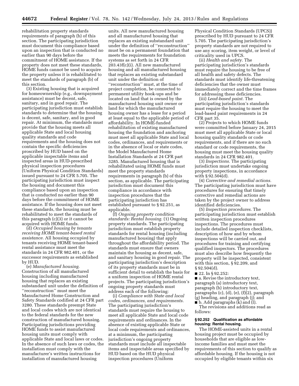rehabilitation property standards requirements of paragraph (b) of this section. The participating jurisdiction must document this compliance based upon an inspection that is conducted no earlier than 90 days before the commitment of HOME assistance. If the property does not meet these standards, HOME funds cannot be used to acquire the property unless it is rehabilitated to meet the standards of paragraph (b) of this section.

(3) Existing housing that is acquired for homeownership (e.g., downpayment assistance) must be decent, safe, sanitary, and in good repair. The participating jurisdiction must establish standards to determine that the housing is decent, safe, sanitary, and in good repair. At minimum, the standards must provide that the housing meets all applicable State and local housing quality standards and code requirements and the housing does not contain the specific deficiencies proscribed by HUD based on the applicable inspectable items and inspected areas in HUD-prescribed physical inspection procedures (Uniform Physical Condition Standards) issued pursuant to 24 CFR 5.705. The participating jurisdiction must inspect the housing and document this compliance based upon an inspection that is conducted no earlier than 90 days before the commitment of HOME assistance. If the housing does not meet these standards, the housing must be rehabilitated to meet the standards of this paragraph (c)(3) or it cannot be acquired with HOME funds.

(d) *Occupied housing by tenants receiving HOME tenant-based rental assistance.* All housing occupied by tenants receiving HOME tenant-based rental assistance must meet the standards in 24 CFR 982.401, or the successor requirements as established by HUD.

(e) *Manufactured housing.*  Construction of all manufactured housing including manufactured housing that replaces an existing substandard unit under the definition of ''reconstruction'' must meet the Manufactured Home Construction and Safety Standards codified at 24 CFR part 3280. These standards preempt State and local codes which are not identical to the federal standards for the new construction of manufactured housing. Participating jurisdictions providing HOME funds to assist manufactured housing units must comply with applicable State and local laws or codes. In the absence of such laws or codes, the installation must comply with the manufacturer's written instructions for installation of manufactured housing

units. All new manufactured housing and all manufactured housing that replaces an existing substandard unit under the definition of ''reconstruction'' must be on a permanent foundation that meets the requirements for foundation systems as set forth in 24 CFR 203.43f(c)(i). All new manufactured housing and all manufactured housing that replaces an existing substandard unit under the definition of ''reconstruction'' must, at the time of project completion, be connected to permanent utility hook-ups and be located on land that is owned by the manufactured housing unit owner or land for which the manufactured housing owner has a lease for a period at least equal to the applicable period of affordability. In HOME-funded rehabilitation of existing manufactured housing the foundation and anchoring must meet all applicable State and local codes, ordinances, and requirements or in the absence of local or state codes, the Model Manufactured Home Installation Standards at 24 CFR part 3285. Manufactured housing that is rehabilitated using HOME funds must meet the property standards requirements in paragraph (b) of this section, as applicable. The participating jurisdiction must document this compliance in accordance with inspection procedures that the participating jurisdiction has established pursuant to § 92.251, as applicable.

(f) *Ongoing property condition standards: Rental housing.* (1) Ongoing property standards. The participating jurisdiction must establish property standards for rental housing (including manufactured housing) that apply throughout the affordability period. The standards must ensure that owners maintain the housing as decent, safe, and sanitary housing in good repair. The participating jurisdiction's description of its property standards must be in sufficient detail to establish the basis for a uniform inspection of HOME rental projects. The participating jurisdiction's ongoing property standards must address each of the following:

(i) *Compliance with State and local codes, ordinances, and requirements.*  The participating jurisdiction's standards must require the housing to meet all applicable State and local code requirements and ordinances. In the absence of existing applicable State or local code requirements and ordinances, at a minimum, the participating jurisdiction's ongoing property standards must include all inspectable items and inspectable areas specified by HUD based on the HUD physical inspection procedures (Uniform

Physical Condition Standards (UPCS)) prescribed by HUD pursuant to 24 CFR 5.705. The participating jurisdiction's property standards are not required to use any scoring, item weight, or level of criticality used in UPCS.

(ii) *Health and safety.* The participating jurisdiction's standards must require the housing to be free of all health and safety defects. The standards must identify life-threatening deficiencies that the owner must immediately correct and the time frames for addressing these deficiencies.

(iii) *Lead-based paint.* The participating jurisdiction's standards must require the housing to meet the lead-based paint requirements in 24 CFR part 35.

(2) Projects to which HOME funds were committed before January 24, 2015 must meet all applicable State or local housing quality standards or code requirements, and if there are no such standard or code requirements, the housing must meet the housing quality standards in 24 CFR 982.401.

(3) *Inspections.* The participating jurisdiction must undertake ongoing property inspections, in accordance with § 92.504(d).

(4) *Corrective and remedial actions.*  The participating jurisdiction must have procedures for ensuring that timely corrective and remedial actions are taken by the project owner to address identified deficiencies.

(5) *Inspection procedures.* The participating jurisdiction must establish written inspection procedures inspections. The procedures must include detailed inspection checklists, description of how and by whom inspections will be carried out, and procedures for training and certifying qualified inspectors. The procedures must also describe how frequently the property will be inspected, consistent with this section, § 92.209, and  $§ 92.504(d).$ 

■ 22. In § 92.252:

■ a. Revise the introductory text, paragraph (a) introductory text, paragraph (b) introductory text, paragraphs (c), (d), (e), (f)(2), paragraph (g) heading, and paragraph (j); and  $\blacksquare$  b. Add paragraphs  $(k)$  and  $(l)$ .

The revisions and additions read as follows:

#### **§ 92.252 Qualification as affordable housing: Rental housing.**

The HOME-assisted units in a rental housing project must be occupied by households that are eligible as lowincome families and must meet the requirements of this section to qualify as affordable housing. If the housing is not occupied by eligible tenants within six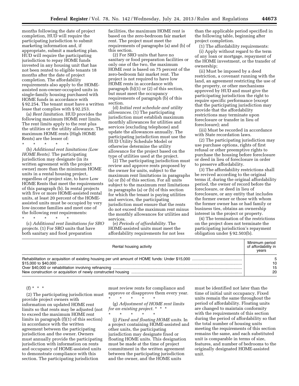months following the date of project completion, HUD will require the participating jurisdiction to submit marketing information and, if appropriate, submit a marketing plan. HUD will require the participating jurisdiction to repay HOME funds invested in any housing unit that has not been rented to eligible tenants 18 months after the date of project completion. The affordability requirements also apply to the HOMEassisted non-owner-occupied units in single-family housing purchased with HOME funds in accordance with § 92.254. The tenant must have a written lease that complies with § 92.253.

(a) *Rent limitation.* HUD provides the following maximum HOME rent limits. The rent limits apply to the rent plus the utilities or the utility allowance. The maximum HOME rents (High HOME Rents) are the lesser of:

\* \* \* \* \*

(b) *Additional rent limitations (Low HOME Rents).* The participating jurisdiction may designate (in its written agreement with the project owner) more than the minimum HOME units in a rental housing project, regardless of project size, to have Low HOME Rents that meet the requirements of this paragraph (b). In rental projects with five or more HOME-assisted rental units, at least 20 percent of the HOMEassisted units must be occupied by very low-income families and meet one of the following rent requirements:

\* \* \* \* \* (c) *Additional rent limitations for SRO projects.* (1) For SRO units that have both sanitary and food preparation

facilities, the maximum HOME rent is based on the zero-bedroom fair market rent. The project must meet the requirements of paragraphs (a) and (b) of this section.

(2) For SRO units that have no sanitary or food preparation facilities or only one of the two, the maximum HOME rent is based on 75 percent of the zero-bedroom fair market rent. The project is not required to have low HOME rents in accordance with paragraph (b)(1) or (2) of this section, but must meet the occupancy requirements of paragraph (b) of this section.

(d) *Initial rent schedule and utility allowances.* (1) The participating jurisdiction must establish maximum monthly allowances for utilities and services (excluding telephone) and update the allowances annually. The participating jurisdiction must use the HUD Utility Schedule Model or otherwise determine the utility allowance for the project based on the type of utilities used at the project.

(2) The participating jurisdiction must review and approve rents proposed by the owner for units, subject to the maximum rent limitations in paragraphs (a) or (b) of this section. For all units subject to the maximum rent limitations in paragraphs (a) or (b) of this section for which the tenant is paying utilities and services, the participating jurisdiction must ensure that the rents do not exceed the maximum rent minus the monthly allowances for utilities and services.

(e) *Periods of affordability.* The HOME-assisted units must meet the affordability requirements for not less than the applicable period specified in the following table, beginning after project completion.

(1) The affordability requirements:

(i) Apply without regard to the term of any loan or mortgage, repayment of the HOME investment, or the transfer of ownership;

(ii) Must be imposed by a deed restriction, a covenant running with the land, an agreement restricting the use of the property, or other mechanisms approved by HUD and must give the participating jurisdiction the right to require specific performance (except that the participating jurisdiction may provide that the affordability restrictions may terminate upon foreclosure or transfer in lieu of foreclosure); and

(iii) Must be recorded in accordance with State recordation laws.

(2) The participating jurisdiction may use purchase options, rights of first refusal or other preemptive rights to purchase the housing before foreclosure or deed in lieu of foreclosure in order to preserve affordability.

(3) The affordability restrictions shall be revived according to the original terms if, during the original affordability period, the owner of record before the foreclosure, or deed in lieu of foreclosure, or any entity that includes the former owner or those with whom the former owner has or had family or business ties, obtains an ownership interest in the project or property.

(4) The termination of the restrictions on the project does not terminate the participating jurisdiction's repayment obligation under § 92.503(b).

| Rental housing activity | Minimum period<br>of affordability in<br>vears |
|-------------------------|------------------------------------------------|
|                         |                                                |
|                         |                                                |

 $(f) * * * *$ 

(2) The participating jurisdiction must provide project owners with information on updated HOME rent limits so that rents may be adjusted (not to exceed the maximum HOME rent limits in paragraph (f)(1) of this section) in accordance with the written agreement between the participating jurisdiction and the owner. Owners must annually provide the participating jurisdiction with information on rents and occupancy of HOME-assisted units to demonstrate compliance with this section. The participating jurisdiction

must review rents for compliance and approve or disapprove them every year. \* \* \* \* \*

(g) *Adjustment of HOME rent limits for an existing project.* \* \* \* \* \* \* \* \*

(j) *Fixed and floating HOME units.* In a project containing HOME-assisted and other units, the participating jurisdiction may designate fixed or floating HOME units. This designation must be made at the time of project commitment in the written agreement between the participating jurisdiction and the owner, and the HOME units

must be identified not later than the time of initial unit occupancy. Fixed units remain the same throughout the period of affordability. Floating units are changed to maintain conformity with the requirements of this section during the period of affordability so that the total number of housing units meeting the requirements of this section remains the same, and each substituted unit is comparable in terms of size, features, and number of bedrooms to the originally designated HOME-assisted unit.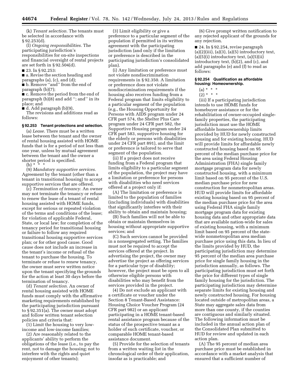(k) *Tenant selection.* The tenants must be selected in accordance with § 92.253(d).

(l) *Ongoing responsibilities.* The participating jurisdiction's responsibilities for on-site inspections and financial oversight of rental projects are set forth in § 92.504(d).

■ 23. In § 92.253:

■ a. Revise the section heading and paragraphs (a), (c), and (d);

■ b. Remove ''and'' from the end of paragraph (b)(7);

■ c. Remove the period from the end of paragraph (b)(8) and add ''; and'' in its place; and

■ d. Add paragraph (b)(9),

The revisions and additions read as follows:

#### **§ 92.253 Tenant protections and selection.**

(a) *Lease.* There must be a written lease between the tenant and the owner of rental housing assisted with HOME funds that is for a period of not less than one year, unless by mutual agreement between the tenant and the owner a shorter period is specified.

 $(b)$  \*

(9) *Mandatory supportive services.*  Agreement by the tenant (other than a tenant in transitional housing) to accept supportive services that are offered.

(c) *Termination of tenancy.* An owner may not terminate the tenancy or refuse to renew the lease of a tenant of rental housing assisted with HOME funds, except for serious or repeated violation of the terms and conditions of the lease; for violation of applicable Federal, State, or local law; for completion of the tenancy period for transitional housing or failure to follow any required transitional housing supportive services plan; or for other good cause. Good cause does not include an increase in the tenant's income or refusal of the tenant to purchase the housing. To terminate or refuse to renew tenancy, the owner must serve written notice upon the tenant specifying the grounds for the action at least 30 days before the termination of tenancy.

(d) *Tenant selection.* An owner of rental housing assisted with HOME funds must comply with the affirmative marketing requirements established by the participating jurisdiction pursuant to § 92.351(a). The owner must adopt and follow written tenant selection policies and criteria that:

(1) Limit the housing to very lowincome and low-income families;

(2) Are reasonably related to the applicants' ability to perform the obligations of the lease (i.e., to pay the rent, not to damage the housing; not to interfere with the rights and quiet enjoyment of other tenants);

(3) Limit eligibility or give a preference to a particular segment of the population if permitted in its written agreement with the participating jurisdiction (and only if the limitation or preference is described in the participating jurisdiction's consolidated plan).

(i) Any limitation or preference must not violate nondiscrimination requirements in § 92.350. A limitation or preference does not violate nondiscrimination requirements if the housing also receives funding from a Federal program that limits eligibility to a particular segment of the population (e.g., the Housing Opportunity for Persons with AIDS program under 24 CFR part 574, the Shelter Plus Care program under 24 CFR part 582, the Supportive Housing program under 24 CFR part 583, supportive housing for the elderly or persons with disabilities under 24 CFR part 891), and the limit or preference is tailored to serve that segment of the population.

(ii) If a project does not receive funding from a Federal program that limits eligibility to a particular segment of the population, the project may have a limitation or preference for persons with disabilities who need services offered at a project only if:

(A) The limitation or preference is limited to the population of families (including individuals) with disabilities that significantly interfere with their ability to obtain and maintain housing;

(B) Such families will not be able to obtain or maintain themselves in housing without appropriate supportive services; and

(C) Such services cannot be provided in a nonsegregated setting. The families must not be required to accept the services offered at the project. In advertising the project, the owner may advertise the project as offering services for a particular type of disability; however, the project must be open to all otherwise eligible persons with disabilities who may benefit from the services provided in the project.

(4) Do not exclude an applicant with a certificate or voucher under the Section 8 Tenant-Based Assistance: Housing Choice Voucher Program (24 CFR part 982) or an applicant participating in a HOME tenant-based rental assistance program because of the status of the prospective tenant as a holder of such certificate, voucher, or comparable HOME tenant-based assistance document.

(5) Provide for the selection of tenants from a written waiting list in the chronological order of their application, insofar as is practicable; and

(6) Give prompt written notification to any rejected applicant of the grounds for any rejection.

■ 24. In § 92.254, revise paragraph  $(a)(2)(iii)$ ,  $(a)(3)$ ,  $(a)(5)$  introductory text,  $(a)(5)(i)$  introductory text,  $(a)(5)(ii)$ introductory text, (b)(2), and (c), and add paragraphs (e) and (f) to read as follows:

#### **§ 92.254 Qualification as affordable housing: Homeownership.**

(a) \* \* \*

 $(2) * * * *$ 

(iii) If a participating jurisdiction intends to use HOME funds for homebuyer assistance or for the rehabilitation of owner-occupied singlefamily properties, the participating jurisdiction must use the HOME affordable homeownership limits provided by HUD for newly constructed housing and for existing housing. HUD will provide limits for affordable newly constructed housing based on 95 percent of the median purchase price for the area using Federal Housing Administration (FHA) single family mortgage program data for newly constructed housing, with a minimum limit based on 95 percent of the U.S. median purchase price for new construction for nonmetropolitan areas. HUD will provide limits for affordable existing housing based on 95 percent of the median purchase price for the area using Federal FHA single family mortgage program data for existing housing data and other appropriate data that are available nation-wide for sales of existing housing, with a minimum limit based on 95 percent of the statewide nonmetropolitan area median purchase price using this data. In lieu of the limits provided by HUD, the participating jurisdiction may determine 95 percent of the median area purchase price for single family housing in the jurisdiction annually, as follows. The participating jurisdiction must set forth the price for different types of single family housing for the jurisdiction. The participating jurisdiction may determine separate limits for existing housing and newly constructed housing. For housing located outside of metropolitan areas, a State may aggregate sales data from more than one county, if the counties are contiguous and similarly situated. The following information must be included in the annual action plan of the Consolidated Plan submitted to HUD for review and updated in each action plan.

(A) The 95 percent of median area purchase price must be established in accordance with a market analysis that ensured that a sufficient number of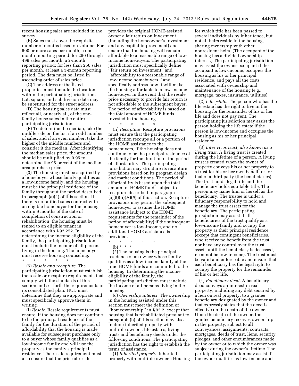recent housing sales are included in the survey.

(B) Sales must cover the requisite number of months based on volume: For 500 or more sales per month, a onemonth reporting period; for 250 through 499 sales per month, a 2-month reporting period; for less than 250 sales per month, at least a 3-month reporting period. The data must be listed in ascending order of sales price.

(C) The address of the listed properties must include the location within the participating jurisdiction. Lot, square, and subdivision data may be substituted for the street address.

(D) The housing sales data must reflect all, or nearly all, of the onefamily house sales in the entire participating jurisdiction.

(E) To determine the median, take the middle sale on the list if an odd number of sales, and if an even number, take the higher of the middle numbers and consider it the median. After identifying the median sales price, the amount should be multiplied by 0.95 to determine the 95 percent of the median area purchase price.

(3) The housing must be acquired by a homebuyer whose family qualifies as a low-income family, and the housing must be the principal residence of the family throughout the period described in paragraph (a)(4) of this section. If there is no ratified sales contract with an eligible homebuyer for the housing within 9 months of the date of completion of construction or rehabilitation, the housing must be rented to an eligible tenant in accordance with § 92.252. In determining the income eligibility of the family, the participating jurisdiction must include the income of all persons living in the housing. The homebuyer must receive housing counseling.

\* \* \* \* \*

(5) *Resale and recapture.* The participating jurisdiction must establish the resale or recapture requirements that comply with the standards of this section and set forth the requirements in its consolidated plan. HUD must determine that they are appropriate and must specifically approve them in writing.

(i) *Resale.* Resale requirements must ensure, if the housing does not continue to be the principal residence of the family for the duration of the period of affordability that the housing is made available for subsequent purchase only to a buyer whose family qualifies as a low-income family and will use the property as the family's principal residence. The resale requirement must also ensure that the price at resale

provides the original HOME-assisted owner a fair return on investment (including the homeowner's investment and any capital improvement) and ensure that the housing will remain affordable to a reasonable range of lowincome homebuyers. The participating jurisdiction must specifically define ''fair return on investment'' and ''affordability to a reasonable range of low-income homebuyers,'' and specifically address how it will make the housing affordable to a low-income homebuyer in the event that the resale price necessary to provide fair return is not affordable to the subsequent buyer. The period of affordability is based on the total amount of HOME funds invested in the housing.

\* \* \* \* \*

(ii) *Recapture.* Recapture provisions must ensure that the participating jurisdiction recoups all or a portion of the HOME assistance to the homebuyers, if the housing does not continue to be the principal residence of the family for the duration of the period of affordability. The participating jurisdiction may structure its recapture provisions based on its program design and market conditions. The period of affordability is based upon the total amount of HOME funds subject to recapture described in paragraph (a)(5)(ii)(A)(*5*) of this section. Recapture provisions may permit the subsequent homebuyer to assume the HOME assistance (subject to the HOME requirements for the remainder of the period of affordability) if the subsequent homebuyer is low-income, and no additional HOME assistance is provided.

\* \* \* \* \*

(b) \* \* \*

(2) The housing is the principal residence of an owner whose family qualifies as a low-income family at the time HOME funds are committed to the housing. In determining the income eligibility of the family, the participating jurisdiction must include the income of all persons living in the housing.

(c) *Ownership interest.* The ownership in the housing assisted under this section must meet the definition of ''homeownership'' in § 92.2, except that housing that is rehabilitated pursuant to paragraph (b) of this section may also include inherited property with multiple owners, life estates, living trusts and beneficiary deeds under the following conditions. The participating jurisdiction has the right to establish the terms of assistance.

(1) *Inherited property.* Inherited property with multiple owners: Housing for which title has been passed to several individuals by inheritance, but not all heirs reside in the housing, sharing ownership with other nonresident heirs. (The occupant of the housing has a divided ownership interest.) The participating jurisdiction may assist the owner-occupant if the occupant is low-income, occupies the housing as his or her principal residence, and pays all the costs associated with ownership and maintenance of the housing (e.g., mortgage, taxes, insurance, utilities).

(2) *Life estate.* The person who has the life estate has the right to live in the housing for the remainder of his or her life and does not pay rent. The participating jurisdiction may assist the person holding the life estate if the person is low-income and occupies the housing as his or her principal residence.

(3) *Inter vivos trust, also known as a living trust.* A living trust is created during the lifetime of a person. A living trust is created when the owner of property conveys his or her property to a trust for his or her own benefit or for that of a third party (the beneficiaries). The trust holds legal title and the beneficiary holds equitable title. The person may name him or herself as the beneficiary. The trustee is under a fiduciary responsibility to hold and manage the trust assets for the beneficiary. The participating jurisdiction may assist if all beneficiaries of the trust qualify as a low-income family and occupy the property as their principal residence (except that contingent beneficiaries, who receive no benefit from the trust nor have any control over the trust assets until the beneficiary is deceased, need not be low-income). The trust must be valid and enforceable and ensure that each beneficiary has the legal right to occupy the property for the remainder of his or her life.

(4) *Beneficiary deed.* A beneficiary deed conveys an interest in real property, including any debt secured by a lien on real property, to a grantee beneficiary designated by the owner and that expressly states that the deed is effective on the death of the owner. Upon the death of the owner, the grantee beneficiary receives ownership in the property, subject to all conveyances, assignments, contracts, mortgages, deeds of trust, liens, security pledges, and other encumbrances made by the owner or to which the owner was subject during the owner's lifetime. The participating jurisdiction may assist if the owner qualifies as low-income and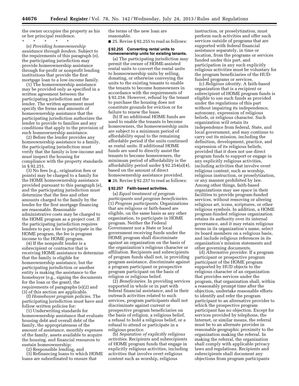the owner occupies the property as his or her principal residence.

\* \* \* \* \* (e) *Providing homeownership assistance through lenders.* Subject to the requirements of this paragraph (e), the participating jurisdiction may provide homeownership assistance through for-profit or nonprofit lending institutions that provide the first mortgage loan to a low-income family.

(1) The homeownership assistance may be provided only as specified in a written agreement between the participating jurisdiction and the lender. The written agreement must specify the forms and amounts of homeownership assistance that the participating jurisdiction authorizes the lender to provide to families and any conditions that apply to the provision of such homeownership assistance.

(2) Before the lender provides any homeownership assistance to a family, the participating jurisdiction must verify that the family is low-income and must inspect the housing for compliance with the property standards in § 92.251.

(3) No fees (e.g., origination fees or points) may be charged to a family for the HOME homeownership assistance provided pursuant to this paragraph (e), and the participating jurisdiction must determine that the fees and other amounts charged to the family by the lender for the first mortgage financing are reasonable. Reasonable administrative costs may be charged to the HOME program as a project cost. If the participating jurisdiction requires lenders to pay a fee to participate in the HOME program, the fee is program income to the HOME program.

(4) If the nonprofit lender is a subrecipient or contractor that is receiving HOME assistance to determine that the family is eligible for homeownership assistance, but the participating jurisdiction or another entity is making the assistance to the homebuyer (e.g., signing the documents for the loan or the grant), the requirements of paragraphs (e)(2) and (3) of this section are applicable.

(f) *Homebuyer program policies.* The participating jurisdiction must have and follow written policies for:

(1) Underwriting standards for homeownership assistance that evaluate housing debt and overall debt of the family, the appropriateness of the amount of assistance, monthly expenses of the family, assets available to acquire the housing, and financial resources to sustain homeownership;

(2) Responsible lending, and

(3) Refinancing loans to which HOME loans are subordinated to ensure that

the terms of the new loan are reasonable.

■ 25. Revise § 92.255 to read as follows:

#### **§ 92.255 Converting rental units to homeownership units for existing tenants.**

(a) The participating jurisdiction may permit the owner of HOME-assisted rental units to convert the rental units to homeownership units by selling, donating, or otherwise conveying the units to the existing tenants to enable the tenants to become homeowners in accordance with the requirements of § 92.254. However, refusal by the tenant to purchase the housing does not constitute grounds for eviction or for failure to renew the lease.

(b) If no additional HOME funds are used to enable the tenants to become homeowners, the homeownership units are subject to a minimum period of affordability equal to the remaining affordable period if the units continued as rental units. If additional HOME funds are used to directly assist the tenants to become homeowners, the minimum period of affordability is the affordability period under § 92.254(a)(4), based on the amount of direct homeownership assistance provided. ■ 26. Revise § 92.257 to read as follows:

#### **§ 92.257 Faith-based activities.**

(a) *Equal treatment of program participants and program beneficiaries.*  (1) *Program participants.* Organizations that are religious or faith-based are eligible, on the same basis as any other organization, to participate in HOME program. Neither the Federal Government nor a State or local government receiving funds under the HOME program shall discriminate against an organization on the basis of the organization's religious character or affiliation. Recipients and subrecipients of program funds shall not, in providing program assistance, discriminate against a program participant or prospective program participant on the basis of religion or religious belief.

(2) *Beneficiaries.* In providing services supported in whole or in part with federal financial assistance, and in their outreach activities related to such services, program participants shall not discriminate against current or prospective program beneficiaries on the basis of religion, a religious belief, a refusal to hold a religious belief, or a refusal to attend or participate in a religious practice.

(b) *Separation of explicitly religious activities.* Recipients and subrecipients of HOME program funds that engage in explicitly religious activities, including activities that involve overt religious content such as worship, religious

instruction, or proselytization, must perform such activities and offer such services outside of programs that are supported with federal financial assistance separately, in time or location, from the programs or services funded under this part, and participation in any such explicitly religious activities must be voluntary for the program beneficiaries of the HUDfunded programs or services.

(c) *Religious identity.* A faith-based organization that is a recipient or subrecipient of HOME program funds is eligible to use such funds as provided under the regulations of this part without impairing its independence, autonomy, expression of religious beliefs, or religious character. Such organization will retain its independence from federal, State, and local government, and may continue to carry out its mission, including the definition, development, practice, and expression of its religious beliefs, provided that it does not use direct program funds to support or engage in any explicitly religious activities, including activities that involve overt religious content, such as worship, religious instruction, or proselytization, or any manner prohibited by law. Among other things, faith-based organizations may use space in their facilities to provide program-funded services, without removing or altering religious art, icons, scriptures, or other religious symbols. In addition, a HOME program-funded religious organization retains its authority over its internal governance, and it may retain religious terms in its organization's name, select its board members on a religious basis, and include religious references in its organization's mission statements and other governing documents.

(d) *Alternative provider.* If a program participant or prospective program participant of the HOME program supported by HUD objects to the religious character of an organization that provides services under the program, that organization shall, within a reasonably prompt time after the objection, undertake reasonable efforts to identify and refer the program participant to an alternative provider to which the prospective program participant has no objection. Except for services provided by telephone, the Internet, or similar means, the referral must be to an alternate provider in reasonable geographic proximity to the organization making the referral. In making the referral, the organization shall comply with applicable privacy laws and regulations. Recipients and subrecipients shall document any objections from program participants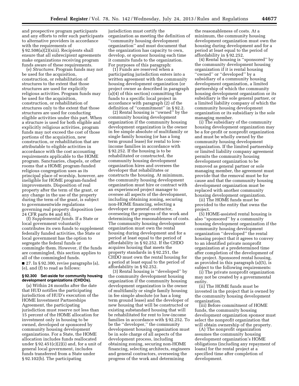and prospective program participants and any efforts to refer such participants to alternative providers in accordance with the requirements of § 92.508(a)(2)(xiii). Recipients shall ensure that all subrecipient agreements make organizations receiving program funds aware of these requirements.

(e) *Structures.* Program funds may not be used for the acquisition, construction, or rehabilitation of structures to the extent that those structures are used for explicitly religious activities. Program funds may be used for the acquisition, construction, or rehabilitation of structures only to the extent that those structures are used for conducting eligible activities under this part. When a structure is used for both eligible and explicitly religious activities, program funds may not exceed the cost of those portions of the acquisition, new construction, or rehabilitation that are attributable to eligible activities in accordance with the cost accounting requirements applicable to the HOME program. Sanctuaries, chapels, or other rooms that a HOME program-funded religious congregation uses as its principal place of worship, however, are ineligible for HOME program-funded improvements. Disposition of real property after the term of the grant, or any change in the use of the property during the term of the grant, is subject to governmentwide regulations governing real property disposition (see 24 CFR parts 84 and 85).

(f) *Supplemental funds.* If a State or local government voluntarily contributes its own funds to supplement federally funded activities, the State or local government has the option to segregate the federal funds or commingle them. However, if the funds are commingled, this section applies to all of the commingled funds.  $\blacksquare$  27. In § 92.300, revise paragraphs (a),

(e), and (f) to read as follows:

#### **§ 92.300 Set-aside for community housing development organizations (CHDOs).**

(a) Within 24 months after the date that HUD notifies the participating jurisdiction of HUD's execution of the HOME Investment Partnerships Agreement, the participating jurisdiction must reserve not less than 15 percent of the HOME allocation for investment only in housing to be owned, developed or sponsored by community housing development organizations. For a State, the HOME allocation includes funds reallocated under  $\S 92.451(c)(2)(i)$  and, for a unit of general local government, includes funds transferred from a State under § 92.102(b). The participating

jurisdiction must certify the organization as meeting the definition of ''community housing development organization'' and must document that the organization has capacity to own, develop, or sponsor housing each time it commits funds to the organization. For purposes of this paragraph:

(1) Funds are reserved when a participating jurisdiction enters into a written agreement with the community housing development organization (or project owner as described in paragraph (a)(4) of this section) committing the funds to a specific local project in accordance with paragraph (2) of the definition of ''commitment'' in § 92.2.

(2) Rental housing is ''owned'' by the community housing development organization if the community housing development organization is the owner in fee simple absolute of multifamily or single family housing (or has a long term ground lease) for rental to lowincome families in accordance with § 92.252. If the housing is to be rehabilitated or constructed, the community housing development organization hires and oversees the developer that rehabilitates or constructs the housing. At minimum, the community housing development organization must hire or contract with an experienced project manager to oversee all aspects of the development, including obtaining zoning, securing non-HOME financing, selecting a developer or general contractor, overseeing the progress of the work and determining the reasonableness of costs. The community housing development organization must own the rental housing during development and for a period at least equal to the period of affordability in § 92.252. If the CHDO acquires housing that meets the property standards in § 92.251, the CHDO must own the rental housing for a period at least equal to the period of affordability in § 92.252.

(3) Rental housing is ''developed'' by the community development housing organization if the community housing development organization is the owner of multifamily or single family housing in fee simple absolute (or has a long term ground lease) and the developer of new housing that will be constructed or existing substandard housing that will be rehabilitated for rent to low-income families in accordance with § 92.252. To be the ''developer,'' the community development housing organization must be in sole charge of all aspects of the development process, including obtaining zoning, securing non-HOME financing, selecting architects, engineers and general contractors, overseeing the progress of the work and determining

the reasonableness of costs. At a minimum, the community housing development organization must own the housing during development and for a period at least equal to the period of affordability in § 92.252.

(4) Rental housing is ''sponsored'' by the community development housing organization if it is rental housing ''owned'' or ''developed'' by a subsidiary of a community housing development organization, a limited partnership of which the community housing development organization or its subsidiary is the sole general partner, or a limited liability company of which the community housing development organization or its subsidiary is the sole managing member.

(i) The subsidiary of the community housing development organization may be a for-profit or nonprofit organization and must be wholly owned by the community housing development organization. If the limited partnership or limited liability company agreement permits the community housing development organization to be removed as general partner or sole managing member, the agreement must provide that the removal must be for cause and that the community housing development organization must be replaced with another community housing development organization.

(ii) The HOME funds must be provided to the entity that owns the project.

(5) HOME-assisted rental housing is also ''sponsored'' by a community housing development organization if the community housing development organization ''developed'' the rental housing project that it agrees to convey to an identified private nonprofit organization at a predetermined time after completion of the development of the project. Sponsored rental housing, as provided in this paragraph (a)(5), is subject to the following requirements:

(i) The private nonprofit organization may not be created by a governmental entity.

(ii) The HOME funds must be invested in the project that is owned by the community housing development organization.

(iii) Before commitment of HOME funds, the community housing development organization sponsor must select the nonprofit organization that will obtain ownership of the property.

(A) The nonprofit organization assumes the community housing development organization's HOME obligations (including any repayment of loans) for the rental project at a specified time after completion of development.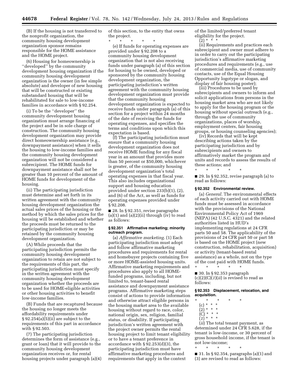(B) If the housing is not transferred to the nonprofit organization, the community housing development organization sponsor remains responsible for the HOME assistance and the HOME project.

(6) Housing for homeownership is ''developed'' by the community development housing organization if the community housing development organization is the owner (in fee simple absolute) and developer of new housing that will be constructed or existing substandard housing that will be rehabilitated for sale to low-income families in accordance with § 92.254.

(i) To be the ''developer'' the community development housing organization must arrange financing of the project and be in sole charge of construction. The community housing development organization may provide direct homeownership assistance (e.g., downpayment assistance) when it sells the housing to low-income families and the community housing development organization will not be considered a subrecipient. The HOME funds for downpayment assistance shall not be greater than 10 percent of the amount of HOME funds for development of the housing.

(ii) The participating jurisdiction must determine and set forth in its written agreement with the community housing development organization the actual sales prices of the housing or the method by which the sales prices for the housing will be established and whether the proceeds must be returned to the participating jurisdiction or may be retained by the community housing development organization.

(A) While proceeds that the participating jurisdiction permits the community housing development organization to retain are not subject to the requirements of this part, the participating jurisdiction must specify in the written agreement with the community housing development organization whether the proceeds are to be used for HOME-eligible activities or other housing activities to benefit low-income families.

(B) Funds that are recaptured because the housing no longer meets the affordability requirements under § 92.254(a)(5)(ii) are subject to the requirements of this part in accordance with § 92.503.

(7) The participating jurisdiction determines the form of assistance (e.g., grant or loan) that it will provide to the community housing development organization receives or, for rental housing projects under paragraph (a)(4) of this section, to the entity that owns the project.

\* \* \* \* \* (e) If funds for operating expenses are provided under § 92.208 to a community housing development organization that is not also receiving funds under paragraph (a) of this section for housing to be owned, developed or sponsored by the community housing development organization, the participating jurisdiction's written agreement with the community housing development organization must provide that the community housing development organization is expected to receive funds under paragraph (a) of this section for a project within 24 months of the date of receiving the funds for operating expenses, and specifies the terms and conditions upon which this expectation is based.

(f) The participating jurisdiction must ensure that a community housing development organization does not receive HOME funding for any fiscal year in an amount that provides more than 50 percent or \$50,000, whichever is greater, of the community housing development organization's total operating expenses in that fiscal year. This also includes organizational support and housing education provided under section 233(b)(1), (2), and (6) of the Act, as well as funds for operating expenses provided under § 92.208.

■ 28. In § 92.351, revise paragraphs  $(a)(1)$  and  $(a)(2)(ii)$  through  $(iv)$  to read as follows:

#### **§ 92.351 Affirmative marketing; minority outreach program.**

(a) *Affirmative marketing.* (1) Each participating jurisdiction must adopt and follow affirmative marketing procedures and requirements for rental and homebuyer projects containing five or more HOME-assisted housing units. Affirmative marketing requirements and procedures also apply to all HOMEfunded programs, including, but not limited to, tenant-based rental assistance and downpayment assistance programs. Affirmative marketing steps consist of actions to provide information and otherwise attract eligible persons in the housing market area to the available housing without regard to race, color, national origin, sex, religion, familial status, or disability. If participating jurisdiction's written agreement with the project owner permits the rental housing project to limit tenant eligibility or to have a tenant preference in accordance with § 92.253(d)(3), the participating jurisdiction must have affirmative marketing procedures and requirements that apply in the context

of the limited/preferred tenant eligibility for the project.

 $(2) * *$ 

(ii) Requirements and practices each subrecipient and owner must adhere to in order to carry out the participating jurisdiction's affirmative marketing procedures and requirements (e.g., use of commercial media, use of community contacts, use of the Equal Housing Opportunity logotype or slogan, and display of fair housing poster);

(iii) Procedures to be used by subrecipients and owners to inform and solicit applications from persons in the housing market area who are not likely to apply for the housing program or the housing without special outreach (e.g., through the use of community organizations, places of worship, employment centers, fair housing groups, or housing counseling agencies);

(iv) Records that will be kept describing actions taken by the participating jurisdiction and by subrecipients and owners to affirmatively market the program and units and records to assess the results of these actions; and

■ 29. In § 92.352, revise paragraph (a) to read as follows:

#### **§ 92.352 Environmental review.**

\* \* \* \* \*

(a) *General.* The environmental effects of each activity carried out with HOME funds must be assessed in accordance with the provisions of the National Environmental Policy Act of 1969 (NEPA) (42 U.S.C. 4321) and the related authorities listed in HUD's implementing regulations at 24 CFR parts 50 and 58. The applicability of the provisions of 24 CFR part 50 or part 58 is based on the HOME project (new construction, rehabilitation, acquisition) or activity (tenant-based rental assistance) as a whole, not on the type of the cost paid with HOME funds.

\* \* \* \* \* ■ 30. In § 92.353 paragraph (c)(2)(C)(*1*)(*ii*) is revised to read as follows:

**§ 92.353 Displacement, relocation, and acquisition.** 

- \* \* \* \* \*
	- (c) \* \* \*
	- $(2) * * * *$
	- $\vec{C}$  \* \* \*
	- (*1*) \* \* \*

(*ii*) The total tenant payment, as determined under 24 CFR 5.628, if the tenant is low-income, or 30 percent of gross household income, if the tenant is not low-income;

\* \* \* \* \*

■ 31. In § 92.354, paragraphs (a)(1) and (3) are revised to read as follows: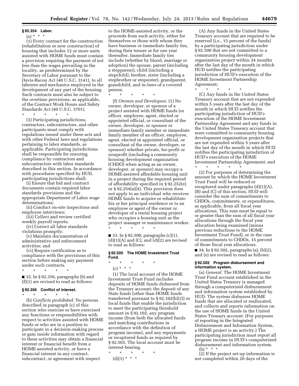#### **§ 92.354 Labor.**

#### (a) \* \* \*

(1) Every contract for the construction (rehabilitation or new construction) of housing that includes 12 or more units assisted with HOME funds must contain a provision requiring the payment of not less than the wages prevailing in the locality, as predetermined by the Secretary of Labor pursuant to the Davis-Bacon Act (40 U.S.C. 3141), to all laborers and mechanics employed in the development of any part of the housing. Such contracts must also be subject to the overtime provisions, as applicable, of the Contract Work Hours and Safety Standards Act (40 U.S.C. 3701).

\* \* \* \* \*

(3) Participating jurisdictions, contractors, subcontractors, and other participants must comply with regulations issued under these acts and with other Federal laws and regulations pertaining to labor standards, as applicable. Participating jurisdictions shall be responsible for ensuring compliance by contractors and subcontractors with labor standards described in this section. In accordance with procedures specified by HUD, participating jurisdictions shall:

(i) Ensure that bid and contract documents contain required labor standards provisions and the appropriate Department of Labor wage determinations;

(ii) Conduct on-site inspections and employee interviews;

(iii) Collect and review certified weekly payroll reports;

(iv) Correct all labor standards violations promptly;

(v) Maintain documentation of administrative and enforcement activities; and

(vi) Require certification as to compliance with the provisions of this section before making any payment under such contracts.

\* \* \* \* \* ■ 32. In § 92.356, paragraphs (b) and (f)(1) are revised to read as follows:

#### **§ 92.356 Conflict of interest.**

\* \* \* \* \* (b) *Conflicts prohibited.* No persons described in paragraph (c) of this section who exercise or have exercised any functions or responsibilities with respect to activities assisted with HOME funds or who are in a position to participate in a decision-making process or gain inside information with regard to these activities may obtain a financial interest or financial benefit from a HOME-assisted activity, or have a financial interest in any contract, subcontract, or agreement with respect

to the HOME-assisted activity, or the proceeds from such activity, either for themselves or those with whom they have business or immediate family ties, during their tenure or for one year thereafter. Immediate family ties include (whether by blood, marriage or adoption) the spouse, parent (including a stepparent), child (including a stepchild), brother, sister (including a stepbrother or stepsister), grandparent, grandchild, and in-laws of a covered person.

\* \* \* \* \*

(f) *Owners and Developers.* (1) No owner, developer, or sponsor of a project assisted with HOME funds (or officer, employee, agent, elected or appointed official, or consultant of the owner, developer, or sponsor or immediate family member or immediate family member of an officer, employee, agent, elected or appointed official, or consultant of the owner, developer, or sponsor) whether private, for-profit or nonprofit (including a community housing development organization (CHDO) when acting as an owner, developer, or sponsor) may occupy a HOME-assisted affordable housing unit in a project during the required period of affordability specified in § 92.252(e) or § 92.254(a)(4). This provision does not apply to an individual who receives HOME funds to acquire or rehabilitate his or her principal residence or to an employee or agent of the owner or developer of a rental housing project who occupies a housing unit as the project manager or maintenance worker.

■ 33. In § 92.500, paragraphs (c)(1),  $(d)(1)(A)$  and  $(C)$ , and  $(d)(2)$  are revised to read as follows:

#### **§ 92.500 The HOME Investment Trust Fund.**

#### \* \* \* \* \*  $(c) * * * *$

\* \* \* \* \*

(1) The local account of the HOME Investment Trust Fund includes deposits of HOME funds disbursed from the Treasury account; the deposit of any State funds (other than HOME funds transferred pursuant to § 92.102(b)(2)) or local funds that enable the jurisdiction to meet the participating threshold amount in § 92.102, any program income (from both the allocated funds and matching contributions in accordance with the definition of program income), and any repayments or recaptured funds as required by § 92.503. The local account must be interest-bearing.

\* \* \* \* \*

 $(d)(1) * * * *$ 

(A) Any funds in the United States Treasury account that are required to be reserved (i.e., 15 percent of the funds) by a participating jurisdiction under § 92.300 that are not committed to a community housing development organization project within 24 months after the last day of the month in which HUD notifies the participating jurisdiction of HUD's execution of the HOME Investment Partnership Agreement;

\* \* \* \* \*

(C) Any funds in the United States Treasury account that are not expended within 5 years after the last day of the month in which HUD notifies the participating jurisdiction of HUD's execution of the HOME Investment Partnership Agreement and any funds in the United States Treasury account that were committed to community housing development organization projects that are not expended within 5 years after the last day of the month in which HUD notifies the participating jurisdiction of HUD's execution of the HOME Investment Partnership Agreement; and

 $\star$   $\qquad$   $\star$   $\qquad$   $\star$ (2) For purposes of determining the amount by which the HOME Investment Trust Fund will be reduced or recaptured under paragraphs (d)(1)(A), (B) and (C) of this section, HUD will consider the sum of commitments to CHDOs, commitments, or expenditures, as applicable, from all fiscal year allocations. This sum must be equal to or greater than the sum of all fiscal year allocations through the fiscal year allocation being examined (minus previous reductions to the HOME Investment Trust Fund), or in the case of commitments to CHDOs, 15 percent of those fiscal year allocations.  $\blacksquare$  34. In § 92.502, paragraphs (a), (b)(2), and (e) are revised to read as follows:

#### **§ 92.502 Program disbursement and information system.**

(a) *General.* The HOME Investment Trust Fund account established in the United States Treasury is managed through a computerized disbursement and information system established by HUD. The system disburses HOME funds that are allocated or reallocated, and collects and reports information on the use of HOME funds in the United States Treasury account. (For purposes of reporting in the Integrated Disbursement and Information System, a HOME project is an activity.) The participating jurisdiction must report all program income in HUD's computerized disbursement and information system. (b) \* \* \*

(2) If the project set-up information is not completed within 20 days of the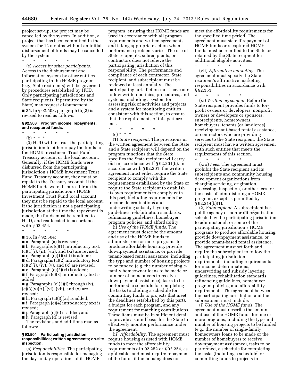project set-up, the project may be cancelled by the system. In addition, a project that has been committed in the system for 12 months without an initial disbursement of funds may be cancelled by the system.

\* \* \* \* \*

(e) *Access by other participants.*  Access to the disbursement and information system by other entities participating in the HOME program (e.g., State recipients) will be governed by procedures established by HUD. Only participating jurisdictions and State recipients (if permitted by the State) may request disbursement.

■ 35. In § 92.503, paragraph (b)(3) is revised to read as follows:

#### **§ 92.503 Program income, repayments, and recaptured funds.**

- \* \* \* \* \*
	- (b) \* \* \*

(3) HUD will instruct the participating jurisdiction to either repay the funds to the HOME Investment Trust Fund Treasury account or the local account. Generally, if the HOME funds were disbursed from the participating jurisdiction's HOME Investment Trust Fund Treasury account, they must be repaid to the Treasury account. If the HOME funds were disbursed from the participating jurisdiction's HOME Investment Trust Fund local account, they must be repaid to the local account. If the jurisdiction is not a participating jurisdiction at the time the repayment is made, the funds must be remitted to HUD, and reallocated in accordance with § 92.454.

\* \* \* \* \*

■ 36. In § 92.504:

■ a. Paragraph (a) is revised;

■ b. Paragraphs (c)(1) introductory text,  $(c)(1)(i)$ ,  $(ii)$ ,  $(vii)$ , and  $(xi)$  are revised;  $\blacksquare$  c. Paragraph (c)(1)(xiii) is added;

■ d. Paragraphs (c)(2) introductory text,  $(c)(2)(i)$ ,  $(iv)$ ,  $(v)$ , and  $(x)$  are revised;  $\blacksquare$  e. Paragraph  $(c)(2)(xi)$  is added;

■ f. Paragraph (c)(3) introductory text is added;

 $\blacksquare$  g. Paragraphs (c)(3)(i) through (iv),  $(c)(3)(v)(A)$ ,  $(vi)$ ,  $(vii)$ , and  $(x)$  are revised;

 $\blacksquare$  h. Paragraph  $(c)(3)(xi)$  is added;

■ i. Paragraph (c)(4) introductory text is revised;

 $\blacksquare$  j. Paragraph  $(c)(6)$  is added; and

■ k. Paragraph (d) is revised.

The revisions and additions read as follows:

#### **§ 92.504 Participating jurisdiction responsibilities; written agreements; on-site inspection.**

(a) *Responsibilities.* The participating jurisdiction is responsible for managing the day-to-day operations of its HOME

program, ensuring that HOME funds are used in accordance with all program requirements and written agreements, and taking appropriate action when performance problems arise. The use of State recipients, subrecipients, or contractors does not relieve the participating jurisdiction of this responsibility. The performance and compliance of each contractor, State recipient, and subrecipient must be reviewed at least annually. The participating jurisdiction must have and follow written policies, procedures, and systems, including a system for assessing risk of activities and projects and a system for monitoring entities consistent with this section, to ensure that the requirements of this part are met.

- \* \* \* \* \*
	- (c) \* \* \*

(1) *State recipient.* The provisions in the written agreement between the State and a State recipient will depend on the program functions that the State specifies the State recipient will carry out in accordance with § 92.201(b). In accordance with § 92.201, the written agreement must either require the State recipient to comply with the requirements established by the State or require the State recipient to establish its own requirements to comply with this part, including requirements for income determinations and underwriting subsidy layering guidelines, rehabilitation standards, refinancing guidelines, homebuyer program policies, and affordability.

(i) *Use of the HOME funds.* The agreement must describe the amount and use of the HOME funds to administer one or more programs to produce affordable housing, provide downpayment assistance, or provide tenant-based rental assistance, including the type and number of housing projects to be funded (e.g. the number of singlefamily homeowner loans to be made or number of homebuyers to receive downpayment assistance), tasks to be performed, a schedule for completing the tasks (including a schedule for committing funds to projects that meet the deadlines established by this part), a budget for each program, and any requirement for matching contributions. These items must be in sufficient detail to provide a sound basis for the State to effectively monitor performance under the agreement.

(ii) *Affordability.* The agreement must require housing assisted with HOME funds to meet the affordability requirements of § 92.252 or § 92.254, as applicable, and must require repayment of the funds if the housing does not

meet the affordability requirements for the specified time period. The agreement must state if repayment of HOME funds or recaptured HOME funds must be remitted to the State or retained by the State recipient for additional eligible activities. \* \* \* \* \*

(vii) *Affirmative marketing.* The agreement must specify the State recipient's affirmative marketing responsibilities in accordance with § 92.351.

\* \* \* \* \* (xi) *Written agreement.* Before the State recipient provides funds to forprofit owners or developers, nonprofit owners or developers or sponsors, subrecipients, homeowners, homebuyers, tenants (or landlords) receiving tenant-based rental assistance, or contractors who are providing services to the State recipient, the State recipient must have a written agreement with such entities that meets the requirements of this section.

\* \* \* \* \* (xiii) *Fees.* The agreement must prohibit the State recipient and its subrecipients and community housing development organizations from charging servicing, origination, processing, inspection, or other fees for the costs of administering a HOME program, except as permitted by  $\S 92.214(b)(1)$ .

(2) *Subrecipient.* A subrecipient is a public agency or nonprofit organization selected by the participating jurisdiction to administer all or some of the participating jurisdiction's HOME programs to produce affordable housing, provide downpayment assistance, or provide tenant-based rental assistance. The agreement must set forth and require the subrecipient to follow the participating jurisdiction's requirements, including requirements for income determinations, underwriting and subsidy layering guidelines, rehabilitation standards, refinancing guidelines, homebuyer program policies, and affordability requirements. The agreement between the participating jurisdiction and the subrecipient must include:

(i) *Use of the HOME funds.* The agreement must describe the amount and use of the HOME funds for one or more programs, including the type and number of housing projects to be funded (e.g., the number of single-family homeowners loans to be made or the number of homebuyers to receive downpayment assistance), tasks to be performed, a schedule for completing the tasks (including a schedule for committing funds to projects in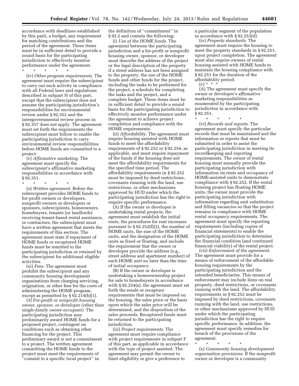accordance with deadlines established by this part), a budget, any requirement for matching contributions and the period of the agreement. These items must be in sufficient detail to provide a sound basis for the participating jurisdiction to effectively monitor performance under the agreement.

\* \* \* \* \* (iv) *Other program requirements.* The agreement must require the subrecipient to carry out each activity in compliance with all Federal laws and regulations described in subpart H of this part, except that the subrecipient does not assume the participating jurisdiction's responsibilities for environmental review under § 92.352 and the intergovernmental review process in § 92.357 does not apply. The agreement must set forth the requirements the subrecipient must follow to enable the participating jurisdiction to carry environmental review responsibilities before HOME funds are committed to a project.

(v) *Affirmative marketing.* The agreement must specify the subrecipient's affirmative marketing responsibilities in accordance with § 92.351.

\* \* \* \* \*

(x) *Written agreement.* Before the subrecipient provides HOME funds to for-profit owners or developers, nonprofit owners or developers or sponsors, subrecipients, homeowners, homebuyers, tenants (or landlords) receiving tenant-based rental assistance, or contractors, the subrecipient must have a written agreement that meets the requirements of this section. The agreement must state if repayment of HOME funds or recaptured HOME funds must be remitted to the participating jurisdiction or retained by the subrecipient for additional eligible activities.

(xi) *Fees.* The agreement must prohibit the subrecipient and any community housing development organizations from charging servicing, origination, or other fees for the costs of administering the HOME program, except as permitted by § 92.214(b)(1).

(3) *For-profit or nonprofit housing owner, sponsor, or developer (other than single-family owner-occupant).* The participating jurisdiction may preliminarily award HOME funds for a proposed project, contingent on conditions such as obtaining other financing for the project. This preliminary award is not a commitment to a project. The written agreement committing the HOME funds to the project must meet the requirements of ''commit to a specific local project'' in

the definition of ''commitment'' in § 92.2 and contain the following:

(i) *Use of the HOME funds.* The agreement between the participating jurisdiction and a for-profit or nonprofit housing owner, sponsor, or developer must describe the address of the project or the legal description of the property if a street address has not been assigned to the property, the use of the HOME funds and other funds for the project, including the tasks to be performed for the project, a schedule for completing the tasks and the project, and a complete budget. These items must be in sufficient detail to provide a sound basis for the participating jurisdiction to effectively monitor performance under the agreement to achieve project completion and compliance with the HOME requirements.

(ii) *Affordability.* The agreement must require housing assisted with HOME funds to meet the affordability requirements of § 92.252 or § 92.254, as applicable, and must require repayment of the funds if the housing does not meet the affordability requirements for the specified time period. The affordability requirements in § 92.252 must be imposed by deed restrictions, covenants running with the land, use restrictions, or other mechanisms approved by HUD under which the participating jurisdiction has the right to require specific performance.

(A) If the owner or developer is undertaking rental projects, the agreement must establish the initial rents, the procedures for rent increases pursuant to  $\S 92.252(f)(2)$ , the number of HOME units, the size of the HOME units, and the designation of the HOME units as fixed or floating, and include the requirement that the owner or developer provide the address (e.g., street address and apartment number) of each HOME unit no later than the time of initial occupancy.

(B) If the owner or developer is undertaking a homeownership project for sale to homebuyers in accordance with § 92.254(a), the agreement must set forth the resale or recapture requirements that must be imposed on the housing, the sales price or the basis upon which the sales price will be determined, and the disposition of the sales proceeds. Recaptured funds must be returned to the participating jurisdiction.

(iii) *Project requirements.* The agreement must require compliance with project requirements in subpart F of this part, as applicable in accordance with the type of project assisted. The agreement may permit the owner to limit eligibility or give a preference to

a particular segment of the population in accordance with § 92.253(d).

(iv) *Property standards.* The agreement must require the housing to meet the property standards in § 92.251, upon project completion. The agreement must also require owners of rental housing assisted with HOME funds to maintain the housing compliance with § 92.251 for the duration of the affordability period.

 $(v) * * * *$ 

(A) The agreement must specify the owner or developer's affirmative marketing responsibilities as enumerated by the participating jurisdiction in accordance with § 92.351.

\* \* \* \* \*

(vi) *Records and reports.* The agreement must specify the particular records that must be maintained and the information or reports that must be submitted in order to assist the participating jurisdiction in meeting its recordkeeping and reporting requirements. The owner of rental housing must annually provide the participating jurisdiction with information on rents and occupancy of HOME-assisted units to demonstrate compliance with § 92.252. If the rental housing project has floating HOME units, the owner must provide the participating jurisdiction with information regarding unit substitution and filling vacancies so that the project remains in compliance with HOME rental occupancy requirements. The agreement must specify the reporting requirements (including copies of financial statements) to enable the participating jurisdiction to determine the financial condition (and continued financial viability) of the rental project.

(vii) *Enforcement of the agreement.*  The agreement must provide for a means of enforcement of the affordable housing requirements by the participating jurisdiction and the intended beneficiaries. This means of enforcement may include liens on real property, deed restrictions, or covenants running with the land. The affordability requirements in § 92.252 must be imposed by deed restrictions, covenants running with the land, use restrictions, or other mechanisms approved by HUD under which the participating jurisdiction has the right to require specific performance. In addition, the agreement must specify remedies for breach of the provisions of the agreement.

\* \* \* \* \* (x) *Community housing development organization provisions.* If the nonprofit owner or developer is a community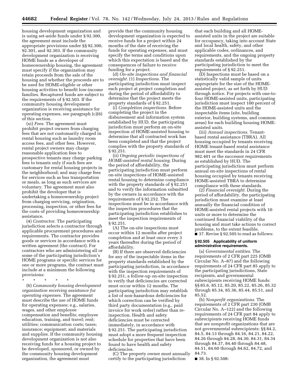housing development organization and is using set-aside funds under § 92.300, the agreement must include the appropriate provisions under §§ 92.300, 92.301, and 92.303. If the community development organization is receiving HOME funds as a developer of homeownership housing, the agreement must specify if the organization may retain proceeds from the sale of the housing and whether the proceeds are to be used for HOME-eligible or other housing activities to benefit low-income families. Recaptured funds are subject to the requirements of § 92.503. If the community housing development organization is receiving assistance for operating expenses, see paragraph (c)(6) of this section.

(xi) *Fees.* The agreement must prohibit project owners from charging fees that are not customarily charged in rental housing such as laundry room access fees, and other fees. However, rental project owners may charge reasonable application fees to prospective tenants may charge parking fees to tenants only if such fees are customary for rental housing projects in the neighborhood; and may charge fees for services such as bus transportation or meals, as long as such services are voluntary. The agreement must also prohibit the developer that is undertaking a homeownership project from charging servicing, origination, processing, inspection, or other fees for the costs of providing homeownership assistance.

(4) *Contractor.* The participating jurisdiction selects a contractor through applicable procurement procedures and requirements. The contractor provides goods or services in accordance with a written agreement (the contract). For contractors who are administering all or some of the participating jurisdiction's HOME programs or specific services for one or more programs, the contract must include at a minimum the following provisions:

\* \* \* \* \*

(6) *Community housing development organization receiving assistance for operating expenses.* The agreement must describe the use of HOME funds for operating expenses; e.g., salaries, wages, and other employee compensation and benefits; employee education, training, and travel; rent; utilities; communication costs; taxes; insurance; equipment; and materials and supplies. If the community housing development organization is not also receiving funds for a housing project to be developed, sponsored, or owned by the community housing development organization, the agreement must

provide that the community housing development organization is expected to receive funds for a project within 24 months of the date of receiving the funds for operating expenses, and must specify the terms and conditions upon which this expectation is based and the consequences of failure to receive funding for a project.

(d) *On-site inspections and financial oversight.* (1) *Inspections.* The participating jurisdiction must inspect each project at project completion and during the period of affordability to determine that the project meets the property standards of § 92.251.

(i) *Completion inspections.* Before completing the project in the disbursement and information system established by HUD, the participating jurisdiction must perform an on-site inspection of HOME-assisted housing to determine that all contracted work has been completed and that the project complies with the property standards of § 92.251.

(ii) *Ongoing periodic inspections of HOME-assisted rental housing.* During the period of affordability, the participating jurisdiction must perform on-site inspections of HOME-assisted rental housing to determine compliance with the property standards of § 92.251 and to verify the information submitted by the owners in accordance with the requirements of § 92.252. The inspections must be in accordance with the inspection procedures that the participating jurisdiction establishes to meet the inspection requirements of § 92.251.

(A) The on-site inspections must occur within 12 months after project completion and at least once every 3 years thereafter during the period of affordability.

(B) If there are observed deficiencies for any of the inspectable items in the property standards established by the participating jurisdiction, in accordance with the inspection requirements of § 92.251, a follow-up on-site inspection to verify that deficiencies are corrected must occur within 12 months. The participating jurisdiction may establish a list of non-hazardous deficiencies for which correction can be verified by third party documentation (e.g., paid invoice for work order) rather than reinspection. Health and safety deficiencies must be corrected immediately, in accordance with § 92.251. The participating jurisdiction must adopt a more frequent inspection schedule for properties that have been found to have health and safety deficiencies.

(C) The property owner must annually certify to the participating jurisdiction

that each building and all HOMEassisted units in the project are suitable for occupancy, taking into account State and local health, safety, and other applicable codes, ordinances, and requirements, and the ongoing property standards established by the participating jurisdiction to meet the requirements of § 92.251.

(D) Inspections must be based on a statistically valid sample of units appropriate for the size of the HOMEassisted project, as set forth by HUD through notice. For projects with one-tofour HOME-assisted units, participating jurisdiction must inspect 100 percent of the HOME-assisted units and the inspectable items (site, building exterior, building systems, and common areas) for each building housing HOMEassisted units.

(iii) *Annual inspections.* Tenantbased rental assistance (TBRA). All housing occupied by tenants receiving HOME tenant-based rental assistance must meet the standards in 24 CFR 982.401 or the successor requirements as established by HUD. The participating jurisdiction must perform annual on-site inspections of rental housing occupied by tenants receiving HOME-assisted TBRA to determine compliance with these standards.

(2) *Financial oversight.* During the period of affordability, the participating jurisdiction must examine at least annually the financial condition of HOME-assisted rental projects with 10 units or more to determine the continued financial viability of the housing and must take actions to correct problems, to the extent feasible. ■ 37. Revise § 92.505 to read as follows:

#### **§ 92.505 Applicability of uniform administrative requirements.**

(a) *Governmental entities.* The requirements of 2 CFR part 225 (OMB Circular No. A–87) and the following requirements of 24 CFR part 85 apply to the participating jurisdictions, State recipients, and governmental subrecipients receiving HOME funds: §§ 85.6, 85.12, 85.20, 85.22, 85.26, 85.32 through 85.34, 85.36, 85.44, 85.51, and 85.52.

(b) *Nonprofit organizations.* The requirements of 2 CFR part 230 (OMB Circular No. A–122) and the following requirements of 24 CFR part 84 apply to subrecipients receiving HOME funds that are nonprofit organizations that are not governmental subrecipients: §§ 84.2, 84.5, 84.13 through 84.16, 84.21, 84.22, 84.26 through 84.28, 84.30, 84.31, 84.34 through 84.37, 84.40 through 84.48, 84.51, 84.60 through 84.62, 84.72, and 84.73.

■ 38. In § 92.508: